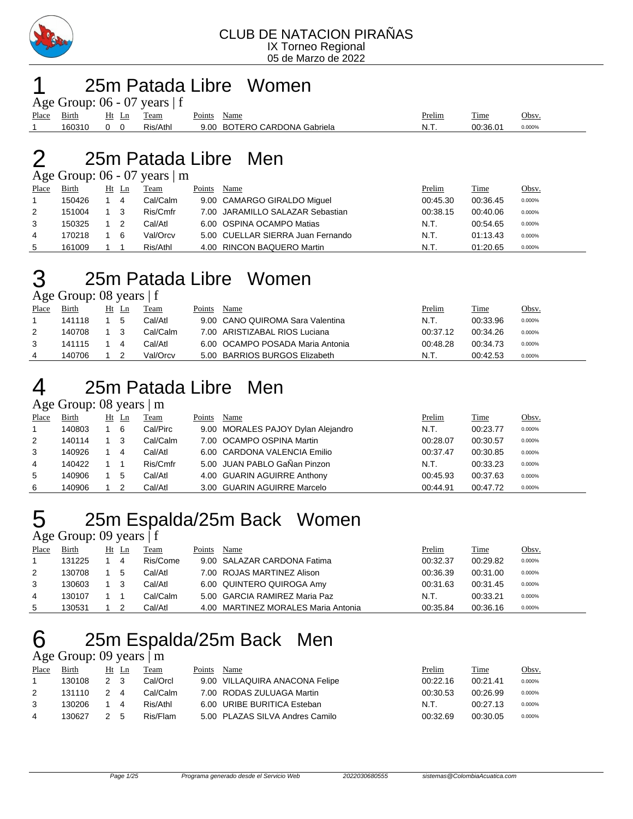

### 25m Patada Libre Women

|             |        |            |       | Age Group: $06 - 07$ years $ f $ |             |                              |        |          |        |
|-------------|--------|------------|-------|----------------------------------|-------------|------------------------------|--------|----------|--------|
| Place Birth |        |            | Ht Ln | Team                             | Points Name |                              | Prelim | Time     | Obsv.  |
|             | 160310 | $0\quad 0$ |       | Ris/Athl                         |             | 9.00 BOTERO CARDONA Gabriela | - N.T. | 00:36.01 | 0.000% |

### 25m Patada Libre Men

Age Group:  $06 - 07$  years  $\vert$  m

| Place | Birth  | Ht Ln |     | Team     | Points | Name                              | Prelim   | Time     | <u>Obsv.</u> |
|-------|--------|-------|-----|----------|--------|-----------------------------------|----------|----------|--------------|
|       | 150426 |       | 4   | Cal/Calm |        | 9.00 CAMARGO GIRALDO Miguel       | 00:45.30 | 00:36.45 | 0.000%       |
| 2     | 151004 |       | - 3 | Ris/Cmfr |        | 7.00 JARAMILLO SALAZAR Sebastian  | 00:38.15 | 00:40.06 | 0.000%       |
| 3     | 150325 |       |     | Cal/Atl  |        | 6.00 OSPINA OCAMPO Matias         | N.T.     | 00:54.65 | 0.000%       |
| 4     | 170218 |       | 6   | Val/Orcv |        | 5.00 CUELLAR SIERRA Juan Fernando | N.T.     | 01:13.43 | 0.000%       |
| 5     | 161009 |       |     | Ris/Athl |        | 4.00 RINCON BAQUERO Martin        | N.T.     | 01:20.65 | 0.000%       |

## 25m Patada Libre Women

Age Group: 08 years | f

| Place | Birth  | Ht | -Ln          | Team     | Points | Name                             | <u>Prelim</u> | Time     | Obsv.  |
|-------|--------|----|--------------|----------|--------|----------------------------------|---------------|----------|--------|
|       | 141118 |    | <sub>5</sub> | Cal/Atl  |        | 9.00 CANO QUIROMA Sara Valentina | N.T.          | 00:33.96 | 0.000% |
| 2     | 140708 |    |              | Cal/Calm |        | 7.00 ARISTIZABAL RIOS Luciana    | 00:37.12      | 00:34.26 | 0.000% |
|       | 141115 |    | 4            | Cal/Atl  |        | 6.00 OCAMPO POSADA Maria Antonia | 00:48.28      | 00:34.73 | 0.000% |
| 4     | 140706 |    |              | Val/Orcv |        | 5.00 BARRIOS BURGOS Elizabeth    | N.T.          | 00:42.53 | 0.000% |

## 25m Patada Libre Men

Age Group: 08 years | m

| Place | Birth  | $Ht$ Ln | Team     | Points | Name                               | Prelim   | <b>Time</b> | Obsy.  |
|-------|--------|---------|----------|--------|------------------------------------|----------|-------------|--------|
| 1     | 140803 | 6       | Cal/Pirc |        | 9.00 MORALES PAJOY Dylan Alejandro | N.T.     | 00:23.77    | 0.000% |
| 2     | 140114 | 3       | Cal/Calm |        | 7.00 OCAMPO OSPINA Martin          | 00:28.07 | 00:30.57    | 0.000% |
| 3     | 140926 | 4       | Cal/Atl  |        | 6.00 CARDONA VALENCIA Emilio       | 00:37.47 | 00:30.85    | 0.000% |
| 4     | 140422 |         | Ris/Cmfr |        | 5.00 JUAN PABLO GaÑan Pinzon       | N.T.     | 00:33.23    | 0.000% |
| 5     | 140906 | -5      | Cal/Atl  |        | 4.00 GUARIN AGUIRRE Anthony        | 00:45.93 | 00:37.63    | 0.000% |
| 6     | 140906 |         | Cal/Atl  |        | 3.00 GUARIN AGUIRRE Marcelo        | 00:44.91 | 00:47.72    | 0.000% |

### 25m Espalda/25m Back Women

Age Group: 09 years | f

| Place | Birth  | Ht | Ln | Team     | Points | Name                                | Prelim   | <b>Time</b> | <u>Obsv.</u> |
|-------|--------|----|----|----------|--------|-------------------------------------|----------|-------------|--------------|
|       | 131225 |    | 4  | Ris/Come |        | 9.00 SALAZAR CARDONA Fatima         | 00:32.37 | 00:29.82    | 0.000%       |
| 2     | 130708 |    | 5  | Cal/Atl  |        | 7.00 ROJAS MARTINEZ Alison          | 00:36.39 | 00:31.00    | 0.000%       |
| 3     | 130603 |    |    | Cal/Atl  |        | 6.00 QUINTERO QUIROGA Amy           | 00:31.63 | 00:31.45    | 0.000%       |
|       | 130107 |    |    | Cal/Calm |        | 5.00 GARCIA RAMIREZ Maria Paz       | N.T.     | 00:33.21    | 0.000%       |
| 5     | 130531 |    |    | Cal/AtI  |        | 4.00 MARTINEZ MORALES Maria Antonia | 00:35.84 | 00:36.16    | 0.000%       |

### 25m Espalda/25m Back Men

### Age Group: 09 years | m

| Place | <b>Birth</b> |                | Ht Ln          | Team     | Points | Name                            | Prelim   | <b>Time</b> | Obsv.  |
|-------|--------------|----------------|----------------|----------|--------|---------------------------------|----------|-------------|--------|
|       | 130108       | 2 <sub>3</sub> |                | Cal/Orcl |        | 9.00 VILLAQUIRA ANACONA Felipe  | 00:22.16 | 00:21.41    | 0.000% |
|       | 131110       | $\mathcal{P}$  | $\overline{4}$ | Cal/Calm |        | 7.00 RODAS ZULUAGA Martin       | 00:30.53 | 00:26.99    | 0.000% |
|       | 130206       |                | 4              | Ris/Athl |        | 6.00 URIBE BURITICA Esteban     | N.T.     | 00:27.13    | 0.000% |
| 4     | 130627       |                | -5             | Ris/Flam |        | 5.00 PLAZAS SILVA Andres Camilo | 00:32.69 | 00:30.05    | 0.000% |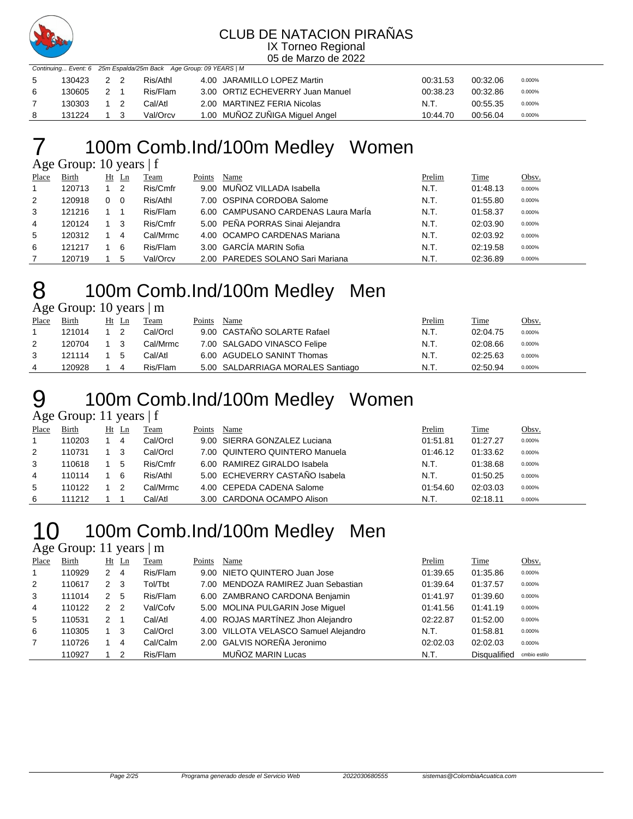

### CLUB DE NATACION PIRAÑAS

IX Torneo Regional 05 de Marzo de 2022

|    |        |       |          | Continuing Event: 6 25m Espalda/25m Back Age Group: 09 YEARS   M |          |          |        |
|----|--------|-------|----------|------------------------------------------------------------------|----------|----------|--------|
| -5 | 130423 | 2 2   | Ris/Athl | 4.00 JARAMILLO LOPEZ Martin                                      | 00:31.53 | 00:32.06 | 0.000% |
| 6  | 130605 | $2-1$ | Ris/Flam | 3.00 ORTIZ ECHEVERRY Juan Manuel                                 | 00:38.23 | 00:32.86 | 0.000% |
|    | 130303 |       | Cal/Atl  | 2.00 MARTINEZ FERIA Nicolas                                      | N.T.     | 00:55.35 | 0.000% |
|    | 131224 |       | Val/Orcv | 1.00 MUÑOZ ZUÑIGA Miguel Angel                                   | 10:44.70 | 00:56.04 | 0.000% |

### 100m Comb.Ind/100m Medley Women

Age Group: 10 years | f

| Place          | <b>Birth</b> | Ht | $\mathbf{L}$ n | Team     | Points | Name                                | Prelim | <b>Time</b> | Obsv.  |
|----------------|--------------|----|----------------|----------|--------|-------------------------------------|--------|-------------|--------|
| $\overline{1}$ | 120713       |    | 2              | Ris/Cmfr |        | 9.00 MUNOZ VILLADA Isabella         | N.T.   | 01:48.13    | 0.000% |
| 2              | 120918       | 0  | $\Omega$       | Ris/Athl |        | 7.00 OSPINA CORDOBA Salome          | N.T.   | 01:55.80    | 0.000% |
| 3              | 121216       |    |                | Ris/Flam |        | 6.00 CAMPUSANO CARDENAS Laura María | N.T.   | 01:58.37    | 0.000% |
| 4              | 120124       |    | 3              | Ris/Cmfr |        | 5.00 PEÑA PORRAS Sinai Alejandra    | N.T.   | 02:03.90    | 0.000% |
| 5              | 120312       |    | 4              | Cal/Mrmc |        | 4.00 OCAMPO CARDENAS Mariana        | N.T.   | 02:03.92    | 0.000% |
| 6              | 121217       |    | 6              | Ris/Flam |        | 3.00 GARCÍA MARIN Sofia             | N.T.   | 02:19.58    | 0.000% |
|                | 120719       |    | 5              | Val/Orcv |        | 2.00 PAREDES SOLANO Sari Mariana    | N.T.   | 02:36.89    | 0.000% |

### 100m Comb.Ind/100m Medley Men Age Group: 10 years | m

| Place | Birth  |     | Ht Ln | Team     | Points | Name                              | <u>Prelim</u> | <u>Time</u> | Obsv.  |
|-------|--------|-----|-------|----------|--------|-----------------------------------|---------------|-------------|--------|
|       | 121014 |     |       | Cal/Orcl |        | 9.00 CASTAÑO SOLARTE Rafael       | N.T.          | 02:04.75    | 0.000% |
|       | 120704 | 1 3 |       | Cal/Mrmc |        | 7.00 SALGADO VINASCO Felipe       | N.T.          | 02:08.66    | 0.000% |
|       | 121114 |     | - 5   | Cal/Atl  |        | 6.00 AGUDELO SANINT Thomas        | N.T.          | 02:25.63    | 0.000% |
|       | 120928 |     |       | Ris/Flam |        | 5.00 SALDARRIAGA MORALES Santiago | N.T.          | 02:50.94    | 0.000% |

### 100m Comb.Ind/100m Medley Women

Age Group: 11 years  $| f |$ 

|       |        |    | $\tilde{\phantom{a}}$ |          |        |                                |          |             |        |
|-------|--------|----|-----------------------|----------|--------|--------------------------------|----------|-------------|--------|
| Place | Birth  | Ht | Ln                    | Team     | Points | Name                           | Prelim   | <b>Time</b> | Obsv.  |
|       | 110203 |    | 4                     | Cal/Orcl |        | 9.00 SIERRA GONZALEZ Luciana   | 01:51.81 | 01:27.27    | 0.000% |
| 2     | 110731 |    |                       | Cal/Orcl |        | 7.00 QUINTERO QUINTERO Manuela | 01:46.12 | 01:33.62    | 0.000% |
| 3     | 110618 |    | 5                     | Ris/Cmfr |        | 6.00 RAMIREZ GIRALDO Isabela   | N.T.     | 01:38.68    | 0.000% |
| 4     | 110114 |    | 6                     | Ris/Athl |        | 5.00 ECHEVERRY CASTAÑO Isabela | N.T.     | 01:50.25    | 0.000% |
| 5     | 110122 |    |                       | Cal/Mrmc |        | 4.00 CEPEDA CADENA Salome      | 01:54.60 | 02:03.03    | 0.000% |
| 6     | 111212 |    |                       | Cal/Atl  |        | 3.00 CARDONA OCAMPO Alison     | N.T.     | 02:18.11    | 0.000% |

## 100m Comb.Ind/100m Medley Men

### Age Group: 11 years | m

| Place          | Birth  |                      | Ht Ln          | Team     | Points | Name                                  | Prelim   | Time                | Obsv.        |
|----------------|--------|----------------------|----------------|----------|--------|---------------------------------------|----------|---------------------|--------------|
| $\overline{1}$ | 110929 | 2                    | -4             | Ris/Flam |        | 9.00 NIETO QUINTERO Juan Jose         | 01:39.65 | 01:35.86            | 0.000%       |
| 2              | 110617 | $2 \quad 3$          |                | Tol/Tbt  |        | 7.00 MENDOZA RAMIREZ Juan Sebastian   | 01:39.64 | 01:37.57            | 0.000%       |
| 3              | 111014 | $\mathbf{2}^{\circ}$ | - 5            | Ris/Flam |        | 6.00 ZAMBRANO CARDONA Benjamin        | 01:41.97 | 01:39.60            | 0.000%       |
| $\overline{4}$ | 110122 | 2                    | $\overline{2}$ | Val/Cofv |        | 5.00 MOLINA PULGARIN Jose Miguel      | 01:41.56 | 01:41.19            | 0.000%       |
| 5              | 110531 | $\mathbf{2}^{\circ}$ |                | Cal/Atl  |        | 4.00 ROJAS MARTÍNEZ Jhon Alejandro    | 02:22.87 | 01:52.00            | 0.000%       |
| 6              | 110305 |                      | -3             | Cal/Orcl |        | 3.00 VILLOTA VELASCO Samuel Alejandro | N.T.     | 01:58.81            | 0.000%       |
| $\overline{7}$ | 110726 |                      | 4              | Cal/Calm |        | 2.00 GALVIS NOREÑA Jeronimo           | 02:02.03 | 02:02.03            | 0.000%       |
|                | 110927 |                      | 2              | Ris/Flam |        | MUÑOZ MARIN Lucas                     | N.T.     | <b>Disqualified</b> | cmbio estilo |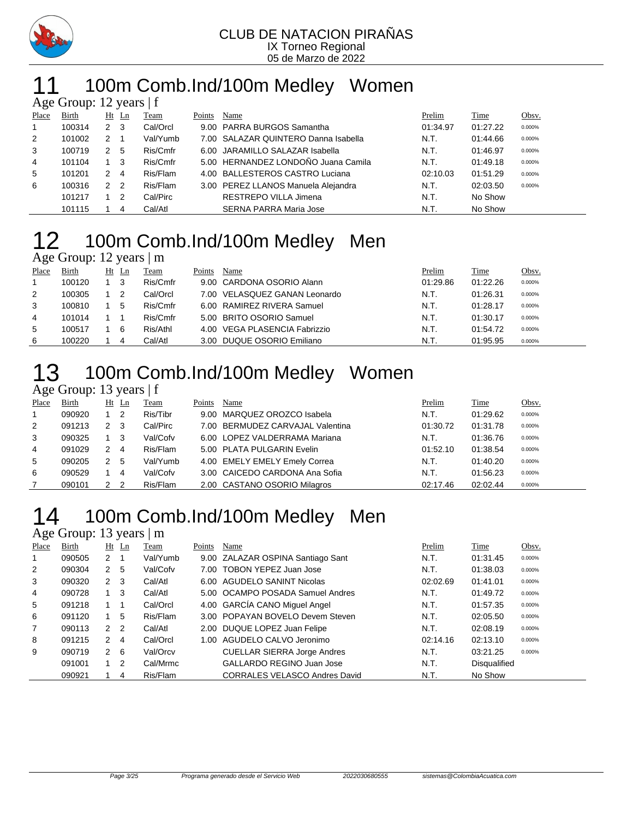

# 11 100m Comb.Ind/100m Medley Women

|                | Age Group: 12 years $ f $ |                |                |          |        |                                      |          |          |        |
|----------------|---------------------------|----------------|----------------|----------|--------|--------------------------------------|----------|----------|--------|
| Place          | <b>Birth</b>              |                | $Ht$ Ln        | Team     | Points | Name                                 | Prelim   | Time     | Obsv.  |
| $\overline{1}$ | 100314                    | $2 \quad 3$    |                | Cal/Orcl |        | 9.00 PARRA BURGOS Samantha           | 01:34.97 | 01:27.22 | 0.000% |
| 2              | 101002                    | $2 \quad 1$    |                | Val/Yumb |        | 7.00 SALAZAR QUINTERO Danna Isabella | N.T.     | 01:44.66 | 0.000% |
| 3              | 100719                    | 2 5            |                | Ris/Cmfr |        | 6.00 JARAMILLO SALAZAR Isabella      | N.T.     | 01:46.97 | 0.000% |
| 4              | 101104                    | $1 \quad 3$    |                | Ris/Cmfr |        | 5.00 HERNANDEZ LONDOÑO Juana Camila  | N.T.     | 01:49.18 | 0.000% |
| 5              | 101201                    | $2 \quad 4$    |                | Ris/Flam |        | 4.00 BALLESTEROS CASTRO Luciana      | 02:10.03 | 01:51.29 | 0.000% |
| 6              | 100316                    | 2 <sub>2</sub> |                | Ris/Flam |        | 3.00 PEREZ LLANOS Manuela Alejandra  | N.T.     | 02:03.50 | 0.000% |
|                | 101217                    |                | $\overline{2}$ | Cal/Pirc |        | RESTREPO VILLA Jimena                | N.T.     | No Show  |        |
|                | 101115                    |                | 4              | Cal/Atl  |        | SERNA PARRA Maria Jose               | N.T.     | No Show  |        |

### 100m Comb.Ind/100m Medley Men  $\overline{Age}$  Group: 12 years  $\overline{\phantom{a}}$  m

|       | $2.27$ $2.00$ $\mu$ $\mu$ $\mu$ $\mu$ $\mu$ $\mu$ |    |                   |          |        |                               |          |          |        |
|-------|---------------------------------------------------|----|-------------------|----------|--------|-------------------------------|----------|----------|--------|
| Place | <b>Birth</b>                                      | Ht | $\mathop{\rm Ln}$ | Team     | Points | Name                          | Prelim   | Time     | Obsv.  |
|       | 100120                                            |    | - 3               | Ris/Cmfr |        | 9.00 CARDONA OSORIO Alann     | 01:29.86 | 01:22.26 | 0.000% |
| 2     | 100305                                            |    | 2                 | Cal/Orcl |        | 7.00 VELASQUEZ GANAN Leonardo | N.T.     | 01:26.31 | 0.000% |
| 3     | 100810                                            |    | 5                 | Ris/Cmfr |        | 6.00 RAMIREZ RIVERA Samuel    | N.T.     | 01:28.17 | 0.000% |
| 4     | 101014                                            |    |                   | Ris/Cmfr |        | 5.00 BRITO OSORIO Samuel      | N.T.     | 01:30.17 | 0.000% |
| 5     | 100517                                            |    | 6                 | Ris/Athl |        | 4.00 VEGA PLASENCIA Fabrizzio | N.T.     | 01:54.72 | 0.000% |
| 6     | 100220                                            |    | 4                 | Cal/Atl  |        | 3.00 DUQUE OSORIO Emiliano    | N.T.     | 01:95.95 | 0.000% |

### 100m Comb.Ind/100m Medley Women

Age Group: 13 years | f

| Place        | Birth  |              | $Ht$ Ln        | Team     | Points | Name                             | Prelim   | Time     | Obsv.  |
|--------------|--------|--------------|----------------|----------|--------|----------------------------------|----------|----------|--------|
| $\mathbf{1}$ | 090920 |              | $\overline{2}$ | Ris/Tibr |        | 9.00 MARQUEZ OROZCO Isabela      | N.T.     | 01:29.62 | 0.000% |
| 2            | 091213 | 2            | -3             | Cal/Pirc |        | 7.00 BERMUDEZ CARVAJAL Valentina | 01:30.72 | 01:31.78 | 0.000% |
| 3            | 090325 |              | - 3            | Val/Cofv |        | 6.00 LOPEZ VALDERRAMA Mariana    | N.T.     | 01:36.76 | 0.000% |
| 4            | 091029 | 2            | -4             | Ris/Flam |        | 5.00 PLATA PULGARIN Evelin       | 01:52.10 | 01:38.54 | 0.000% |
| 5            | 090205 | 2            | -5             | Val/Yumb |        | 4.00 EMELY EMELY Emely Correa    | N.T.     | 01:40.20 | 0.000% |
| 6            | 090529 |              | 4              | Val/Cofv |        | 3.00 CAICEDO CARDONA Ana Sofia   | N.T.     | 01:56.23 | 0.000% |
|              | 090101 | $\mathbf{2}$ | $\overline{2}$ | Ris/Flam |        | 2.00 CASTANO OSORIO Milagros     | 02:17.46 | 02:02.44 | 0.000% |

# 100m Comb.Ind/100m Medley Men

### Age Group: 13 years | m

| Place          | Birth  |                      | $Ht$ Ln        | Team     | Points | Name                                 | Prelim   | Time         | Obsv.  |
|----------------|--------|----------------------|----------------|----------|--------|--------------------------------------|----------|--------------|--------|
| 1              | 090505 | 2                    |                | Val/Yumb |        | 9.00 ZALAZAR OSPINA Santiago Sant    | N.T.     | 01:31.45     | 0.000% |
| 2              | 090304 | $\mathbf{2}^{\circ}$ | -5             | Val/Cofv |        | 7.00 TOBON YEPEZ Juan Jose           | N.T.     | 01:38.03     | 0.000% |
| 3              | 090320 | 2                    | - 3            | Cal/Atl  |        | 6.00 AGUDELO SANINT Nicolas          | 02:02.69 | 01:41.01     | 0.000% |
| 4              | 090728 |                      | -3             | Cal/Atl  |        | 5.00 OCAMPO POSADA Samuel Andres     | N.T.     | 01:49.72     | 0.000% |
| 5              | 091218 |                      |                | Cal/Orcl |        | 4.00 GARCÍA CANO Miguel Angel        | N.T.     | 01:57.35     | 0.000% |
| 6              | 091120 |                      | 5              | Ris/Flam |        | 3.00 POPAYAN BOVELO Devem Steven     | N.T.     | 02:05.50     | 0.000% |
| $\overline{7}$ | 090113 | $\overline{2}$       | $\overline{2}$ | Cal/Atl  |        | 2.00 DUQUE LOPEZ Juan Felipe         | N.T.     | 02:08.19     | 0.000% |
| 8              | 091215 | 2                    | 4              | Cal/Orcl |        | 1.00 AGUDELO CALVO Jeronimo          | 02:14.16 | 02:13.10     | 0.000% |
| 9              | 090719 | 2                    | - 6            | Val/Orcv |        | <b>CUELLAR SIERRA Jorge Andres</b>   | N.T.     | 03:21.25     | 0.000% |
|                | 091001 |                      | -2             | Cal/Mrmc |        | <b>GALLARDO REGINO Juan Jose</b>     | N.T.     | Disqualified |        |
|                | 090921 |                      | 4              | Ris/Flam |        | <b>CORRALES VELASCO Andres David</b> | N.T.     | No Show      |        |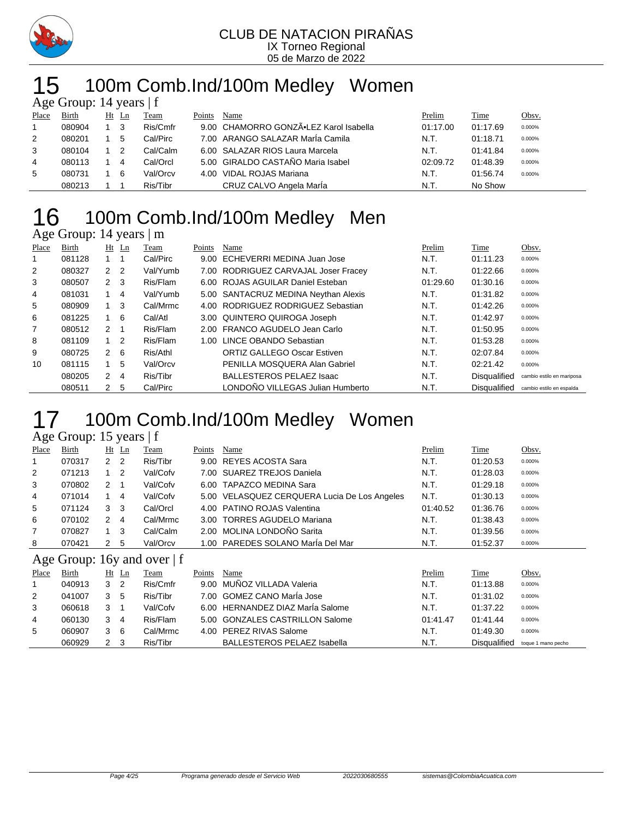

# 100m Comb.Ind/100m Medley Women

|       | Age Group: 14 years $ f $ |     |                            |          |        |                                        |          |             |        |  |  |  |
|-------|---------------------------|-----|----------------------------|----------|--------|----------------------------------------|----------|-------------|--------|--|--|--|
| Place | Birth                     |     | Ht Ln                      | Team     | Points | Name                                   | Prelim   | <u>Time</u> | Obsv.  |  |  |  |
|       | 080904                    | 1 3 |                            | Ris/Cmfr |        | 9.00 CHAMORRO GONZÃ.LEZ Karol Isabella | 01:17.00 | 01:17.69    | 0.000% |  |  |  |
| 2     | 080201                    |     | 5                          | Cal/Pirc |        | 7.00 ARANGO SALAZAR MarÍa Camila       | N.T.     | 01:18.71    | 0.000% |  |  |  |
| 3     | 080104                    |     | $\overline{\phantom{0}}^2$ | Cal/Calm |        | 6.00 SALAZAR RIOS Laura Marcela        | N.T.     | 01:41.84    | 0.000% |  |  |  |
| 4     | 080113                    |     | 4                          | Cal/Orcl |        | 5.00 GIRALDO CASTAÑO Maria Isabel      | 02:09.72 | 01:48.39    | 0.000% |  |  |  |
| 5     | 080731                    |     | -6                         | Val/Orcv | 4.00   | VIDAL ROJAS Mariana                    | N.T.     | 01:56.74    | 0.000% |  |  |  |
|       | 080213                    |     |                            | Ris/Tibr |        | CRUZ CALVO Angela María                | N.T.     | No Show     |        |  |  |  |

### 100m Comb.Ind/100m Medley Men

### Age Group: 14 years | m

| Place | Birth  |                | Ht Ln | Team     | Points | Name                                 | Prelim   | Time                | Obsv.                     |
|-------|--------|----------------|-------|----------|--------|--------------------------------------|----------|---------------------|---------------------------|
|       | 081128 | $1 \quad 1$    |       | Cal/Pirc |        | 9.00 ECHEVERRI MEDINA Juan Jose      | N.T.     | 01:11.23            | 0.000%                    |
| 2     | 080327 | 2 <sub>2</sub> |       | Val/Yumb |        | 7.00 RODRIGUEZ CARVAJAL Joser Fracey | N.T.     | 01:22.66            | 0.000%                    |
| 3     | 080507 | $2 \quad 3$    |       | Ris/Flam |        | 6.00 ROJAS AGUILAR Daniel Esteban    | 01:29.60 | 01:30.16            | 0.000%                    |
| 4     | 081031 |                | 4     | Val/Yumb |        | 5.00 SANTACRUZ MEDINA Neythan Alexis | N.T.     | 01:31.82            | 0.000%                    |
| 5     | 080909 |                | 3     | Cal/Mrmc |        | 4.00 RODRIGUEZ RODRIGUEZ Sebastian   | N.T.     | 01:42.26            | 0.000%                    |
| 6     | 081225 |                | 6     | Cal/Atl  |        | 3.00 QUINTERO QUIROGA Joseph         | N.T.     | 01:42.97            | 0.000%                    |
| 7     | 080512 | 2 1            |       | Ris/Flam |        | 2.00 FRANCO AGUDELO Jean Carlo       | N.T.     | 01:50.95            | 0.000%                    |
| 8     | 081109 | $1\quad 2$     |       | Ris/Flam | 1.00   | LINCE OBANDO Sebastian               | N.T.     | 01:53.28            | 0.000%                    |
| 9     | 080725 | $2 \quad 6$    |       | Ris/Athl |        | <b>ORTIZ GALLEGO Oscar Estiven</b>   | N.T.     | 02:07.84            | 0.000%                    |
| 10    | 081115 |                | 5     | Val/Orcv |        | PENILLA MOSQUERA Alan Gabriel        | N.T.     | 02:21.42            | 0.000%                    |
|       | 080205 | $\mathcal{P}$  | 4     | Ris/Tibr |        | <b>BALLESTEROS PELAEZ Isaac</b>      | N.T.     | <b>Disqualified</b> | cambio estilo en mariposa |
|       | 080511 | 2              | 5     | Cal/Pirc |        | LONDOÑO VILLEGAS Julian Humberto     | N.T.     | <b>Disqualified</b> | cambio estilo en espalda  |

# 17 100m Comb.Ind/100m Medley Women

#### Age Group: 15 years | f

| Place          | <b>Birth</b> |              | $Ht$ Ln | <u>Team</u> | Points | Name                                         | Prelim   | <b>Time</b> | Obsv.  |
|----------------|--------------|--------------|---------|-------------|--------|----------------------------------------------|----------|-------------|--------|
| -1             | 070317       | 2            | 2       | Ris/Tibr    |        | 9.00 REYES ACOSTA Sara                       | N.T.     | 01:20.53    | 0.000% |
| 2              | 071213       |              | 2       | Val/Cofv    |        | 7.00 SUAREZ TREJOS Daniela                   | N.T.     | 01:28.03    | 0.000% |
| 3              | 070802       | 2            |         | Val/Cofv    |        | 6.00 TAPAZCO MEDINA Sara                     | N.T.     | 01:29.18    | 0.000% |
| 4              | 071014       |              | 4       | Val/Cofv    |        | 5.00 VELASQUEZ CERQUERA Lucia De Los Angeles | N.T.     | 01:30.13    | 0.000% |
| 5              | 071124       | 3            | -3      | Cal/Orcl    |        | 4.00 PATINO ROJAS Valentina                  | 01:40.52 | 01:36.76    | 0.000% |
| 6              | 070102       | 2            | 4       | Cal/Mrmc    |        | 3.00 TORRES AGUDELO Mariana                  | N.T.     | 01:38.43    | 0.000% |
| $\overline{7}$ | 070827       | $1 \quad 3$  |         | Cal/Calm    |        | 2.00 MOLINA LONDOÑO Sarita                   | N.T.     | 01:39.56    | 0.000% |
| 8              | 070421       | $\mathbf{2}$ | 5       | Val/Orcv    |        | 1.00 PAREDES SOLANO María Del Mar            | N.T.     | 01:52.37    | 0.000% |
|                |              |              |         |             |        |                                              |          |             |        |

#### Age Group: 16y and over | f

| Place | Birth  |   | $Ht$ Ln | Team     | Points | Name                               | Prelim   | Time         | <u>Obsv.</u>       |
|-------|--------|---|---------|----------|--------|------------------------------------|----------|--------------|--------------------|
|       | 040913 | 3 | -2      | Ris/Cmfr |        | 9.00 MUÑOZ VILLADA Valeria         | N.T.     | 01:13.88     | 0.000%             |
| 2     | 041007 |   | 5       | Ris/Tibr |        | 7.00 GOMEZ CANO María Jose         | N.T.     | 01:31.02     | 0.000%             |
| 3     | 060618 | 3 |         | Val/Cofv |        | 6.00 HERNANDEZ DIAZ MarÍa Salome   | N.T.     | 01:37.22     | 0.000%             |
| 4     | 060130 | 3 | 4       | Ris/Flam |        | 5.00 GONZALES CASTRILLON Salome    | 01:41.47 | 01:41.44     | 0.000%             |
| 5     | 060907 | 3 | -6      | Cal/Mrmc |        | 4.00 PEREZ RIVAS Salome            | N.T.     | 01:49.30     | 0.000%             |
|       | 060929 |   |         | Ris/Tibr |        | <b>BALLESTEROS PELAEZ Isabella</b> | N.T.     | Disqualified | toque 1 mano pecho |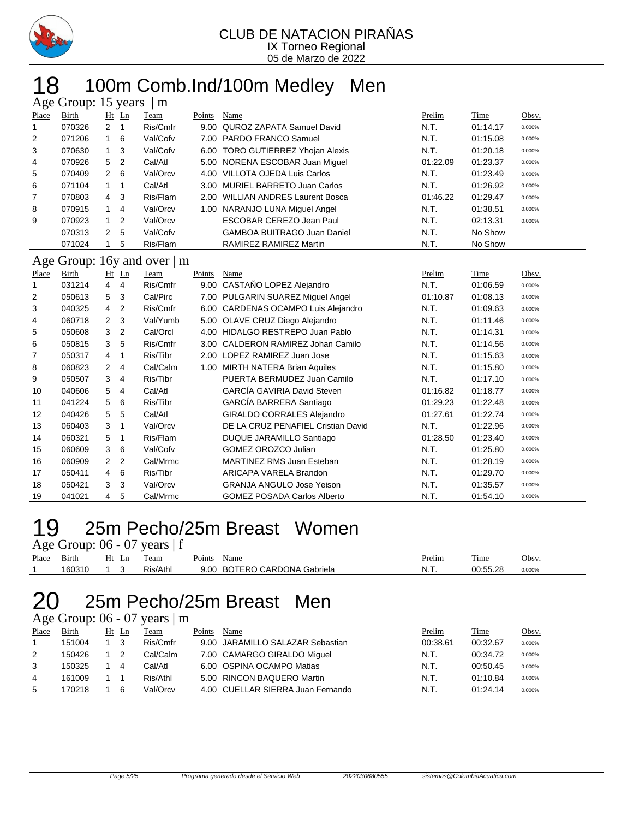

# 18 100m Comb.Ind/100m Medley Men

|       | Age Group: 15 years<br>m |                |                |                              |        |                                     |          |          |        |  |  |  |
|-------|--------------------------|----------------|----------------|------------------------------|--------|-------------------------------------|----------|----------|--------|--|--|--|
| Place | Birth                    |                | $Ht$ Ln        | Team                         | Points | Name                                | Prelim   | Time     | Obsv.  |  |  |  |
|       | 070326                   | $\overline{2}$ |                | Ris/Cmfr                     | 9.00   | QUROZ ZAPATA Samuel David           | N.T.     | 01:14.17 | 0.000% |  |  |  |
| 2     | 071206                   |                | 6              | Val/Cofv                     |        | 7.00 PARDO FRANCO Samuel            | N.T.     | 01:15.08 | 0.000% |  |  |  |
| 3     | 070630                   | 1              | -3             | Val/Cofv                     | 6.00   | <b>TORO GUTIERREZ Yhojan Alexis</b> | N.T.     | 01:20.18 | 0.000% |  |  |  |
| 4     | 070926                   | 5              | $\overline{2}$ | Cal/Atl                      |        | 5.00 NORENA ESCOBAR Juan Miquel     | 01:22.09 | 01:23.37 | 0.000% |  |  |  |
| 5     | 070409                   | $2 \quad 6$    |                | Val/Orcv                     | 4.00   | VILLOTA OJEDA Luis Carlos           | N.T.     | 01:23.49 | 0.000% |  |  |  |
| 6     | 071104                   | 1              |                | Cal/Atl                      |        | 3.00 MURIEL BARRETO Juan Carlos     | N.T.     | 01:26.92 | 0.000% |  |  |  |
| 7     | 070803                   | $\overline{4}$ | -3             | Ris/Flam                     | 2.00   | <b>WILLIAN ANDRES Laurent Bosca</b> | 01:46.22 | 01:29.47 | 0.000% |  |  |  |
| 8     | 070915                   | $\mathbf{1}$   | 4              | Val/Orcv                     | 1.00   | NARANJO LUNA Miquel Angel           | N.T.     | 01:38.51 | 0.000% |  |  |  |
| 9     | 070923                   | $\overline{1}$ | 2              | Val/Orcv                     |        | ESCOBAR CEREZO Jean Paul            | N.T.     | 02:13.31 | 0.000% |  |  |  |
|       | 070313                   | $\overline{2}$ | 5              | Val/Cofv                     |        | <b>GAMBOA BUITRAGO Juan Daniel</b>  | N.T.     | No Show  |        |  |  |  |
|       | 071024                   |                | 5              | Ris/Flam                     |        | RAMIREZ RAMIREZ Martin              | N.T.     | No Show  |        |  |  |  |
|       |                          |                |                | Age Group: 16y and over $ m$ |        |                                     |          |          |        |  |  |  |
| Place | Birth                    |                | $Ht$ Ln        | Team                         | Points | Name                                | Prelim   | Time     | Obsv.  |  |  |  |
|       | 031214                   | 4              | 4              | Ris/Cmfr                     | 9.00   | CASTAÑO LOPEZ Alejandro             | N.T.     | 01:06.59 | 0.000% |  |  |  |
| 2     | 050613                   | 5              | 3              | Cal/Pirc                     | 7.00   | PULGARIN SUAREZ Miguel Angel        | 01:10.87 | 01:08.13 | 0.000% |  |  |  |
|       |                          |                |                |                              |        |                                     |          |          |        |  |  |  |

| $\mathbf{z}$   | 050613 | 5.                   | 3              | Cal/Pirc |      | 7.00 PULGARIN SUAREZ Miquel Angel   | 01:10.87 | 01.08.13 | 0.000% |
|----------------|--------|----------------------|----------------|----------|------|-------------------------------------|----------|----------|--------|
| 3              | 040325 | $\overline{4}$       | $\overline{2}$ | Ris/Cmfr |      | 6.00 CARDENAS OCAMPO Luis Alejandro | N.T.     | 01:09.63 | 0.000% |
| 4              | 060718 | $\mathbf{2}$         | -3             | Val/Yumb |      | 5.00 OLAVE CRUZ Diego Alejandro     | N.T.     | 01:11.46 | 0.000% |
| 5              | 050608 | 3                    | $\overline{2}$ | Cal/Orcl |      | 4.00 HIDALGO RESTREPO Juan Pablo    | N.T.     | 01:14.31 | 0.000% |
| 6              | 050815 | 3                    | -5             | Ris/Cmfr |      | 3.00 CALDERON RAMIREZ Johan Camilo  | N.T.     | 01:14.56 | 0.000% |
| $\overline{7}$ | 050317 | 4                    | $\mathbf{1}$   | Ris/Tibr |      | 2.00 LOPEZ RAMIREZ Juan Jose        | N.T.     | 01:15.63 | 0.000% |
| 8              | 060823 | $\mathbf{2}^{\circ}$ | $\overline{4}$ | Cal/Calm | 1.00 | <b>MIRTH NATERA Brian Aquiles</b>   | N.T.     | 01:15.80 | 0.000% |
| 9              | 050507 | 3                    | $\overline{4}$ | Ris/Tibr |      | PUERTA BERMUDEZ Juan Camilo         | N.T.     | 01:17.10 | 0.000% |
| 10             | 040606 | 5                    | 4              | Cal/Atl  |      | GARCÍA GAVIRIA David Steven         | 01:16.82 | 01:18.77 | 0.000% |
| 11             | 041224 | 5                    | 6              | Ris/Tibr |      | GARCÍA BARRERA Santiago             | 01:29.23 | 01:22.48 | 0.000% |
| 12             | 040426 | 5                    | 5              | Cal/Atl  |      | <b>GIRALDO CORRALES Alejandro</b>   | 01:27.61 | 01:22.74 | 0.000% |
| 13             | 060403 | 3                    | -1             | Val/Orcv |      | DE LA CRUZ PENAFIEL Cristian David  | N.T.     | 01:22.96 | 0.000% |
| 14             | 060321 | 5                    | -1             | Ris/Flam |      | DUQUE JARAMILLO Santiago            | 01:28.50 | 01:23.40 | 0.000% |
| 15             | 060609 | 3                    | 6              | Val/Cofv |      | <b>GOMEZ OROZCO Julian</b>          | N.T.     | 01:25.80 | 0.000% |
| 16             | 060909 | $\mathbf{2}$         | $\overline{2}$ | Cal/Mrmc |      | MARTINEZ RMS Juan Esteban           | N.T.     | 01:28.19 | 0.000% |
| 17             | 050411 | 4                    | 6              | Ris/Tibr |      | ARICAPA VARELA Brandon              | N.T.     | 01:29.70 | 0.000% |
| 18             | 050421 | 3                    | -3             | Val/Orcv |      | <b>GRANJA ANGULO Jose Yeison</b>    | N.T.     | 01:35.57 | 0.000% |
| 19             | 041021 | 4                    | 5              | Cal/Mrmc |      | <b>GOMEZ POSADA Carlos Alberto</b>  | N.T.     | 01:54.10 | 0.000% |

# 25m Pecho/25m Breast Women

|       |            |  | Age Group: $06 - 07$ years $ f $ |             |                              |        |          |           |
|-------|------------|--|----------------------------------|-------------|------------------------------|--------|----------|-----------|
| Place | Birth      |  | Ht Ln Team                       | Points Name |                              | Prelim | Time     | Obsv.     |
|       | 160310 1 3 |  | Ris/Athl                         |             | 9.00 BOTERO CARDONA Gabriela | N.T.   | 00:55.28 | $0.000\%$ |

### 25m Pecho/25m Breast Men

### Age Group:  $06 - 07$  years  $\vert$  m

| Place | Birth  | Ht Ln | Team     | Points | Name                              | Prelim   | Time     | <u>Obsv.</u> |
|-------|--------|-------|----------|--------|-----------------------------------|----------|----------|--------------|
|       | 151004 | - 3   | Ris/Cmfr |        | 9.00 JARAMILLO SALAZAR Sebastian  | 00:38.61 | 00:32.67 | 0.000%       |
| 2     | 150426 |       | Cal/Calm |        | 7.00 CAMARGO GIRALDO Miquel       | N.T.     | 00:34.72 | 0.000%       |
| 3     | 150325 | 4     | Cal/Atl  |        | 6.00 OSPINA OCAMPO Matias         | N.T.     | 00:50.45 | 0.000%       |
| 4     | 161009 |       | Ris/Athl |        | 5.00 RINCON BAQUERO Martin        | N.T.     | 01:10.84 | 0.000%       |
| 5     | 70218  | 6     | Val/Orcv |        | 4.00 CUELLAR SIERRA Juan Fernando | N.T.     | 01:24.14 | 0.000%       |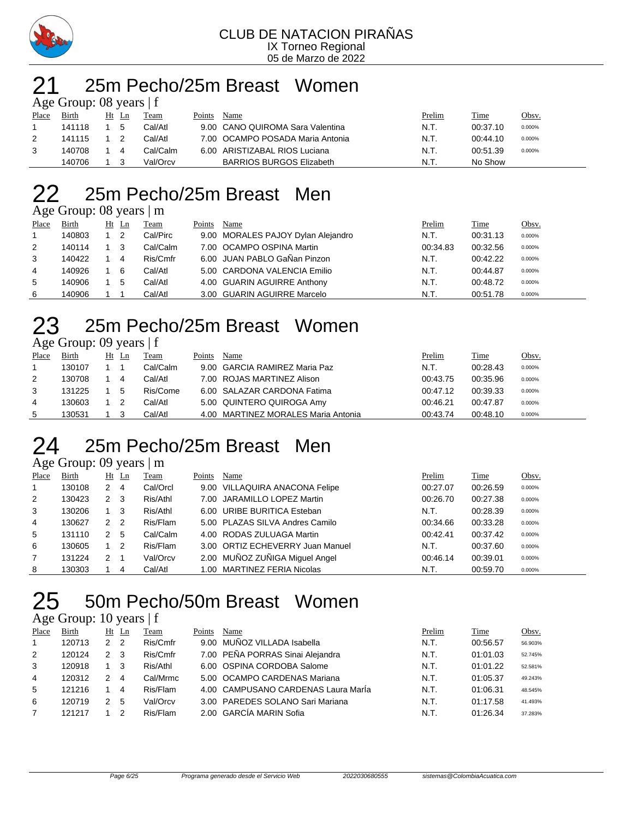

#### 25m Pecho/25m Breast Women  $\overline{0}$  Cross  $\overline{1}$  f

|       | $\Delta$ gu Oroup. Ob yuars $\pm$ |    |    |          |        |                                  |        |          |        |
|-------|-----------------------------------|----|----|----------|--------|----------------------------------|--------|----------|--------|
| Place | Birth                             | Ht | Ln | Team     | Points | Name                             | Prelim | Time     | Obsv.  |
|       | 141118                            |    | 5  | Cal/Atl  |        | 9.00 CANO QUIROMA Sara Valentina | N.T.   | 00:37.10 | 0.000% |
| 2     | 141115                            |    |    | Cal/Atl  |        | 7.00 OCAMPO POSADA Maria Antonia | N.T.   | 00:44.10 | 0.000% |
| 3     | 140708                            |    | 4  | Cal/Calm |        | 6.00 ARISTIZABAL RIOS Luciana    | N.T.   | 00:51.39 | 0.000% |
|       | 140706                            |    |    | Val/Orcv |        | <b>BARRIOS BURGOS Elizabeth</b>  | N.T    | No Show  |        |

### 25m Pecho/25m Breast Men

Age Group: 08 years | m

| Place | <b>Birth</b> | $Ht$ Ln |                | Team     | Points | Name                               | Prelim   | <b>Time</b> | Obsv.  |
|-------|--------------|---------|----------------|----------|--------|------------------------------------|----------|-------------|--------|
|       |              |         |                |          |        |                                    |          |             |        |
|       | 140803       |         | $\overline{2}$ | Cal/Pirc |        | 9.00 MORALES PAJOY Dylan Alejandro | N.T.     | 00:31.13    | 0.000% |
| 2     | 140114       | - 3     |                | Cal/Calm |        | 7.00 OCAMPO OSPINA Martin          | 00:34.83 | 00:32.56    | 0.000% |
| 3     | 140422       |         | -4             | Ris/Cmfr |        | 6.00 JUAN PABLO GaÑan Pinzon       | N.T.     | 00:42.22    | 0.000% |
| 4     | 140926       |         | 6              | Cal/Atl  |        | 5.00 CARDONA VALENCIA Emilio       | N.T.     | 00:44.87    | 0.000% |
| 5     | 140906       |         | 5              | Cal/Atl  |        | 4.00 GUARIN AGUIRRE Anthony        | N.T.     | 00:48.72    | 0.000% |
| 6     | 140906       |         |                | Cal/Atl  |        | 3.00 GUARIN AGUIRRE Marcelo        | N.T.     | 00:51.78    | 0.000% |

# 25m Pecho/25m Breast Women

| Age Group: 09 years   f |  |  |
|-------------------------|--|--|
|-------------------------|--|--|

| Place | <b>Birth</b> | $Ht$ Ln | Team     | Points | Name                                | Prelim   | <b>Time</b> | Obsv.  |
|-------|--------------|---------|----------|--------|-------------------------------------|----------|-------------|--------|
|       | 130107       |         | Cal/Calm |        | 9.00 GARCIA RAMIREZ Maria Paz       | N.T.     | 00:28.43    | 0.000% |
| 2     | 130708       | 4       | Cal/Atl  |        | 7.00 ROJAS MARTINEZ Alison          | 00:43.75 | 00:35.96    | 0.000% |
| 3     | 131225       | 5       | Ris/Come |        | 6.00 SALAZAR CARDONA Fatima         | 00:47.12 | 00:39.33    | 0.000% |
| 4     | 130603       |         | Cal/Atl  |        | 5.00 QUINTERO QUIROGA Amy           | 00:46.21 | 00:47.87    | 0.000% |
| 5     | 130531       |         | Cal/Atl  |        | 4.00 MARTINEZ MORALES Maria Antonia | 00:43.74 | 00:48.10    | 0.000% |

## 25m Pecho/25m Breast Men

|            | Age Group: 09 years   m |  |
|------------|-------------------------|--|
| ו התוכנת ה |                         |  |

| Place | Birth  |   | $Ht$ Ln        | Team     | Points | Name                             | Prelim   | Time     | Obsv.  |
|-------|--------|---|----------------|----------|--------|----------------------------------|----------|----------|--------|
|       | 130108 | 2 | 4              | Cal/Orcl |        | 9.00 VILLAQUIRA ANACONA Felipe   | 00:27.07 | 00:26.59 | 0.000% |
| 2     | 130423 | 2 | - 3            | Ris/Athl |        | 7.00 JARAMILLO LOPEZ Martin      | 00:26.70 | 00:27.38 | 0.000% |
| 3     | 130206 |   | -3             | Ris/Athl |        | 6.00 URIBE BURITICA Esteban      | N.T.     | 00:28.39 | 0.000% |
| 4     | 130627 | 2 | $\overline{2}$ | Ris/Flam |        | 5.00 PLAZAS SILVA Andres Camilo  | 00:34.66 | 00:33.28 | 0.000% |
| 5     | 131110 | 2 | -5             | Cal/Calm |        | 4.00 RODAS ZULUAGA Martin        | 00:42.41 | 00:37.42 | 0.000% |
| 6     | 130605 |   | -2             | Ris/Flam |        | 3.00 ORTIZ ECHEVERRY Juan Manuel | N.T.     | 00:37.60 | 0.000% |
|       | 131224 | 2 |                | Val/Orcv |        | 2.00 MUÑOZ ZUÑIGA Miguel Angel   | 00:46.14 | 00:39.01 | 0.000% |
| 8     | 130303 |   | 4              | Cal/Atl  |        | 1.00 MARTINEZ FERIA Nicolas      | N.T.     | 00:59.70 | 0.000% |

## 50m Pecho/50m Breast Women

### Age Group: 10 years | f

| Place        | Birth  |                | $Ht$ Ln | l`eam    | Points | Name                                | Prelim | Time     | Obsv.   |
|--------------|--------|----------------|---------|----------|--------|-------------------------------------|--------|----------|---------|
| $\mathbf{1}$ | 120713 | 2 <sub>2</sub> |         | Ris/Cmfr |        | 9.00 MUNOZ VILLADA Isabella         | N.T.   | 00:56.57 | 56.903% |
| 2            | 120124 | $\mathcal{P}$  | 3       | Ris/Cmfr |        | 7.00 PEÑA PORRAS Sinai Alejandra    | N.T.   | 01:01.03 | 52.745% |
| 3            | 120918 |                | 3       | Ris/Athl |        | 6.00 OSPINA CORDOBA Salome          | N.T.   | 01:01.22 | 52.581% |
| 4            | 120312 | 2              | 4       | Cal/Mrmc |        | 5.00 OCAMPO CARDENAS Mariana        | N.T.   | 01:05.37 | 49.243% |
| 5            | 121216 |                | 4       | Ris/Flam |        | 4.00 CAMPUSANO CARDENAS Laura Marla | N.T.   | 01:06.31 | 48.545% |
| 6            | 120719 | 2              | 5       | Val/Orcv |        | 3.00 PAREDES SOLANO Sari Mariana    | N.T.   | 01:17.58 | 41.493% |
|              | 121217 |                |         | Ris/Flam |        | 2.00 GARCÍA MARIN Sofia             | N.T.   | 01:26.34 | 37.283% |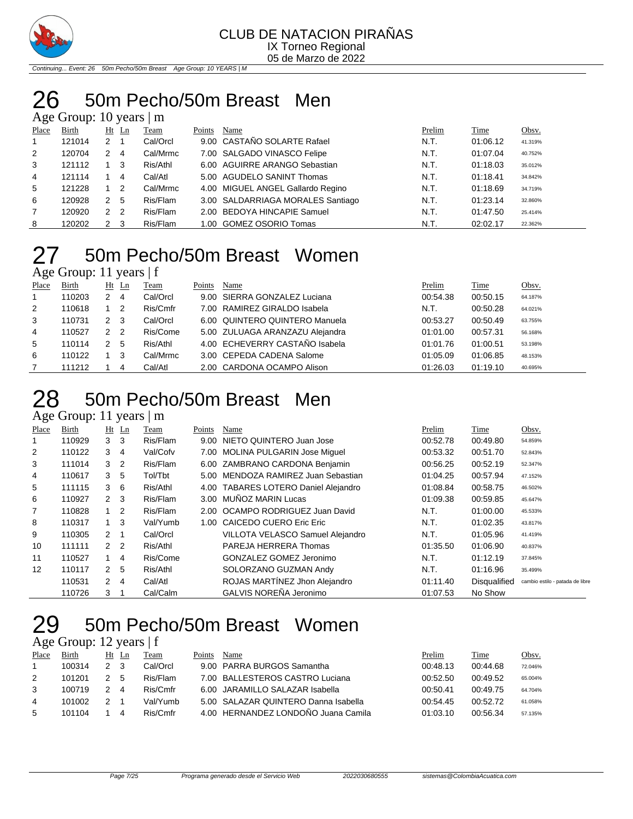

Continuing... Event: 26 50m Pecho/50m Breast Age Group: 10 YEARS | M

# 50m Pecho/50m Breast Men

### Age Group: 10 years | m

| Place | Birth  |                | $Ht$ Ln | Team     | Points | Name                              | Prelim | <b>Time</b> | Obsv.   |
|-------|--------|----------------|---------|----------|--------|-----------------------------------|--------|-------------|---------|
| 1     | 121014 | 2              |         | Cal/Orcl |        | 9.00 CASTAÑO SOLARTE Rafael       | N.T.   | 01:06.12    | 41.319% |
| 2     | 120704 | 2              | 4       | Cal/Mrmc |        | 7.00 SALGADO VINASCO Felipe       | N.T.   | 01:07.04    | 40.752% |
| 3     | 121112 |                | 3       | Ris/Athl |        | 6.00 AGUIRRE ARANGO Sebastian     | N.T.   | 01:18.03    | 35.012% |
| 4     | 121114 |                | 4       | Cal/Atl  |        | 5.00 AGUDELO SANINT Thomas        | N.T.   | 01:18.41    | 34.842% |
| 5     | 121228 |                | 2       | Cal/Mrmc |        | 4.00 MIGUEL ANGEL Gallardo Regino | N.T.   | 01:18.69    | 34.719% |
| 6     | 120928 | 2              | 5       | Ris/Flam |        | 3.00 SALDARRIAGA MORALES Santiago | N.T.   | 01:23.14    | 32.860% |
| 7     | 120920 | $\overline{2}$ | -2      | Ris/Flam |        | 2.00 BEDOYA HINCAPIE Samuel       | N.T.   | 01:47.50    | 25.414% |
| 8     | 120202 | 2              | 3       | Ris/Flam |        | 1.00 GOMEZ OSORIO Tomas           | N.T.   | 02:02.17    | 22.362% |

### 50m Pecho/50m Breast Women  $\overline{A}$ ge Group: 11 years | f

| ີ            |        |               |                |          |        |                                 |          |          |         |
|--------------|--------|---------------|----------------|----------|--------|---------------------------------|----------|----------|---------|
| Place        | Birth  | Ht            | Ln             | Team     | Points | Name                            | Prelim   | Time     | Obsv.   |
| $\mathbf{1}$ | 110203 | 2             | 4              | Cal/Orcl |        | 9.00 SIERRA GONZALEZ Luciana    | 00:54.38 | 00:50.15 | 64.187% |
| 2            | 110618 |               | 2              | Ris/Cmfr |        | 7.00 RAMIREZ GIRALDO Isabela    | N.T.     | 00:50.28 | 64.021% |
| 3            | 110731 | 2             | 3              | Cal/Orcl |        | 6.00 QUINTERO QUINTERO Manuela  | 00:53.27 | 00:50.49 | 63.755% |
| 4            | 110527 | $\mathcal{P}$ | $\overline{2}$ | Ris/Come |        | 5.00 ZULUAGA ARANZAZU Alejandra | 01:01.00 | 00:57.31 | 56.168% |
| 5            | 110114 | 2             | -5             | Ris/Athl |        | 4.00 ECHEVERRY CASTAÑO Isabela  | 01:01.76 | 01:00.51 | 53.198% |
| 6            | 110122 |               | 3              | Cal/Mrmc |        | 3.00 CEPEDA CADENA Salome       | 01:05.09 | 01:06.85 | 48.153% |
|              | 111212 |               | 4              | Cal/Atl  |        | 2.00 CARDONA OCAMPO Alison      | 01:26.03 | 01:19.10 | 40.695% |

### 50m Pecho/50m Breast Men

Age Group: 11 years | m

| Place | Birth  |                | $Ht$ Ln | Team     | Points | Name                                 | Prelim   | Time         | Obsv.                           |
|-------|--------|----------------|---------|----------|--------|--------------------------------------|----------|--------------|---------------------------------|
|       | 110929 | 3              | 3       | Ris/Flam | 9.00   | NIETO QUINTERO Juan Jose             | 00:52.78 | 00:49.80     | 54.859%                         |
| 2     | 110122 | 3              | 4       | Val/Cofv |        | 7.00 MOLINA PULGARIN Jose Miquel     | 00:53.32 | 00:51.70     | 52.843%                         |
| 3     | 111014 | 3              | 2       | Ris/Flam |        | 6.00 ZAMBRANO CARDONA Benjamin       | 00:56.25 | 00:52.19     | 52.347%                         |
| 4     | 110617 | 3              | -5      | Tol/Tbt  |        | 5.00 MENDOZA RAMIREZ Juan Sebastian  | 01:04.25 | 00:57.94     | 47.152%                         |
| 5     | 111115 | 3              | 6       | Ris/Athl |        | 4.00 TABARES LOTERO Daniel Alejandro | 01:08.84 | 00:58.75     | 46.502%                         |
| 6     | 110927 | $2 \quad 3$    |         | Ris/Flam |        | 3.00 MUÑOZ MARIN Lucas               | 01:09.38 | 00:59.85     | 45.647%                         |
| 7     | 110828 |                | 2       | Ris/Flam |        | 2.00 OCAMPO RODRIGUEZ Juan David     | N.T.     | 01:00.00     | 45.533%                         |
| 8     | 110317 | $\overline{1}$ | 3       | Val/Yumb |        | 1.00 CAICEDO CUERO Eric Eric         | N.T.     | 01:02.35     | 43.817%                         |
| 9     | 110305 | $2 \quad 1$    |         | Cal/Orcl |        | VILLOTA VELASCO Samuel Alejandro     | N.T.     | 01:05.96     | 41.419%                         |
| 10    | 111111 | 2 <sub>2</sub> |         | Ris/Athl |        | PAREJA HERRERA Thomas                | 01:35.50 | 01:06.90     | 40.837%                         |
| 11    | 110527 |                | 4       | Ris/Come |        | GONZALEZ GOMEZ Jeronimo              | N.T.     | 01:12.19     | 37.845%                         |
| 12    | 110117 | $\mathbf{2}$   | -5      | Ris/Athl |        | SOLORZANO GUZMAN Andy                | N.T.     | 01:16.96     | 35.499%                         |
|       | 110531 | $\mathbf{2}$   | 4       | Cal/Atl  |        | ROJAS MARTÍNEZ Jhon Alejandro        | 01:11.40 | Disqualified | cambio estilo - patada de libre |
|       | 110726 | 3              |         | Cal/Calm |        | GALVIS NOREÑA Jeronimo               | 01:07.53 | No Show      |                                 |

### 50m Pecho/50m Breast Women

### Age Group: 12 years | f

| Place          | Birth  | Ht Ln |   | l`eam    | Points | Name                                 | Prelim   | Time     | Obsv.   |
|----------------|--------|-------|---|----------|--------|--------------------------------------|----------|----------|---------|
|                | 100314 | 23    |   | Cal/Orcl |        | 9.00 PARRA BURGOS Samantha           | 00:48.13 | 00:44.68 | 72.046% |
| 2              | 101201 |       | 5 | Ris/Flam |        | 7.00 BALLESTEROS CASTRO Luciana      | 00:52.50 | 00:49.52 | 65.004% |
| 3              | 100719 |       | 4 | Ris/Cmfr |        | 6.00 JARAMILLO SALAZAR Isabella      | 00:50.41 | 00:49.75 | 64.704% |
| $\overline{4}$ | 101002 |       |   | Val/Yumb |        | 5.00 SALAZAR QUINTERO Danna Isabella | 00:54.45 | 00:52.72 | 61.058% |
| 5              | 101104 |       |   | Ris/Cmfr |        | 4.00 HERNANDEZ LONDOÑO Juana Camila  | 01:03.10 | 00:56.34 | 57.135% |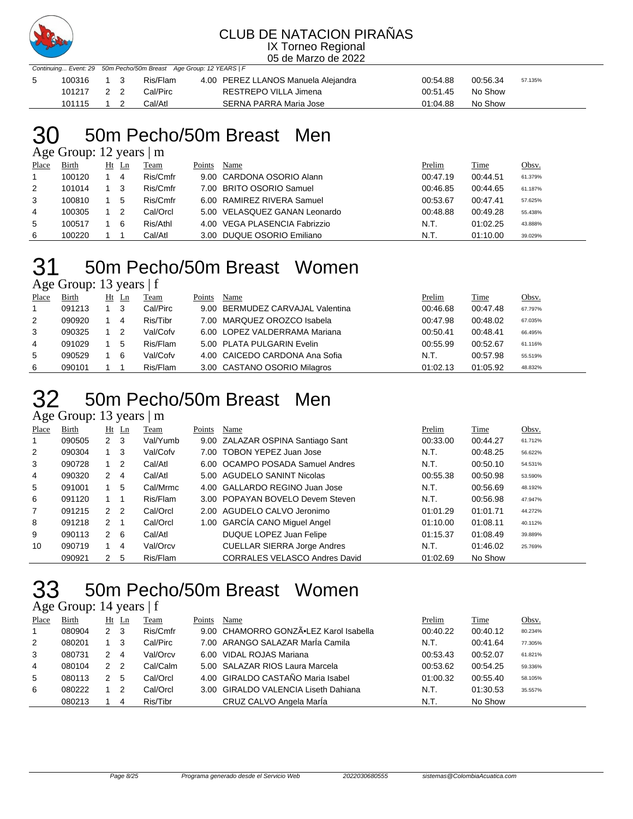

### CLUB DE NATACION PIRAÑAS

IX Torneo Regional 05 de Marzo de 2022

| Continuing Event: 29 50m Pecho/50m Breast Age Group: 12 YEARS   F |            |  |  |          |                                     |          |          |         |  |  |
|-------------------------------------------------------------------|------------|--|--|----------|-------------------------------------|----------|----------|---------|--|--|
|                                                                   | 100316 1 3 |  |  | Ris/Flam | 4.00 PEREZ LLANOS Manuela Alejandra | 00:54.88 | 00:56.34 | 57.135% |  |  |
|                                                                   | 101217 2 2 |  |  | Cal/Pirc | RESTREPO VILLA Jimena               | 00:51.45 | No Show  |         |  |  |
|                                                                   | 101115 1 2 |  |  | Cal/Atl  | SERNA PARRA Maria Jose              | 01:04.88 | No Show  |         |  |  |

# 50m Pecho/50m Breast Men

Age Group: 12 years | m

| Place | <b>Birth</b> | Ht Ln | Team     | Points | Name                          | Prelim   | Time     | Obsv.   |
|-------|--------------|-------|----------|--------|-------------------------------|----------|----------|---------|
|       | 100120       | 4     | Ris/Cmfr |        | 9.00 CARDONA OSORIO Alann     | 00:47.19 | 00:44.51 | 61.379% |
| 2     | 101014       |       | Ris/Cmfr |        | 7.00 BRITO OSORIO Samuel      | 00:46.85 | 00:44.65 | 61.187% |
| 3     | 100810       | 5     | Ris/Cmfr |        | 6.00 RAMIREZ RIVERA Samuel    | 00:53.67 | 00:47.41 | 57.625% |
| 4     | 100305       |       | Cal/Orcl |        | 5.00 VELASQUEZ GANAN Leonardo | 00:48.88 | 00:49.28 | 55.438% |
| 5     | 100517       | 6     | Ris/Athl |        | 4.00 VEGA PLASENCIA Fabrizzio | N.T.     | 01:02.25 | 43.888% |
| 6     | 100220       |       | Cal/Atl  |        | 3.00 DUQUE OSORIO Emiliano    | N.T.     | 01:10.00 | 39.029% |

# 50m Pecho/50m Breast Women

Age Group: 13 years | f

| Place | Birth  | $Ht$ Ln | Team     | Points | Name                             | Prelim   | Time     | Obsv.   |
|-------|--------|---------|----------|--------|----------------------------------|----------|----------|---------|
|       | 091213 | -3      | Cal/Pirc |        | 9.00 BERMUDEZ CARVAJAL Valentina | 00:46.68 | 00:47.48 | 67.797% |
| 2     | 090920 | 4       | Ris/Tibr |        | 7.00 MARQUEZ OROZCO Isabela      | 00:47.98 | 00:48.02 | 67.035% |
| 3     | 090325 | -2      | Val/Cofv |        | 6.00 LOPEZ VALDERRAMA Mariana    | 00:50.41 | 00:48.41 | 66.495% |
| 4     | 091029 | 5       | Ris/Flam |        | 5.00 PLATA PULGARIN Evelin       | 00:55.99 | 00:52.67 | 61.116% |
| 5     | 090529 | 6       | Val/Cofv |        | 4.00 CAICEDO CARDONA Ana Sofia   | N.T.     | 00:57.98 | 55.519% |
| 6     | 090101 |         | Ris/Flam |        | 3.00 CASTANO OSORIO Milagros     | 01:02.13 | 01:05.92 | 48.832% |

# 50m Pecho/50m Breast Men

Age Group: 13 years | m

| Place          | Birth  |                | $Ht$ Ln | Team     | Points | Name                                 | Prelim   | Time     | Obsv.   |
|----------------|--------|----------------|---------|----------|--------|--------------------------------------|----------|----------|---------|
|                | 090505 | $2 \quad 3$    |         | Val/Yumb |        | 9.00 ZALAZAR OSPINA Santiago Sant    | 00:33.00 | 00:44.27 | 61.712% |
| 2              | 090304 |                | 3       | Val/Cofv | 7.00   | <b>TOBON YEPEZ Juan Jose</b>         | N.T.     | 00:48.25 | 56.622% |
| 3              | 090728 | $1\quad 2$     |         | Cal/Atl  |        | 6.00 OCAMPO POSADA Samuel Andres     | N.T.     | 00:50.10 | 54.531% |
| 4              | 090320 | 2              | -4      | Cal/Atl  |        | 5.00 AGUDELO SANINT Nicolas          | 00:55.38 | 00:50.98 | 53.590% |
| 5              | 091001 |                | 5       | Cal/Mrmc |        | 4.00 GALLARDO REGINO Juan Jose       | N.T.     | 00:56.69 | 48.192% |
| 6              | 091120 | 1 1            |         | Ris/Flam |        | 3.00 POPAYAN BOVELO Devem Steven     | N.T.     | 00:56.98 | 47.947% |
| $\overline{7}$ | 091215 | 2 <sub>2</sub> |         | Cal/Orcl |        | 2.00 AGUDELO CALVO Jeronimo          | 01:01.29 | 01:01.71 | 44.272% |
| 8              | 091218 | 2 <sub>1</sub> |         | Cal/Orcl |        | 1.00 GARCÍA CANO Miguel Angel        | 01:10.00 | 01:08.11 | 40.112% |
| 9              | 090113 | $2 \quad 6$    |         | Cal/Atl  |        | DUQUE LOPEZ Juan Felipe              | 01:15.37 | 01:08.49 | 39.889% |
| 10             | 090719 |                | 4       | Val/Orcv |        | <b>CUELLAR SIERRA Jorge Andres</b>   | N.T.     | 01:46.02 | 25.769% |
|                | 090921 | 2              | 5       | Ris/Flam |        | <b>CORRALES VELASCO Andres David</b> | 01:02.69 | No Show  |         |

## 50m Pecho/50m Breast Women

### Age Group: 14 years | f

| Place | Birth  |                | Ht Ln | Team     | Points | Name                                   | Prelim   | Time     | Obsv.   |
|-------|--------|----------------|-------|----------|--------|----------------------------------------|----------|----------|---------|
|       | 080904 | 2 <sub>3</sub> |       | Ris/Cmfr |        | 9.00 CHAMORRO GONZÃ.LEZ Karol Isabella | 00:40.22 | 00:40.12 | 80.234% |
| 2     | 080201 |                | -3    | Cal/Pirc |        | 7.00 ARANGO SALAZAR MarÍa Camila       | N.T.     | 00:41.64 | 77.305% |
| 3     | 080731 | 2              | -4    | Val/Orcv |        | 6.00 VIDAL ROJAS Mariana               | 00:53.43 | 00:52.07 | 61.821% |
| 4     | 080104 | 2              | - 2   | Cal/Calm |        | 5.00 SALAZAR RIOS Laura Marcela        | 00:53.62 | 00:54.25 | 59.336% |
| 5     | 080113 |                | 5     | Cal/Orcl |        | 4.00 GIRALDO CASTAÑO Maria Isabel      | 01:00.32 | 00:55.40 | 58.105% |
| 6     | 080222 |                | -2    | Cal/Orcl |        | 3.00 GIRALDO VALENCIA Liseth Dahiana   | N.T.     | 01:30.53 | 35.557% |
|       | 080213 |                | 4     | Ris/Tibr |        | CRUZ CALVO Angela MarÍa                | N.T.     | No Show  |         |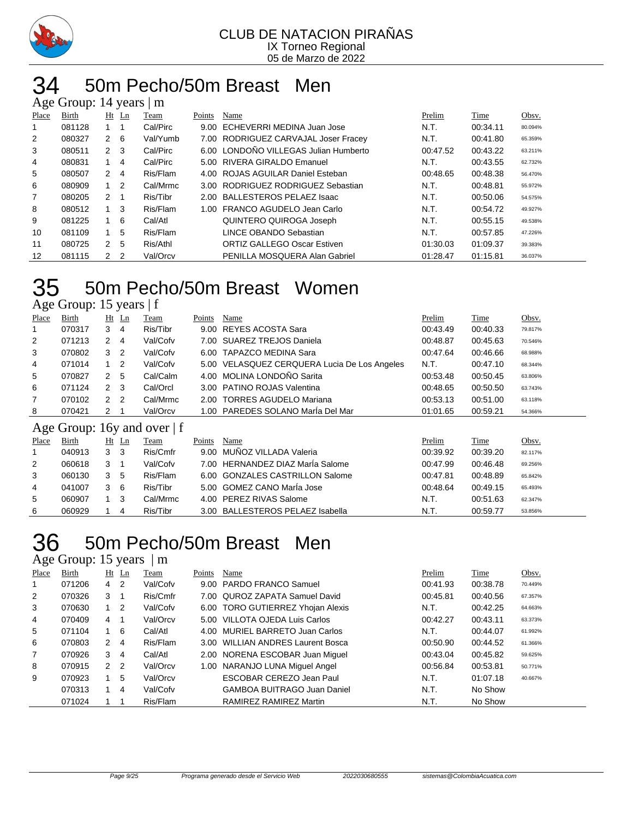

#### 50m Pecho/50m Breast Men  $\mathbf{B}$  14  $\mathbf{y}$

|                | $\Delta g$ c Oroup. $1 + y$ cars $\Delta f$ III |                |    |          |        |                                       |          |          |         |  |  |  |
|----------------|-------------------------------------------------|----------------|----|----------|--------|---------------------------------------|----------|----------|---------|--|--|--|
| Place          | Birth                                           | $Ht$ Ln        |    | Team     | Points | Name                                  | Prelim   | Time     | Obsv.   |  |  |  |
|                | 081128                                          |                |    | Cal/Pirc | 9.00   | ECHEVERRI MEDINA Juan Jose            | N.T.     | 00:34.11 | 80.094% |  |  |  |
| $\overline{2}$ | 080327                                          | $2 \quad 6$    |    | Val/Yumb |        | 7.00 RODRIGUEZ CARVAJAL Joser Fracey  | N.T.     | 00:41.80 | 65.359% |  |  |  |
| 3              | 080511                                          | $2 \quad 3$    |    | Cal/Pirc |        | 6.00 LONDOÑO VILLEGAS Julian Humberto | 00:47.52 | 00:43.22 | 63.211% |  |  |  |
| 4              | 080831                                          |                | 4  | Cal/Pirc |        | 5.00 RIVERA GIRALDO Emanuel           | N.T.     | 00:43.55 | 62.732% |  |  |  |
| 5              | 080507                                          | $\overline{2}$ | 4  | Ris/Flam |        | 4.00 ROJAS AGUILAR Daniel Esteban     | 00:48.65 | 00:48.38 | 56.470% |  |  |  |
| 6              | 080909                                          | $1\quad 2$     |    | Cal/Mrmc |        | 3.00 RODRIGUEZ RODRIGUEZ Sebastian    | N.T.     | 00:48.81 | 55.972% |  |  |  |
| 7              | 080205                                          | $\mathcal{P}$  |    | Ris/Tibr |        | 2.00 BALLESTEROS PELAEZ Isaac         | N.T.     | 00:50.06 | 54.575% |  |  |  |
| 8              | 080512                                          |                | -3 | Ris/Flam |        | 1.00 FRANCO AGUDELO Jean Carlo        | N.T.     | 00:54.72 | 49.927% |  |  |  |
| 9              | 081225                                          | $1\quad 6$     |    | Cal/Atl  |        | QUINTERO QUIROGA Joseph               | N.T.     | 00:55.15 | 49.538% |  |  |  |
| 10             | 081109                                          |                | 5  | Ris/Flam |        | LINCE OBANDO Sebastian                | N.T.     | 00:57.85 | 47.226% |  |  |  |
| 11             | 080725                                          | $\mathcal{P}$  | 5  | Ris/Athl |        | <b>ORTIZ GALLEGO Oscar Estiven</b>    | 01:30.03 | 01:09.37 | 39.383% |  |  |  |
| 12             | 081115                                          | $\mathbf{2}$   | -2 | Val/Orcv |        | PENILLA MOSQUERA Alan Gabriel         | 01:28.47 | 01:15.81 | 36.037% |  |  |  |

## 50m Pecho/50m Breast Women

Age Group: 15 years | f

| Place          | Birth  |               | $Ht$ Ln | Team                            | Points | Name                                         | Prelim   | <b>Time</b> | Obsv.   |
|----------------|--------|---------------|---------|---------------------------------|--------|----------------------------------------------|----------|-------------|---------|
| $\overline{1}$ | 070317 | 3             | 4       | Ris/Tibr                        |        | 9.00 REYES ACOSTA Sara                       | 00:43.49 | 00:40.33    | 79.817% |
| 2              | 071213 | 2             | 4       | Val/Cofv                        |        | 7.00 SUAREZ TREJOS Daniela                   | 00:48.87 | 00:45.63    | 70.546% |
| 3              | 070802 | 3             | -2      | Val/Cofv                        |        | 6.00 TAPAZCO MEDINA Sara                     | 00:47.64 | 00:46.66    | 68.988% |
| 4              | 071014 |               | 2       | Val/Cofv                        |        | 5.00 VELASQUEZ CERQUERA Lucia De Los Angeles | N.T.     | 00:47.10    | 68.344% |
| 5              | 070827 | 2             | -5      | Cal/Calm                        |        | 4.00 MOLINA LONDOÑO Sarita                   | 00:53.48 | 00:50.45    | 63.806% |
| 6              | 071124 | 2             | -3      | Cal/Orcl                        |        | 3.00 PATINO ROJAS Valentina                  | 00:48.65 | 00:50.50    | 63.743% |
| $\overline{7}$ | 070102 | $\mathcal{P}$ | -2      | Cal/Mrmc                        |        | 2.00 TORRES AGUDELO Mariana                  | 00:53.13 | 00:51.00    | 63.118% |
| 8              | 070421 | 2             |         | Val/Orcv                        |        | 1.00 PAREDES SOLANO MarÍa Del Mar            | 01:01.65 | 00:59.21    | 54.366% |
|                |        |               |         | Age Group: $16v$ and over $ f $ |        |                                              |          |             |         |

#### Age Group: 16y and over | f

| Place | Birth  |   | Ht Ln | Team     | Points | Name                             | Prelim   | Time     | Obsv.   |
|-------|--------|---|-------|----------|--------|----------------------------------|----------|----------|---------|
|       | 040913 | 3 | 3     | Ris/Cmfr |        | 9.00 MUÑOZ VILLADA Valeria       | 00:39.92 | 00:39.20 | 82.117% |
| 2     | 060618 |   |       | Val/Cofv |        | 7.00 HERNANDEZ DIAZ MarÍa Salome | 00:47.99 | 00:46.48 | 69.256% |
| 3     | 060130 |   | 5     | Ris/Flam |        | 6.00 GONZALES CASTRILLON Salome  | 00:47.81 | 00:48.89 | 65.842% |
| 4     | 041007 |   | -6    | Ris/Tibr |        | 5.00 GOMEZ CANO María Jose       | 00:48.64 | 00:49.15 | 65.493% |
| 5     | 060907 |   | 3     | Cal/Mrmc |        | 4.00 PEREZ RIVAS Salome          | N.T.     | 00:51.63 | 62.347% |
| 6     | 060929 |   | 4     | Ris/Tibr |        | 3.00 BALLESTEROS PELAEZ Isabella | N.T.     | 00:59.77 | 53.856% |

## 50m Pecho/50m Breast Men

Age Group: 15 years | m

| Place | Birth  | $Ht$ Ln        |                | Team     | Points | Name                               | Prelim   | Time     | Obsv.   |
|-------|--------|----------------|----------------|----------|--------|------------------------------------|----------|----------|---------|
|       | 071206 | $4\quad 2$     |                | Val/Cofv |        | 9.00 PARDO FRANCO Samuel           | 00:41.93 | 00:38.78 | 70.449% |
| 2     | 070326 | 3 1            |                | Ris/Cmfr |        | 7.00 QUROZ ZAPATA Samuel David     | 00:45.81 | 00:40.56 | 67.357% |
| 3     | 070630 | $1\quad 2$     |                | Val/Cofv |        | 6.00 TORO GUTIERREZ Yhojan Alexis  | N.T.     | 00:42.25 | 64.663% |
| 4     | 070409 | $4 \quad 1$    |                | Val/Orcv |        | 5.00 VILLOTA OJEDA Luis Carlos     | 00:42.27 | 00:43.11 | 63.373% |
| 5     | 071104 | $1\quad 6$     |                | Cal/Atl  |        | 4.00 MURIEL BARRETO Juan Carlos    | N.T.     | 00:44.07 | 61.992% |
| 6     | 070803 | $2 \quad 4$    |                | Ris/Flam |        | 3.00 WILLIAN ANDRES Laurent Bosca  | 00:50.90 | 00:44.52 | 61.366% |
| 7     | 070926 | 3              | $\overline{4}$ | Cal/Atl  |        | 2.00 NORENA ESCOBAR Juan Miquel    | 00:43.04 | 00:45.82 | 59.625% |
| 8     | 070915 | 2 <sub>2</sub> |                | Val/Orcv | 1.00   | NARANJO LUNA Miquel Angel          | 00:56.84 | 00:53.81 | 50.771% |
| 9     | 070923 |                | 5              | Val/Orcv |        | ESCOBAR CEREZO Jean Paul           | N.T.     | 01:07.18 | 40.667% |
|       | 070313 |                | 4              | Val/Cofv |        | <b>GAMBOA BUITRAGO Juan Daniel</b> | N.T.     | No Show  |         |
|       | 071024 |                |                | Ris/Flam |        | RAMIREZ RAMIREZ Martin             | N.T.     | No Show  |         |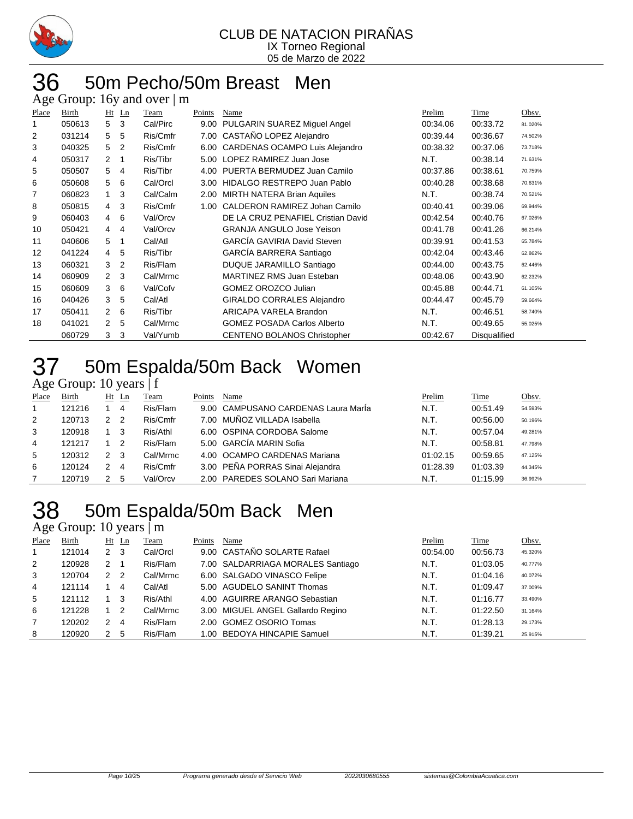

#### 50m Pecho/50m Breast Men Age Group: 16y and over  $\mathsf{m}$

|       | $1.45$ Oroup. To $y$ |                |         | $\frac{1}{2}$ |        |                                       |          |              |         |
|-------|----------------------|----------------|---------|---------------|--------|---------------------------------------|----------|--------------|---------|
| Place | Birth                |                | $Ht$ Ln | Team          | Points | Name                                  | Prelim   | Time         | Obsv.   |
| 1     | 050613               | 5              | 3       | Cal/Pirc      | 9.00   | PULGARIN SUAREZ Miguel Angel          | 00:34.06 | 00:33.72     | 81.020% |
| 2     | 031214               | 5              | 5       | Ris/Cmfr      | 7.00   | CASTAÑO LOPEZ Alejandro               | 00:39.44 | 00:36.67     | 74.502% |
| 3     | 040325               | 5              | 2       | Ris/Cmfr      | 6.00   | <b>CARDENAS OCAMPO Luis Alejandro</b> | 00:38.32 | 00:37.06     | 73.718% |
| 4     | 050317               | $\mathbf{2}$   |         | Ris/Tibr      | 5.00   | LOPEZ RAMIREZ Juan Jose               | N.T.     | 00:38.14     | 71.631% |
| 5     | 050507               | 5              | 4       | Ris/Tibr      | 4.00   | PUERTA BERMUDEZ Juan Camilo           | 00:37.86 | 00:38.61     | 70.759% |
| 6     | 050608               | 5              | 6       | Cal/Orcl      | 3.00   | HIDALGO RESTREPO Juan Pablo           | 00:40.28 | 00:38.68     | 70.631% |
| 7     | 060823               | 1              | 3       | Cal/Calm      | 2.00   | <b>MIRTH NATERA Brian Aquiles</b>     | N.T.     | 00:38.74     | 70.521% |
| 8     | 050815               | $\overline{4}$ | 3       | Ris/Cmfr      | 1.00   | CALDERON RAMIREZ Johan Camilo         | 00:40.41 | 00:39.06     | 69.944% |
| 9     | 060403               | $\overline{4}$ | 6       | Val/Orcv      |        | DE LA CRUZ PENAFIEL Cristian David    | 00:42.54 | 00:40.76     | 67.026% |
| 10    | 050421               | $\overline{4}$ | 4       | Val/Orcv      |        | <b>GRANJA ANGULO Jose Yeison</b>      | 00:41.78 | 00:41.26     | 66.214% |
| 11    | 040606               | 5              |         | Cal/Atl       |        | <b>GARCÍA GAVIRIA David Steven</b>    | 00:39.91 | 00:41.53     | 65.784% |
| 12    | 041224               | 4              | 5       | Ris/Tibr      |        | GARCIA BARRERA Santiago               | 00:42.04 | 00:43.46     | 62.862% |
| 13    | 060321               | 3              | 2       | Ris/Flam      |        | DUQUE JARAMILLO Santiago              | 00:44.00 | 00:43.75     | 62.446% |
| 14    | 060909               | $\mathcal{P}$  | 3       | Cal/Mrmc      |        | <b>MARTINEZ RMS Juan Esteban</b>      | 00:48.06 | 00:43.90     | 62.232% |
| 15    | 060609               | 3              | 6       | Val/Cofv      |        | <b>GOMEZ OROZCO Julian</b>            | 00:45.88 | 00:44.71     | 61.105% |
| 16    | 040426               | 3              | 5       | Cal/Atl       |        | <b>GIRALDO CORRALES Alejandro</b>     | 00:44.47 | 00:45.79     | 59.664% |
| 17    | 050411               | $\mathbf{2}$   | 6       | Ris/Tibr      |        | ARICAPA VARELA Brandon                | N.T.     | 00:46.51     | 58.740% |
| 18    | 041021               | $\mathcal{P}$  | 5       | Cal/Mrmc      |        | <b>GOMEZ POSADA Carlos Alberto</b>    | N.T.     | 00:49.65     | 55.025% |
|       | 060729               | 3              | 3       | Val/Yumb      |        | <b>CENTENO BOLANOS Christopher</b>    | 00:42.67 | Disqualified |         |
|       |                      |                |         |               |        |                                       |          |              |         |

### 50m Espalda/50m Back Women

### Age Group: 10 years | f

| Place | Birth  |               | $Ht$ Ln        | Team     | Points | Name                                | Prelim   | Time     | Obsv.   |
|-------|--------|---------------|----------------|----------|--------|-------------------------------------|----------|----------|---------|
|       | 121216 |               | 4              | Ris/Flam |        | 9.00 CAMPUSANO CARDENAS Laura María | N.T.     | 00:51.49 | 54.593% |
| 2     | 120713 | 2             | $\overline{2}$ | Ris/Cmfr |        | 7.00 MUÑOZ VILLADA Isabella         | N.T.     | 00:56.00 | 50.196% |
| 3     | 120918 |               | 3              | Ris/Athl |        | 6.00 OSPINA CORDOBA Salome          | N.T.     | 00:57.04 | 49.281% |
| 4     | 121217 |               | -2             | Ris/Flam |        | 5.00 GARCÍA MARIN Sofia             | N.T.     | 00:58.81 | 47.798% |
| 5     | 120312 | $\mathcal{P}$ | - 3            | Cal/Mrmc |        | 4.00 OCAMPO CARDENAS Mariana        | 01:02.15 | 00:59.65 | 47.125% |
| 6     | 120124 | 2             | -4             | Ris/Cmfr |        | 3.00 PEÑA PORRAS Sinai Alejandra    | 01:28.39 | 01:03.39 | 44.345% |
|       | 120719 | 2             | 5              | Val/Orcv |        | 2.00 PAREDES SOLANO Sari Mariana    | N.T.     | 01:15.99 | 36.992% |

# 50m Espalda/50m Back Men

#### Age Group: 10 years | m Place Birth Ht Ln Team Points Name Prelim Time Obsv. 121014 2 3 Cal/Orcl 9.00 CASTAÑO SOLARTE Rafael 00:54.00 00:56.73 45.320% 120928 2 1 Ris/Flam 7.00 SALDARRIAGA MORALES Santiago N.T. 01:03.05 40.777% 120704 2 2 Cal/Mrmc 6.00 SALGADO VINASCO Felipe N.T. 01:04.16 40.072% 121114 1 4 Cal/Atl 5.00 AGUDELO SANINT Thomas N.T. 01:09.47 37.009% 121112 1 3 Ris/Athl 4.00 AGUIRRE ARANGO Sebastian N.T. 01:16.77 33.490% 121228 1 2 Cal/Mrmc 3.00 MIGUEL ANGEL Gallardo Regino N.T. 01:22.50 31.164% 120202 2 4 Ris/Flam 2.00 GOMEZ OSORIO Tomas N.T. 01:28.13 29.173% 120920 2 5 Ris/Flam 1.00 BEDOYA HINCAPIE Samuel N.T. 01:39.21 25.915%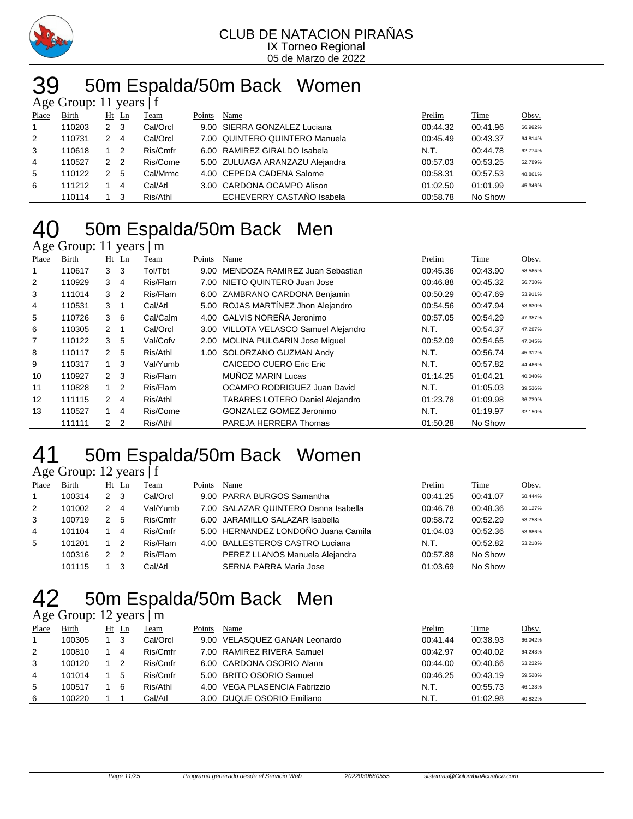

# 50m Espalda/50m Back Women

|              | Age Group: 11 years $ f $ |                |                |          |        |                                 |          |             |         |  |  |  |  |
|--------------|---------------------------|----------------|----------------|----------|--------|---------------------------------|----------|-------------|---------|--|--|--|--|
| Place        | <b>Birth</b>              |                | $Ht$ Ln        | Team     | Points | Name                            | Prelim   | <b>Time</b> | Obsv.   |  |  |  |  |
| $\mathbf{1}$ | 110203                    | 2 3            |                | Cal/Orcl |        | 9.00 SIERRA GONZALEZ Luciana    | 00:44.32 | 00:41.96    | 66.992% |  |  |  |  |
| 2            | 110731                    | 2              | -4             | Cal/Orcl |        | 7.00 QUINTERO QUINTERO Manuela  | 00:45.49 | 00:43.37    | 64.814% |  |  |  |  |
| 3            | 110618                    |                | $\overline{2}$ | Ris/Cmfr |        | 6.00 RAMIREZ GIRALDO Isabela    | N.T.     | 00:44.78    | 62.774% |  |  |  |  |
| 4            | 110527                    | 2 <sub>2</sub> |                | Ris/Come |        | 5.00 ZULUAGA ARANZAZU Alejandra | 00:57.03 | 00:53.25    | 52.789% |  |  |  |  |
| 5            | 110122                    | 2              | 5              | Cal/Mrmc |        | 4.00 CEPEDA CADENA Salome       | 00:58.31 | 00:57.53    | 48.861% |  |  |  |  |
| 6            | 111212                    |                | 4              | Cal/Atl  |        | 3.00 CARDONA OCAMPO Alison      | 01:02.50 | 01:01.99    | 45.346% |  |  |  |  |
|              | 110114                    |                | - 3            | Ris/Athl |        | ECHEVERRY CASTAÑO Isabela       | 00:58.78 | No Show     |         |  |  |  |  |

### 50m Espalda/50m Back Men

### Age Group: 11 years | m

| Place | Birth  | $Ht$ Ln        |                | Team     | Points | Name                                   | Prelim   | Time     | Obsv.   |
|-------|--------|----------------|----------------|----------|--------|----------------------------------------|----------|----------|---------|
|       | 110617 | 3 <sub>3</sub> |                | Tol/Tbt  | 9.00   | MENDOZA RAMIREZ Juan Sebastian         | 00:45.36 | 00:43.90 | 58.565% |
| 2     | 110929 | 3 <sup>1</sup> | $\overline{4}$ | Ris/Flam | 7.00   | NIETO QUINTERO Juan Jose               | 00:46.88 | 00:45.32 | 56.730% |
| 3     | 111014 | 3 <sub>2</sub> |                | Ris/Flam |        | 6.00 ZAMBRANO CARDONA Benjamin         | 00:50.29 | 00:47.69 | 53.911% |
| 4     | 110531 | 3 1            |                | Cal/Atl  |        | 5.00 ROJAS MARTÍNEZ Jhon Alejandro     | 00:54.56 | 00:47.94 | 53.630% |
| 5     | 110726 | $3\quad 6$     |                | Cal/Calm |        | 4.00 GALVIS NOREÑA Jeronimo            | 00:57.05 | 00:54.29 | 47.357% |
| 6     | 110305 | $2 \quad 1$    |                | Cal/Orcl |        | 3.00 VILLOTA VELASCO Samuel Alejandro  | N.T.     | 00:54.37 | 47.287% |
| 7     | 110122 | 3 <sub>5</sub> |                | Val/Cofv |        | 2.00 MOLINA PULGARIN Jose Miquel       | 00:52.09 | 00:54.65 | 47.045% |
| 8     | 110117 | 2 <sub>5</sub> |                | Ris/Athl | 1.00   | SOLORZANO GUZMAN Andy                  | N.T.     | 00:56.74 | 45.312% |
| 9     | 110317 | $1 \quad 3$    |                | Val/Yumb |        | CAICEDO CUERO Eric Eric                | N.T.     | 00:57.82 | 44.466% |
| 10    | 110927 | $2 \quad 3$    |                | Ris/Flam |        | MUÑOZ MARIN Lucas                      | 01:14.25 | 01:04.21 | 40.040% |
| 11    | 110828 | $1\quad 2$     |                | Ris/Flam |        | OCAMPO RODRIGUEZ Juan David            | N.T.     | 01:05.03 | 39.536% |
| 12    | 111115 | $2 \quad 4$    |                | Ris/Athl |        | <b>TABARES LOTERO Daniel Alejandro</b> | 01:23.78 | 01:09.98 | 36.739% |
| 13    | 110527 | 1              | $\overline{4}$ | Ris/Come |        | GONZALEZ GOMEZ Jeronimo                | N.T.     | 01:19.97 | 32.150% |
|       | 111111 | 2 <sub>2</sub> |                | Ris/Athl |        | PAREJA HERRERA Thomas                  | 01:50.28 | No Show  |         |

### 50m Espalda/50m Back Women

### Age Group: 12 years | f

| Place        | Birth  |               | $Ht$ Ln        | Team     | Points | Name                                 | Prelim   | Time     | Obsv.   |
|--------------|--------|---------------|----------------|----------|--------|--------------------------------------|----------|----------|---------|
| $\mathbf{1}$ | 100314 | 2             | -3             | Cal/Orcl |        | 9.00 PARRA BURGOS Samantha           | 00:41.25 | 00:41.07 | 68.444% |
| 2            | 101002 | 2             | -4             | Val/Yumb |        | 7.00 SALAZAR QUINTERO Danna Isabella | 00:46.78 | 00:48.36 | 58.127% |
| 3            | 100719 | 2             | -5             | Ris/Cmfr |        | 6.00 JARAMILLO SALAZAR Isabella      | 00:58.72 | 00:52.29 | 53.758% |
| 4            | 101104 |               | -4             | Ris/Cmfr |        | 5.00 HERNANDEZ LONDOÑO Juana Camila  | 01:04.03 | 00:52.36 | 53.686% |
| 5            | 101201 |               | -2             | Ris/Flam |        | 4.00 BALLESTEROS CASTRO Luciana      | N.T.     | 00:52.82 | 53.218% |
|              | 100316 | $\mathcal{P}$ | $\overline{2}$ | Ris/Flam |        | PEREZ LLANOS Manuela Alejandra       | 00:57.88 | No Show  |         |
|              | 101115 |               |                | Cal/Atl  |        | <b>SERNA PARRA Maria Jose</b>        | 01:03.69 | No Show  |         |

# 42 50m Espalda/50m Back Men

|       | Age Group: 12 years $\mid$ m |  |         |          |        |                               |          |             |         |  |  |
|-------|------------------------------|--|---------|----------|--------|-------------------------------|----------|-------------|---------|--|--|
| Place | <b>Birth</b>                 |  | $Ht$ Ln | Team     | Points | Name                          | Prelim   | <b>Time</b> | Obsv.   |  |  |
|       | 100305                       |  | - 3     | Cal/Orcl |        | 9.00 VELASQUEZ GANAN Leonardo | 00:41.44 | 00:38.93    | 66.042% |  |  |
| 2     | 100810                       |  | -4      | Ris/Cmfr |        | 7.00 RAMIREZ RIVERA Samuel    | 00:42.97 | 00:40.02    | 64.243% |  |  |
| 3     | 100120                       |  | - 2     | Ris/Cmfr |        | 6.00 CARDONA OSORIO Alann     | 00:44.00 | 00:40.66    | 63.232% |  |  |
| 4     | 101014                       |  | 5       | Ris/Cmfr |        | 5.00 BRITO OSORIO Samuel      | 00:46.25 | 00:43.19    | 59.528% |  |  |
| 5     | 100517                       |  | -6      | Ris/Athl |        | 4.00 VEGA PLASENCIA Fabrizzio | N.T.     | 00:55.73    | 46.133% |  |  |
| 6     | 100220                       |  |         | Cal/Atl  |        | 3.00 DUQUE OSORIO Emiliano    | N.T.     | 01:02.98    | 40.822% |  |  |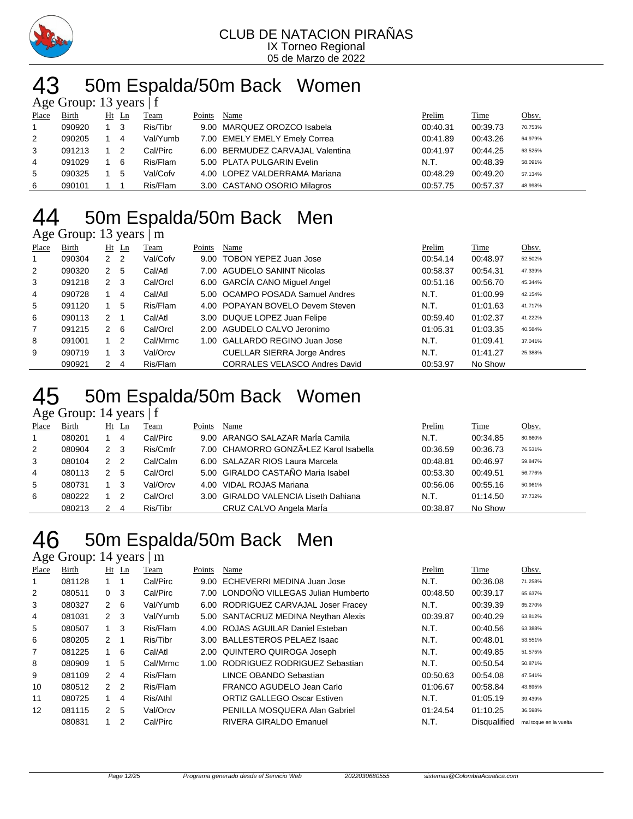

# 43 50m Espalda/50m Back Women

|                | Age Group: 13 years $ f $ |     |       |          |        |                                  |          |          |         |  |  |
|----------------|---------------------------|-----|-------|----------|--------|----------------------------------|----------|----------|---------|--|--|
| Place          | Birth                     |     | Ht Ln | Team     | Points | Name                             | Prelim   | Time     | Obsv.   |  |  |
|                | 090920                    | 1 3 |       | Ris/Tibr |        | 9.00 MARQUEZ OROZCO Isabela      | 00:40.31 | 00:39.73 | 70.753% |  |  |
| 2              | 090205                    |     | 4     | Val/Yumb |        | 7.00 EMELY EMELY Emely Correa    | 00:41.89 | 00:43.26 | 64.979% |  |  |
| 3              | 091213                    |     | -2    | Cal/Pirc |        | 6.00 BERMUDEZ CARVAJAL Valentina | 00:41.97 | 00:44.25 | 63.525% |  |  |
| $\overline{4}$ | 091029                    |     | - 6   | Ris/Flam |        | 5.00 PLATA PULGARIN Evelin       | N.T.     | 00:48.39 | 58.091% |  |  |
| 5              | 090325                    |     | 5     | Val/Cofv |        | 4.00 LOPEZ VALDERRAMA Mariana    | 00:48.29 | 00:49.20 | 57.134% |  |  |
| 6              | 090101                    |     |       | Ris/Flam |        | 3.00 CASTANO OSORIO Milagros     | 00:57.75 | 00:57.37 | 48.998% |  |  |

### 50m Espalda/50m Back Men

### Age Group: 13 years | m

| Place          | Birth  |                | $Ht$ Ln | Team     | Points | Name                                 | Prelim   | Time     | Obsv.   |
|----------------|--------|----------------|---------|----------|--------|--------------------------------------|----------|----------|---------|
| 1              | 090304 | 2 <sub>2</sub> |         | Val/Cofv |        | 9.00 TOBON YEPEZ Juan Jose           | 00:54.14 | 00:48.97 | 52.502% |
| 2              | 090320 | $\mathbf{2}$   | -5      | Cal/Atl  |        | 7.00 AGUDELO SANINT Nicolas          | 00:58.37 | 00:54.31 | 47.339% |
| 3              | 091218 | $2 \quad 3$    |         | Cal/Orcl |        | 6.00 GARCÍA CANO Miquel Angel        | 00:51.16 | 00:56.70 | 45.344% |
| $\overline{4}$ | 090728 |                | 4       | Cal/Atl  |        | 5.00 OCAMPO POSADA Samuel Andres     | N.T.     | 01:00.99 | 42.154% |
| 5              | 091120 |                | 5       | Ris/Flam |        | 4.00 POPAYAN BOVELO Devem Steven     | N.T.     | 01:01.63 | 41.717% |
| 6              | 090113 | $\mathcal{P}$  | - 1     | Cal/Atl  |        | 3.00 DUQUE LOPEZ Juan Felipe         | 00:59.40 | 01:02.37 | 41.222% |
| $\overline{7}$ | 091215 | $2\quad 6$     |         | Cal/Orcl |        | 2.00 AGUDELO CALVO Jeronimo          | 01:05.31 | 01:03.35 | 40.584% |
| 8              | 091001 | $1\quad 2$     |         | Cal/Mrmc |        | 1.00 GALLARDO REGINO Juan Jose       | N.T.     | 01:09.41 | 37.041% |
| 9              | 090719 |                | - 3     | Val/Orcv |        | <b>CUELLAR SIERRA Jorge Andres</b>   | N.T.     | 01:41.27 | 25.388% |
|                | 090921 | 2              | -4      | Ris/Flam |        | <b>CORRALES VELASCO Andres David</b> | 00:53.97 | No Show  |         |

### 50m Espalda/50m Back Women 50m Esp:<br>Age Group: 14 years | f

| Place | Birth  | Ht Ln |     | Team     | Points | Name                                   | Prelim   | Time     | <u>Obsv.</u> |
|-------|--------|-------|-----|----------|--------|----------------------------------------|----------|----------|--------------|
|       | 080201 |       | 4   | Cal/Pirc |        | 9.00 ARANGO SALAZAR MarÍa Camila       | N.T.     | 00:34.85 | 80.660%      |
| 2     | 080904 | 2     | - 3 | Ris/Cmfr |        | 7.00 CHAMORRO GONZÃ.LEZ Karol Isabella | 00:36.59 | 00:36.73 | 76.531%      |
| 3     | 080104 | 2     | -2  | Cal/Calm |        | 6.00 SALAZAR RIOS Laura Marcela        | 00:48.81 | 00:46.97 | 59.847%      |
| 4     | 080113 |       | 5   | Cal/Orcl |        | 5.00 GIRALDO CASTAÑO Maria Isabel      | 00:53.30 | 00:49.51 | 56.776%      |
| 5     | 080731 |       | -3  | Val/Orcv |        | 4.00 VIDAL ROJAS Mariana               | 00:56.06 | 00:55.16 | 50.961%      |
| 6     | 080222 |       | 2   | Cal/Orcl |        | 3.00 GIRALDO VALENCIA Liseth Dahiana   | N.T.     | 01:14.50 | 37.732%      |
|       | 080213 |       | 4   | Ris/Tibr |        | CRUZ CALVO Angela MarÍa                | 00:38.87 | No Show  |              |

### 50m Espalda/50m Back Men

Age Group: 14 years | m

| Place | Birth  |                | $Ht$ Ln        | Team     | Points | Name                                  | Prelim   | Time                | Obsv.                  |
|-------|--------|----------------|----------------|----------|--------|---------------------------------------|----------|---------------------|------------------------|
|       | 081128 |                |                | Cal/Pirc |        | 9.00 ECHEVERRI MEDINA Juan Jose       | N.T.     | 00:36.08            | 71.258%                |
| 2     | 080511 | 0 <sup>3</sup> |                | Cal/Pirc |        | 7.00 LONDOÑO VILLEGAS Julian Humberto | 00:48.50 | 00:39.17            | 65.637%                |
| 3     | 080327 | $2 \quad 6$    |                | Val/Yumb |        | 6.00 RODRIGUEZ CARVAJAL Joser Fracey  | N.T.     | 00:39.39            | 65.270%                |
| 4     | 081031 | $2 \quad 3$    |                | Val/Yumb |        | 5.00 SANTACRUZ MEDINA Neythan Alexis  | 00:39.87 | 00:40.29            | 63.812%                |
| 5     | 080507 | $1 \quad 3$    |                | Ris/Flam |        | 4.00 ROJAS AGUILAR Daniel Esteban     | N.T.     | 00:40.56            | 63.388%                |
| 6     | 080205 | $2 \quad 1$    |                | Ris/Tibr |        | 3.00 BALLESTEROS PELAEZ Isaac         | N.T.     | 00:48.01            | 53.551%                |
| 7     | 081225 | $1\quad 6$     |                | Cal/Atl  |        | 2.00 QUINTERO QUIROGA Joseph          | N.T.     | 00:49.85            | 51.575%                |
| 8     | 080909 | 1              | 5              | Cal/Mrmc | 1.00   | RODRIGUEZ RODRIGUEZ Sebastian         | N.T.     | 00:50.54            | 50.871%                |
| 9     | 081109 | $2 \quad 4$    |                | Ris/Flam |        | LINCE OBANDO Sebastian                | 00:50.63 | 00:54.08            | 47.541%                |
| 10    | 080512 | 2 <sub>2</sub> |                | Ris/Flam |        | FRANCO AGUDELO Jean Carlo             | 01:06.67 | 00:58.84            | 43.695%                |
| 11    | 080725 |                | $\overline{4}$ | Ris/Athl |        | <b>ORTIZ GALLEGO Oscar Estiven</b>    | N.T.     | 01:05.19            | 39.439%                |
| 12    | 081115 | 2 5            |                | Val/Orcv |        | PENILLA MOSQUERA Alan Gabriel         | 01:24.54 | 01:10.25            | 36.598%                |
|       | 080831 |                | 2              | Cal/Pirc |        | RIVERA GIRALDO Emanuel                | N.T.     | <b>Disqualified</b> | mal toque en la vuelta |
|       |        |                |                |          |        |                                       |          |                     |                        |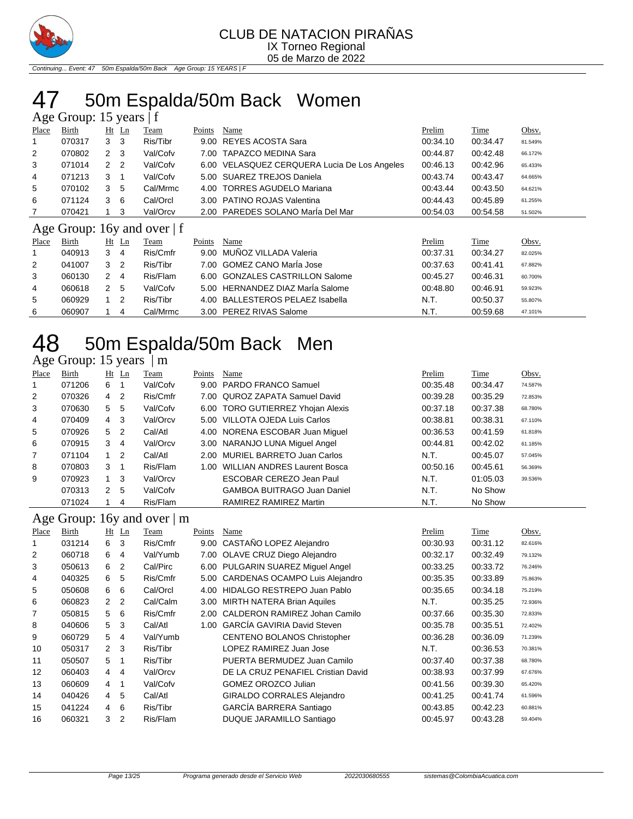

Continuing... Event: 47 50m Espalda/50m Back Age Group: 15 YEARS | F

# 47 50m Espalda/50m Back Women

| Age Group: 15 years   f |  |  |
|-------------------------|--|--|
|-------------------------|--|--|

| ັ              |        |                |    |                               |        |                                              |          |             |         |
|----------------|--------|----------------|----|-------------------------------|--------|----------------------------------------------|----------|-------------|---------|
| Place          | Birth  | $Ht$ Ln        |    | Team                          | Points | Name                                         | Prelim   | <b>Time</b> | Obsv.   |
| 1              | 070317 | 3<br>- 3       |    | Ris/Tibr                      |        | 9.00 REYES ACOSTA Sara                       | 00:34.10 | 00:34.47    | 81.549% |
| $\overline{2}$ | 070802 | $2 \quad 3$    |    | Val/Cofv                      |        | 7.00 TAPAZCO MEDINA Sara                     | 00:44.87 | 00:42.48    | 66.172% |
| 3              | 071014 | 2 <sub>2</sub> |    | Val/Cofv                      |        | 6.00 VELASQUEZ CERQUERA Lucia De Los Angeles | 00:46.13 | 00:42.96    | 65.433% |
| $\overline{4}$ | 071213 | 3              |    | Val/Cofv                      |        | 5.00 SUAREZ TREJOS Daniela                   | 00:43.74 | 00:43.47    | 64.665% |
| 5              | 070102 | 3              | 5  | Cal/Mrmc                      |        | 4.00 TORRES AGUDELO Mariana                  | 00:43.44 | 00:43.50    | 64.621% |
| 6              | 071124 | 3<br>- 6       |    | Cal/Orcl                      |        | 3.00 PATINO ROJAS Valentina                  | 00:44.43 | 00:45.89    | 61.255% |
|                | 070421 | -3             |    | Val/Orcv                      |        | 2.00 PAREDES SOLANO Maria Del Mar            | 00:54.03 | 00:54.58    | 51.502% |
|                |        |                |    | Age Group: 16y and over $ f $ |        |                                              |          |             |         |
| Place          | Birth  | $Ht$ Ln        |    | Team                          | Points | Name                                         | Prelim   | Time        | Obsv.   |
|                | 040913 | 3              | -4 | Ris/Cmfr                      | 9.00   | MUÑOZ VILLADA Valeria                        | 00:37.31 | 00:34.27    | 82.025% |
| 2              | 041007 | 3              | 2  | Ris/Tibr                      |        | 7.00 GOMEZ CANO María Jose                   | 00:37.63 | 00:41.41    | 67.882% |

|    | 041007 | 3 2 | Ris/Tibr | 7.00 GOMEZ CANO Marla Jose       | 00:37.63 | 00:41.41 | 67.882% |
|----|--------|-----|----------|----------------------------------|----------|----------|---------|
|    | 060130 | 2 4 | Ris/Flam | 6.00 GONZALES CASTRILLON Salome  | 00:45.27 | 00:46.31 | 60.700% |
| 4  | 060618 | 2 5 | Val/Cofv | 5.00 HERNANDEZ DIAZ Marla Salome | 00:48.80 | 00:46.91 | 59.923% |
| -5 | 060929 | 1 2 | Ris/Tibr | 4.00 BALLESTEROS PELAEZ Isabella | N.T.     | 00:50.37 | 55.807% |
| 6  | 060907 |     | Cal/Mrmc | 3.00 PEREZ RIVAS Salome          | N.T.     | 00:59.68 | 47.101% |

### 50m Espalda/50m Back Men 48 50m Espal<br>Age Group: 15 years | m

| Place          | Birth  |                | $Ht$ Ln        | Team     | Points | Name                                | Prelim   | Time     | Obsv.   |
|----------------|--------|----------------|----------------|----------|--------|-------------------------------------|----------|----------|---------|
| $\mathbf{1}$   | 071206 | 6              |                | Val/Cofv |        | 9.00 PARDO FRANCO Samuel            | 00:35.48 | 00:34.47 | 74.587% |
| $\overline{2}$ | 070326 | $\overline{4}$ | 2              | Ris/Cmfr |        | 7.00 QUROZ ZAPATA Samuel David      | 00:39.28 | 00:35.29 | 72.853% |
| 3              | 070630 | 5              | -5             | Val/Cofv |        | 6.00 TORO GUTIERREZ Yhojan Alexis   | 00:37.18 | 00:37.38 | 68.780% |
| 4              | 070409 | $4 \quad 3$    |                | Val/Orcv |        | 5.00 VILLOTA OJEDA Luis Carlos      | 00:38.81 | 00:38.31 | 67.110% |
| 5              | 070926 | 5              | $\overline{2}$ | Cal/Atl  |        | 4.00 NORENA ESCOBAR Juan Miguel     | 00:36.53 | 00:41.59 | 61.818% |
| 6              | 070915 | 3              | 4              | Val/Orcv |        | 3.00 NARANJO LUNA Miquel Angel      | 00:44.81 | 00:42.02 | 61.185% |
| $\overline{7}$ | 071104 |                | - 2            | Cal/Atl  |        | 2.00 MURIEL BARRETO Juan Carlos     | N.T.     | 00:45.07 | 57.045% |
| 8              | 070803 | 3 <sub>1</sub> |                | Ris/Flam | 1.00   | <b>WILLIAN ANDRES Laurent Bosca</b> | 00:50.16 | 00:45.61 | 56.369% |
| 9              | 070923 | $1 \quad 3$    |                | Val/Orcv |        | ESCOBAR CEREZO Jean Paul            | N.T.     | 01:05.03 | 39.536% |
|                | 070313 | 2              | -5             | Val/Cofv |        | <b>GAMBOA BUITRAGO Juan Daniel</b>  | N.T.     | No Show  |         |
|                | 071024 |                | 4              | Ris/Flam |        | RAMIREZ RAMIREZ Martin              | N.T.     | No Show  |         |

#### Age Group: 16y and over | m

| Place | Birth  | $Ht$ Ln              |                | Team     | Points | Name                                  | Prelim   | Time     | Obsv.   |
|-------|--------|----------------------|----------------|----------|--------|---------------------------------------|----------|----------|---------|
|       | 031214 | 6                    | 3              | Ris/Cmfr | 9.00   | CASTAÑO LOPEZ Alejandro               | 00:30.93 | 00:31.12 | 82.616% |
| 2     | 060718 | 6                    | 4              | Val/Yumb | 7.00   | OLAVE CRUZ Diego Alejandro            | 00:32.17 | 00:32.49 | 79.132% |
| 3     | 050613 | 6                    | 2              | Cal/Pirc | 6.00   | PULGARIN SUAREZ Miguel Angel          | 00:33.25 | 00:33.72 | 76.246% |
| 4     | 040325 | 6                    | 5              | Ris/Cmfr | 5.00   | <b>CARDENAS OCAMPO Luis Alejandro</b> | 00:35.35 | 00:33.89 | 75.863% |
| 5     | 050608 | 6                    | 6              | Cal/Orcl | 4.00   | <b>HIDALGO RESTREPO Juan Pablo</b>    | 00:35.65 | 00:34.18 | 75.219% |
| 6     | 060823 | $\mathbf{2}^{\circ}$ | $\overline{2}$ | Cal/Calm | 3.00   | <b>MIRTH NATERA Brian Aquiles</b>     | N.T.     | 00:35.25 | 72.936% |
| 7     | 050815 | 5                    | 6              | Ris/Cmfr | 2.00   | CALDERON RAMIREZ Johan Camilo         | 00:37.66 | 00:35.30 | 72.833% |
| 8     | 040606 | 5                    | -3             | Cal/Atl  | 1.00   | <b>GARCÍA GAVIRIA David Steven</b>    | 00:35.78 | 00:35.51 | 72.402% |
| 9     | 060729 | 5                    | 4              | Val/Yumb |        | CENTENO BOLANOS Christopher           | 00:36.28 | 00:36.09 | 71.239% |
| 10    | 050317 | 2 <sup>3</sup>       |                | Ris/Tibr |        | LOPEZ RAMIREZ Juan Jose               | N.T.     | 00:36.53 | 70.381% |
| 11    | 050507 | 5                    | $\overline{1}$ | Ris/Tibr |        | PUERTA BERMUDEZ Juan Camilo           | 00:37.40 | 00:37.38 | 68.780% |
| 12    | 060403 | 4                    | $\overline{4}$ | Val/Orcv |        | DE LA CRUZ PENAFIEL Cristian David    | 00:38.93 | 00:37.99 | 67.676% |
| 13    | 060609 | 4                    | -1             | Val/Cofv |        | <b>GOMEZ OROZCO Julian</b>            | 00:41.56 | 00:39.30 | 65.420% |
| 14    | 040426 | 4                    | 5              | Cal/Atl  |        | GIRALDO CORRALES Alejandro            | 00:41.25 | 00:41.74 | 61.596% |
| 15    | 041224 | 4                    | 6              | Ris/Tibr |        | GARCÍA BARRERA Santiago               | 00:43.85 | 00:42.23 | 60.881% |
| 16    | 060321 | 3                    | $\overline{2}$ | Ris/Flam |        | DUQUE JARAMILLO Santiago              | 00:45.97 | 00:43.28 | 59.404% |
|       |        |                      |                |          |        |                                       |          |          |         |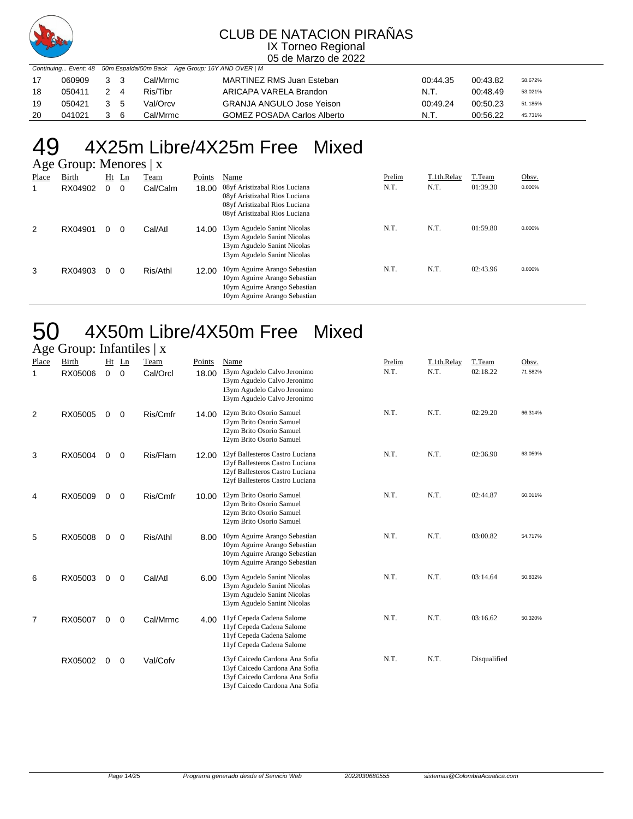

05 de Marzo de 2022

|    |        |     | Continuing Event: 48 50m Espalda/50m Back Age Group: 16Y AND OVER   M |                                    |          |          |         |
|----|--------|-----|-----------------------------------------------------------------------|------------------------------------|----------|----------|---------|
| 17 | 060909 | 3 3 | Cal/Mrmc                                                              | MARTINEZ RMS Juan Esteban          | 00:44.35 | 00:43.82 | 58.672% |
| 18 | 050411 | 24  | Ris/Tibr                                                              | ARICAPA VARELA Brandon             | N.T.     | 00.48.49 | 53.021% |
| 19 | 050421 | 35  | Val/Orcv                                                              | <b>GRANJA ANGULO Jose Yeison</b>   | 00:49.24 | 00:50.23 | 51.185% |
| 20 | 041021 | 36  | Cal/Mrmc                                                              | <b>GOMEZ POSADA Carlos Alberto</b> | N.T.     | 00:56.22 | 45.731% |

# 49  $4X25m$  Libre/4X25m Free Mixed<br>Age Group: Menores | x

| Birth   | Ht | Ln | Team     | Points                 | Name                                                                                                                             | Prelim | T.1th.Relay | T.Team   | Obsv.  |
|---------|----|----|----------|------------------------|----------------------------------------------------------------------------------------------------------------------------------|--------|-------------|----------|--------|
| RX04902 | 0  | 0  | Cal/Calm | 18.00                  | 08yf Aristizabal Rios Luciana<br>08yf Aristizabal Rios Luciana<br>08yf Aristizabal Rios Luciana<br>08yf Aristizabal Rios Luciana | N.T.   | N.T.        | 01:39.30 | 0.000% |
| RX04901 | 0  | 0  | Cal/Atl  | 14.00                  | 13ym Agudelo Sanint Nicolas<br>13ym Agudelo Sanint Nicolas<br>13ym Agudelo Sanint Nicolas<br>13ym Agudelo Sanint Nicolas         | N.T.   | N.T.        | 01:59.80 | 0.000% |
| RX04903 | 0  | 0  | Ris/Athl | 12.00                  | 10ym Aguirre Arango Sebastian<br>10ym Aguirre Arango Sebastian<br>10ym Aguirre Arango Sebastian<br>10ym Aguirre Arango Sebastian | N.T.   | N.T.        | 02:43.96 | 0.000% |
|         |    |    |          | Age Group: Menores   x |                                                                                                                                  |        |             |          |        |

# 50 4X50m Libre/4X50m Free Mixed

### Age Group: Infantiles | x

| ັ          |                  |             |                        |                  |                 |                                                                                                                                          |                |                     |                    |                  |
|------------|------------------|-------------|------------------------|------------------|-----------------|------------------------------------------------------------------------------------------------------------------------------------------|----------------|---------------------|--------------------|------------------|
| Place<br>1 | Birth<br>RX05006 | $\mathbf 0$ | $Ht$ Ln<br>$\mathbf 0$ | Team<br>Cal/Orcl | Points<br>18.00 | Name<br>13ym Agudelo Calvo Jeronimo<br>13ym Agudelo Calvo Jeronimo<br>13ym Agudelo Calvo Jeronimo<br>13ym Agudelo Calvo Jeronimo         | Prelim<br>N.T. | T.1th.Relay<br>N.T. | T.Team<br>02:18.22 | Obsv.<br>71.582% |
| 2          | RX05005          | $\Omega$    | $\mathbf 0$            | Ris/Cmfr         | 14.00           | 12ym Brito Osorio Samuel<br>12ym Brito Osorio Samuel<br>12ym Brito Osorio Samuel<br>12ym Brito Osorio Samuel                             | N.T.           | N.T.                | 02:29.20           | 66.314%          |
| 3          | RX05004          | 0           | 0                      | Ris/Flam         | 12.00           | 12yf Ballesteros Castro Luciana<br>12yf Ballesteros Castro Luciana<br>12yf Ballesteros Castro Luciana<br>12yf Ballesteros Castro Luciana | N.T.           | N.T.                | 02:36.90           | 63.059%          |
| 4          | RX05009          | $\mathbf 0$ | $\mathbf 0$            | Ris/Cmfr         | 10.00           | 12ym Brito Osorio Samuel<br>12ym Brito Osorio Samuel<br>12ym Brito Osorio Samuel<br>12ym Brito Osorio Samuel                             | N.T.           | N.T.                | 02:44.87           | 60.011%          |
| 5          | RX05008          | $\mathbf 0$ | $\mathbf 0$            | Ris/Athl         | 8.00            | 10ym Aguirre Arango Sebastian<br>10ym Aguirre Arango Sebastian<br>10ym Aguirre Arango Sebastian<br>10ym Aguirre Arango Sebastian         | N.T.           | N.T.                | 03:00.82           | 54.717%          |
| 6          | RX05003          | 0           | $\mathbf 0$            | Cal/Atl          | 6.00            | 13ym Agudelo Sanint Nicolas<br>13ym Agudelo Sanint Nicolas<br>13ym Agudelo Sanint Nicolas<br>13ym Agudelo Sanint Nicolas                 | N.T.           | N.T.                | 03:14.64           | 50.832%          |
| 7          | RX05007          | 0           | 0                      | Cal/Mrmc         | 4.00            | 11yf Cepeda Cadena Salome<br>11yf Cepeda Cadena Salome<br>11yf Cepeda Cadena Salome<br>11yf Cepeda Cadena Salome                         | N.T.           | N.T.                | 03:16.62           | 50.320%          |
|            | RX05002          | 0           | 0                      | Val/Cofv         |                 | 13yf Caicedo Cardona Ana Sofia<br>13yf Caicedo Cardona Ana Sofia<br>13yf Caicedo Cardona Ana Sofia<br>13yf Caicedo Cardona Ana Sofia     | N.T.           | N.T.                | Disqualified       |                  |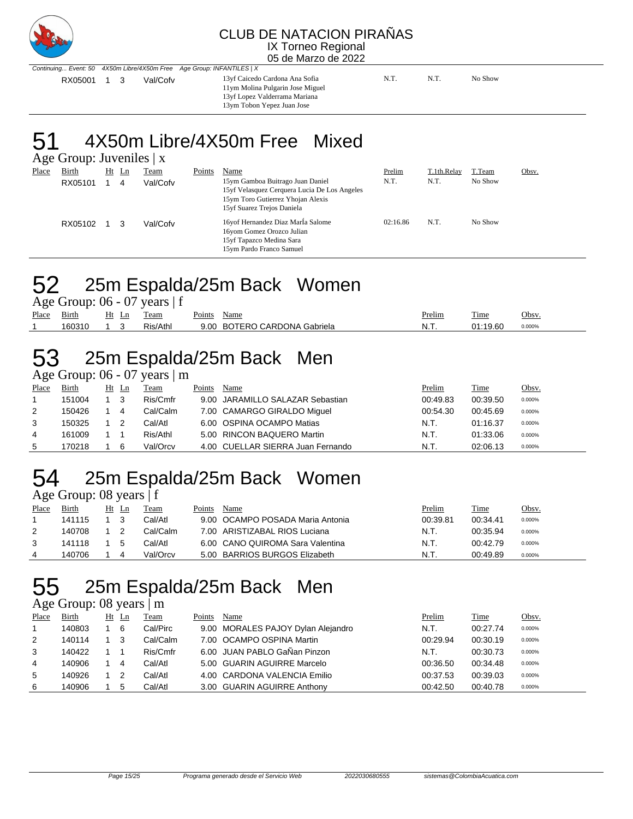

05 de Marzo de 2022

Continuing... Event: 50 4X50m Libre/4X50m Free Age Group: INFANTILES | X RX05001 1 3 Val/Cofv 13yf Caicedo Cardona Ana Sofia N.T. N.T. N.T. No Show

11ym Molina Pulgarin Jose Miguel 13yf Lopez Valderrama Mariana 13ym Tobon Yepez Juan Jose

51 4X50m Libre/4X50m Free Mixed

Age Group: Juveniles | x

| -<br>Place | Birth<br>RX05101 | Ht | Ln<br>4 | <u>Team</u><br>Val/Cofv | Points | Name<br>15ym Gamboa Buitrago Juan Daniel<br>15yf Velasquez Cerquera Lucia De Los Angeles<br>15ym Toro Gutierrez Yhojan Alexis<br>15yf Suarez Trejos Daniela | Prelim<br>N.T. | T.1th.Relay<br>N.T. | T.Team<br>No Show | Obsv. |
|------------|------------------|----|---------|-------------------------|--------|-------------------------------------------------------------------------------------------------------------------------------------------------------------|----------------|---------------------|-------------------|-------|
|            | RX05102          |    | 3       | Val/Cofv                |        | 16yof Hernandez Diaz María Salome<br>16yom Gomez Orozco Julian<br>15yf Tapazco Medina Sara<br>15ym Pardo Franco Samuel                                      | 02:16.86       | N.T.                | No Show           |       |

# 52 25m Espalda/25m Back Women

|       |        |       | Age Group: $06 - 07$ years $ f $ |             |                              |               |          |        |
|-------|--------|-------|----------------------------------|-------------|------------------------------|---------------|----------|--------|
| Place | Birth  | Ht Ln | Team                             | Points Name |                              | <u>Prelim</u> | Time     | Obsv.  |
|       | 160310 |       | Ris/Athl                         |             | 9.00 BOTERO CARDONA Gabriela | N.T.          | 01:19.60 | 0.000% |

# 53 25m Espalda/25m Back Men

Age Group:  $06 - 07$  years  $\mid$  m

| Place | Birth  | Ht Ln |   | Team     | Points | Name                              | Prelim   | Time     | <u>Obsv.</u> |
|-------|--------|-------|---|----------|--------|-----------------------------------|----------|----------|--------------|
|       | 151004 |       |   | Ris/Cmfr |        | 9.00 JARAMILLO SALAZAR Sebastian  | 00:49.83 | 00:39.50 | 0.000%       |
| 2     | 150426 |       | 4 | Cal/Calm |        | 7.00 CAMARGO GIRALDO Miquel       | 00:54.30 | 00:45.69 | 0.000%       |
| 3     | 150325 |       |   | Cal/Atl  |        | 6.00 OSPINA OCAMPO Matias         | N.T.     | 01:16.37 | 0.000%       |
| 4     | 161009 |       |   | Ris/Athl |        | 5.00 RINCON BAQUERO Martin        | N.T.     | 01:33.06 | 0.000%       |
| 5     | 170218 |       | 6 | Val/Orcv |        | 4.00 CUELLAR SIERRA Juan Fernando | N.T.     | 02:06.13 | 0.000%       |

# 54 25m Espalda/25m Back Women

|             | Age Group: 08 years $ f $ |  |
|-------------|---------------------------|--|
| Place Rirth | Ht In Team                |  |

| Place | Birth  | Ht | Ln | Team     | Points | Name                             | Prelim   | Time     | Obsv.  |
|-------|--------|----|----|----------|--------|----------------------------------|----------|----------|--------|
|       | 141115 |    |    | Cal/Atl  |        | 9.00 OCAMPO POSADA Maria Antonia | 00:39.81 | 00:34.41 | 0.000% |
|       | 140708 |    |    | Cal/Calm |        | 7.00 ARISTIZABAL RIOS Luciana    | N.T.     | 00:35.94 | 0.000% |
|       | 141118 |    |    | Cal/Atl  |        | 6.00 CANO QUIROMA Sara Valentina | N.T.     | 00:42.79 | 0.000% |
|       | 140706 |    |    | Val/Orcv |        | 5.00 BARRIOS BURGOS Elizabeth    | N.T.     | 00:49.89 | 0.000% |

## 55 25m Espalda/25m Back Men

Age Group: 08 years | m

| Place | <b>Birth</b> | Ht | $\mathop{\rm Ln}$ | Team     | Points | Name                               | Prelim   | <b>Time</b> | Obsv.  |
|-------|--------------|----|-------------------|----------|--------|------------------------------------|----------|-------------|--------|
| 1     | 140803       |    | 6                 | Cal/Pirc |        | 9.00 MORALES PAJOY Dylan Alejandro | N.T.     | 00:27.74    | 0.000% |
| 2     | 140114       |    | 3                 | Cal/Calm |        | 7.00 OCAMPO OSPINA Martin          | 00:29.94 | 00:30.19    | 0.000% |
| 3     | 140422       |    |                   | Ris/Cmfr |        | 6.00 JUAN PABLO GaÑan Pinzon       | N.T.     | 00:30.73    | 0.000% |
| 4     | 140906       |    | 4                 | Cal/Atl  |        | 5.00 GUARIN AGUIRRE Marcelo        | 00:36.50 | 00:34.48    | 0.000% |
| 5     | 140926       |    |                   | Cal/Atl  |        | 4.00 CARDONA VALENCIA Emilio       | 00:37.53 | 00:39.03    | 0.000% |
| 6     | 140906       |    | 5                 | Cal/Atl  |        | 3.00 GUARIN AGUIRRE Anthony        | 00:42.50 | 00:40.78    | 0.000% |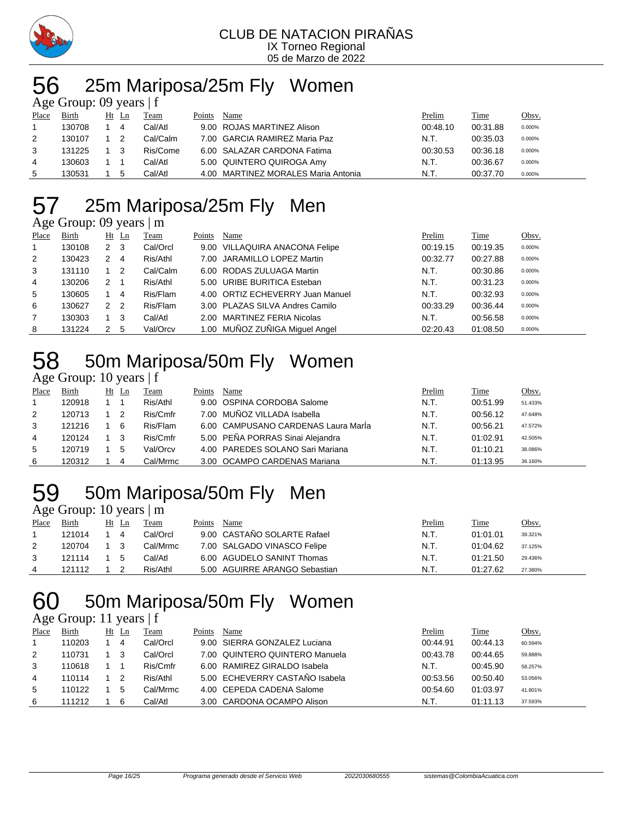

# 56 25m Mariposa/25m Fly Women

| Age Group: 09 years $ f $ |        |  |       |          |        |                                     |          |          |              |  |  |
|---------------------------|--------|--|-------|----------|--------|-------------------------------------|----------|----------|--------------|--|--|
| Place                     | Birth  |  | Ht Ln | Team     | Points | Name                                | Prelim   | Time     | <u>Obsv.</u> |  |  |
| -1                        | 130708 |  | 4     | Cal/Atl  |        | 9.00 ROJAS MARTINEZ Alison          | 00:48.10 | 00:31.88 | 0.000%       |  |  |
| 2                         | 130107 |  | -2    | Cal/Calm |        | 7.00 GARCIA RAMIREZ Maria Paz       | N.T.     | 00:35.03 | 0.000%       |  |  |
| 3                         | 131225 |  | - 3   | Ris/Come |        | 6.00 SALAZAR CARDONA Fatima         | 00:30.53 | 00:36.18 | 0.000%       |  |  |
| 4                         | 130603 |  |       | Cal/Atl  |        | 5.00 QUINTERO QUIROGA Amy           | N.T.     | 00:36.67 | 0.000%       |  |  |
| 5                         | 130531 |  | 5     | Cal/Atl  |        | 4.00 MARTINEZ MORALES Maria Antonia | N.T.     | 00:37.70 | 0.000%       |  |  |

# 57 25m Mariposa/25m Fly Men

Age Group: 09 years | m

| ے     |        |                |          |        |                                  |          |          |        |
|-------|--------|----------------|----------|--------|----------------------------------|----------|----------|--------|
| Place | Birth  | $Ht$ Ln        | Team     | Points | Name                             | Prelim   | Time     | Obsv.  |
|       | 130108 | 2 3            | Cal/Orcl |        | 9.00 VILLAQUIRA ANACONA Felipe   | 00:19.15 | 00:19.35 | 0.000% |
| 2     | 130423 | 2<br>-4        | Ris/Athl |        | 7.00 JARAMILLO LOPEZ Martin      | 00:32.77 | 00:27.88 | 0.000% |
| 3     | 131110 | $\overline{2}$ | Cal/Calm |        | 6.00 RODAS ZULUAGA Martin        | N.T.     | 00:30.86 | 0.000% |
| 4     | 130206 | $2 \quad 1$    | Ris/Athl |        | 5.00 URIBE BURITICA Esteban      | N.T.     | 00:31.23 | 0.000% |
| 5     | 130605 | 4              | Ris/Flam |        | 4.00 ORTIZ ECHEVERRY Juan Manuel | N.T.     | 00:32.93 | 0.000% |
| 6     | 130627 | 2 2            | Ris/Flam |        | 3.00 PLAZAS SILVA Andres Camilo  | 00:33.29 | 00:36.44 | 0.000% |
|       | 130303 | - 3            | Cal/Atl  |        | 2.00 MARTINEZ FERIA Nicolas      | N.T.     | 00:56.58 | 0.000% |
| 8     | 131224 | 2<br>-5        | Val/Orcv |        | 1.00 MUÑOZ ZUÑIGA Miquel Angel   | 02:20.43 | 01:08.50 | 0.000% |

# 50m Mariposa/50m Fly Women

### Age Group: 10 years | f

| Place | Birth  | Ht | -Ln | Team     | Points | Name                                | Prelim | Time     | Obsv.   |
|-------|--------|----|-----|----------|--------|-------------------------------------|--------|----------|---------|
|       | 120918 |    |     | Ris/Athl |        | 9.00 OSPINA CORDOBA Salome          | N.T.   | 00:51.99 | 51.433% |
| 2     | 120713 |    | -2  | Ris/Cmfr |        | 7.00 MUÑOZ VILLADA Isabella         | N.T.   | 00:56.12 | 47.648% |
| 3     | 121216 |    | 6   | Ris/Flam |        | 6.00 CAMPUSANO CARDENAS Laura María | N.T.   | 00:56.21 | 47.572% |
| 4     | 120124 |    | - 3 | Ris/Cmfr |        | 5.00 PEÑA PORRAS Sinai Alejandra    | N.T.   | 01:02.91 | 42.505% |
| 5     | 120719 |    | 5   | Val/Orcv |        | 4.00 PAREDES SOLANO Sari Mariana    | N.T.   | 01:10.21 | 38.086% |
| 6     | 120312 |    | 4   | Cal/Mrmc |        | 3.00 OCAMPO CARDENAS Mariana        | N.T.   | 01:13.95 | 36.160% |

### 50m Mariposa/50m Fly Men Age Group: 10 years  $\mathbf{m}$

|       |        |       | $\frac{1}{2}$ |        |                               |               |             |         |
|-------|--------|-------|---------------|--------|-------------------------------|---------------|-------------|---------|
| Place | Birth  | Ht Ln | Team          | Points | Name                          | <u>Prelim</u> | <b>Time</b> | Obsv.   |
|       | 121014 | 4     | Cal/Orcl      |        | 9.00 CASTAÑO SOLARTE Rafael   | N.T.          | 01:01.01    | 39.321% |
|       | 120704 |       | Cal/Mrmc      |        | 7.00 SALGADO VINASCO Felipe   | N.T.          | 01:04.62    | 37.125% |
|       | 121114 | - 5   | Cal/Atl       |        | 6.00 AGUDELO SANINT Thomas    | N.T.          | 01:21.50    | 29.436% |
|       | 121112 |       | Ris/Athl      |        | 5.00 AGUIRRE ARANGO Sebastian | N.T.          | 01:27.62    | 27.380% |

# 50m Mariposa/50m Fly Women

### Age Group: 11 years | f

| Place | Birth  | Ht | - Ln | Team     | Points | Name                           | Prelim   | Time     | Obsv.   |
|-------|--------|----|------|----------|--------|--------------------------------|----------|----------|---------|
|       | 110203 |    | 4    | Cal/Orcl |        | 9.00 SIERRA GONZALEZ Luciana   | 00:44.91 | 00:44.13 | 60.594% |
| 2     | 110731 |    | 3    | Cal/Orcl |        | 7.00 QUINTERO QUINTERO Manuela | 00:43.78 | 00:44.65 | 59.888% |
| 3     | 110618 |    |      | Ris/Cmfr |        | 6.00 RAMIREZ GIRALDO Isabela   | N.T.     | 00:45.90 | 58.257% |
| 4     | 110114 |    |      | Ris/Athl |        | 5.00 ECHEVERRY CASTAÑO Isabela | 00:53.56 | 00:50.40 | 53.056% |
| 5     | 110122 |    | -5   | Cal/Mrmc |        | 4.00 CEPEDA CADENA Salome      | 00:54.60 | 01:03.97 | 41.801% |
| 6     | 111212 |    | 6    | Cal/Atl  |        | 3.00 CARDONA OCAMPO Alison     | N.T.     | 01:11.13 | 37.593% |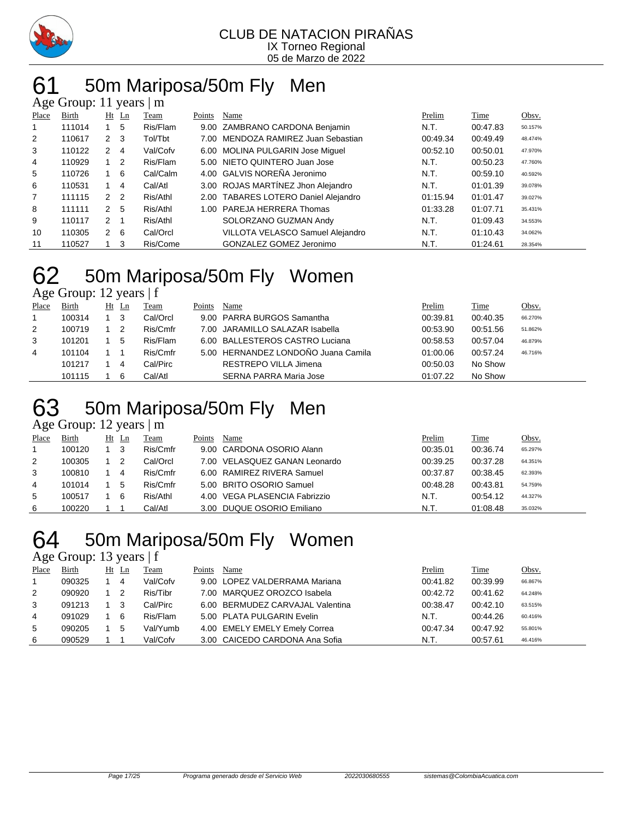

# 61 50m Mariposa/50m Fly Men

| Age Group: 11 years  <br>m |        |                |                |          |        |                                      |          |          |         |  |  |  |  |
|----------------------------|--------|----------------|----------------|----------|--------|--------------------------------------|----------|----------|---------|--|--|--|--|
| Place                      | Birth  |                | $Ht$ Ln        | Team     | Points | Name                                 | Prelim   | Time     | Obsv.   |  |  |  |  |
| 1                          | 111014 |                | 5              | Ris/Flam |        | 9.00 ZAMBRANO CARDONA Benjamin       | N.T.     | 00:47.83 | 50.157% |  |  |  |  |
| $\overline{2}$             | 110617 | $\mathbf{2}$   | -3             | Tol/Tbt  |        | 7.00 MENDOZA RAMIREZ Juan Sebastian  | 00:49.34 | 00:49.49 | 48.474% |  |  |  |  |
| 3                          | 110122 | 2              | 4              | Val/Cofv |        | 6.00 MOLINA PULGARIN Jose Miguel     | 00:52.10 | 00:50.01 | 47.970% |  |  |  |  |
| 4                          | 110929 | $1\quad 2$     |                | Ris/Flam |        | 5.00 NIETO QUINTERO Juan Jose        | N.T.     | 00:50.23 | 47.760% |  |  |  |  |
| 5                          | 110726 |                | 6              | Cal/Calm |        | 4.00 GALVIS NOREÑA Jeronimo          | N.T.     | 00:59.10 | 40.592% |  |  |  |  |
| 6                          | 110531 |                | 4              | Cal/Atl  |        | 3.00 ROJAS MARTINEZ Jhon Alejandro   | N.T.     | 01:01.39 | 39.078% |  |  |  |  |
| $\overline{7}$             | 111115 | $\overline{2}$ | $\overline{2}$ | Ris/Athl |        | 2.00 TABARES LOTERO Daniel Alejandro | 01:15.94 | 01:01.47 | 39.027% |  |  |  |  |
| 8                          | 111111 | 2              | 5              | Ris/Athl |        | 1.00 PAREJA HERRERA Thomas           | 01:33.28 | 01:07.71 | 35.431% |  |  |  |  |
| 9                          | 110117 | 2              |                | Ris/Athl |        | SOLORZANO GUZMAN Andy                | N.T.     | 01:09.43 | 34.553% |  |  |  |  |
| 10                         | 110305 | $\mathbf{2}$   | - 6            | Cal/Orcl |        | VILLOTA VELASCO Samuel Alejandro     | N.T.     | 01:10.43 | 34.062% |  |  |  |  |
| 11                         | 110527 |                | 3              | Ris/Come |        | GONZALEZ GOMEZ Jeronimo              | N.T.     | 01:24.61 | 28.354% |  |  |  |  |

# 62 50m Mariposa/50m Fly Women

Age Group: 12 years | f

| ~     |        |    |    |          |        |                                     |          |          |              |
|-------|--------|----|----|----------|--------|-------------------------------------|----------|----------|--------------|
| Place | Birth  | Ht | Ln | Team     | Points | Name                                | Prelim   | Time     | <u>Obsv.</u> |
|       | 100314 |    | 3  | Cal/Orcl |        | 9.00 PARRA BURGOS Samantha          | 00:39.81 | 00:40.35 | 66.270%      |
| 2     | 100719 |    |    | Ris/Cmfr |        | 7.00 JARAMILLO SALAZAR Isabella     | 00:53.90 | 00:51.56 | 51.862%      |
| 3     | 101201 |    | 5  | Ris/Flam |        | 6.00 BALLESTEROS CASTRO Luciana     | 00:58.53 | 00:57.04 | 46.879%      |
| 4     | 101104 |    |    | Ris/Cmfr |        | 5.00 HERNANDEZ LONDOÑO Juana Camila | 01:00.06 | 00:57.24 | 46.716%      |
|       | 101217 |    | 4  | Cal/Pirc |        | RESTREPO VILLA Jimena               | 00:50.03 | No Show  |              |
|       | 101115 |    | 6  | Cal/Atl  |        | SERNA PARRA Maria Jose              | 01:07.22 | No Show  |              |

# 63 50m Mariposa/50m Fly Men

Age Group: 12 years | m

| Place | Birth  | Ht | Ln | Team     | Points | Name                          | Prelim   | Time     | Obsv.   |
|-------|--------|----|----|----------|--------|-------------------------------|----------|----------|---------|
|       | 100120 |    | 3  | Ris/Cmfr |        | 9.00 CARDONA OSORIO Alann     | 00:35.01 | 00:36.74 | 65.297% |
| 2     | 100305 |    |    | Cal/Orcl |        | 7.00 VELASQUEZ GANAN Leonardo | 00:39.25 | 00:37.28 | 64.351% |
| 3     | 100810 |    | 4  | Ris/Cmfr |        | 6.00 RAMIREZ RIVERA Samuel    | 00:37.87 | 00:38.45 | 62.393% |
| 4     | 101014 |    | 5  | Ris/Cmfr |        | 5.00 BRITO OSORIO Samuel      | 00:48.28 | 00:43.81 | 54.759% |
| 5     | 100517 |    | 6  | Ris/Athl |        | 4.00 VEGA PLASENCIA Fabrizzio | N.T.     | 00:54.12 | 44.327% |
| 6     | 100220 |    |    | Cal/Atl  |        | 3.00 DUQUE OSORIO Emiliano    | N.T.     | 01:08.48 | 35.032% |

# 64 50m Mariposa/50m Fly Women

Age Group: 13 years | f

| Place | <b>Birth</b> | Ht<br>$\mathop{\rm Ln}$ | <b>Team</b> | Points | Name                             | Prelim   | <b>Time</b> | Obsv.   |
|-------|--------------|-------------------------|-------------|--------|----------------------------------|----------|-------------|---------|
|       | 090325       | 4                       | Val/Cofv    |        | 9.00 LOPEZ VALDERRAMA Mariana    | 00:41.82 | 00:39.99    | 66.867% |
| 2     | 090920       | 2                       | Ris/Tibr    |        | 7.00 MARQUEZ OROZCO Isabela      | 00:42.72 | 00:41.62    | 64.248% |
| 3     | 091213       | 3                       | Cal/Pirc    |        | 6.00 BERMUDEZ CARVAJAL Valentina | 00:38.47 | 00:42.10    | 63.515% |
| 4     | 091029       | -6                      | Ris/Flam    |        | 5.00 PLATA PULGARIN Evelin       | N.T.     | 00:44.26    | 60.416% |
| 5     | 090205       | 5                       | Val/Yumb    |        | 4.00 EMELY EMELY Emely Correa    | 00:47.34 | 00:47.92    | 55.801% |
| 6     | 090529       |                         | Val/Cofv    |        | 3.00 CAICEDO CARDONA Ana Sofia   | N.T.     | 00:57.61    | 46.416% |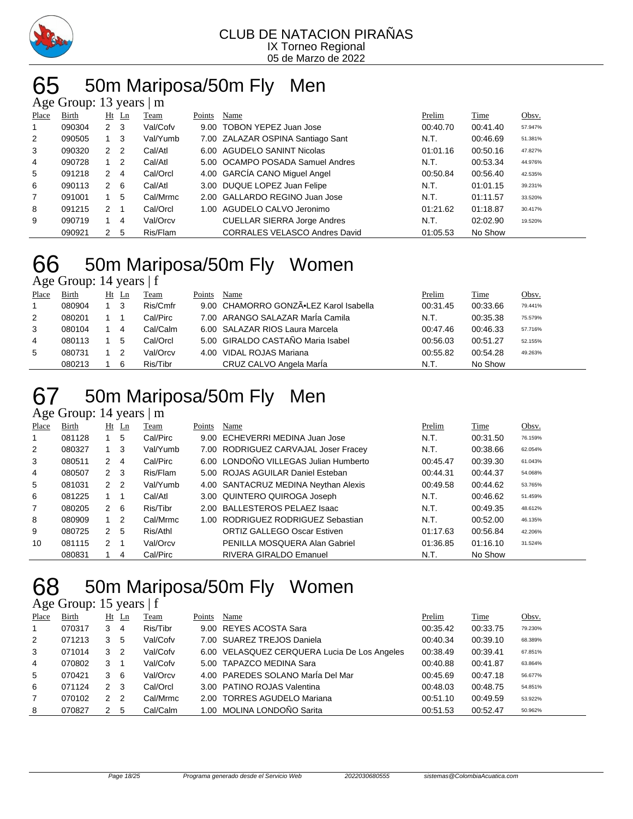

# 65 50m Mariposa/50m Fly Men

| Age Group: 13 years  <br>m |        |                      |                |          |        |                                      |          |          |         |  |  |  |  |
|----------------------------|--------|----------------------|----------------|----------|--------|--------------------------------------|----------|----------|---------|--|--|--|--|
| Place                      | Birth  | Ht                   | $\mathbf{L}$ n | Team     | Points | Name                                 | Prelim   | Time     | Obsv.   |  |  |  |  |
| 1                          | 090304 | 2                    | - 3            | Val/Cofv | 9.00   | TOBON YEPEZ Juan Jose                | 00:40.70 | 00:41.40 | 57.947% |  |  |  |  |
| 2                          | 090505 |                      | 3              | Val/Yumb |        | 7.00 ZALAZAR OSPINA Santiago Sant    | N.T.     | 00:46.69 | 51.381% |  |  |  |  |
| 3                          | 090320 | $\overline{2}$       | $\overline{2}$ | Cal/Atl  |        | 6.00 AGUDELO SANINT Nicolas          | 01:01.16 | 00:50.16 | 47.827% |  |  |  |  |
| 4                          | 090728 |                      | $\overline{2}$ | Cal/Atl  |        | 5.00 OCAMPO POSADA Samuel Andres     | N.T.     | 00:53.34 | 44.976% |  |  |  |  |
| 5                          | 091218 | 2                    | 4              | Cal/Orcl |        | 4.00 GARCÍA CANO Miguel Angel        | 00:50.84 | 00:56.40 | 42.535% |  |  |  |  |
| 6                          | 090113 | $\overline{2}$       | 6              | Cal/Atl  |        | 3.00 DUQUE LOPEZ Juan Felipe         | N.T.     | 01:01.15 | 39.231% |  |  |  |  |
| 7                          | 091001 |                      | 5              | Cal/Mrmc |        | 2.00 GALLARDO REGINO Juan Jose       | N.T.     | 01:11.57 | 33.520% |  |  |  |  |
| 8                          | 091215 | $\mathbf{2}^{\circ}$ |                | Cal/Orcl | 1.00   | AGUDELO CALVO Jeronimo               | 01:21.62 | 01:18.87 | 30.417% |  |  |  |  |
| 9                          | 090719 |                      | 4              | Val/Orcv |        | <b>CUELLAR SIERRA Jorge Andres</b>   | N.T.     | 02:02.90 | 19.520% |  |  |  |  |
|                            | 090921 | 2                    | 5              | Ris/Flam |        | <b>CORRALES VELASCO Andres David</b> | 01:05.53 | No Show  |         |  |  |  |  |

## 50m Mariposa/50m Fly Women

Age Group: 14 years | f

| Place | Birth  | $Ht$ Ln | Team     | Points | Name                                   | Prelim   | Time     | Obsv.   |
|-------|--------|---------|----------|--------|----------------------------------------|----------|----------|---------|
|       | 080904 | - 3     | Ris/Cmfr |        | 9.00 CHAMORRO GONZÃ.LEZ Karol Isabella | 00:31.45 | 00:33.66 | 79.441% |
| 2     | 080201 |         | Cal/Pirc |        | 7.00 ARANGO SALAZAR MarÍa Camila       | N.T.     | 00:35.38 | 75.579% |
| 3     | 080104 | 4       | Cal/Calm |        | 6.00 SALAZAR RIOS Laura Marcela        | 00:47.46 | 00:46.33 | 57.716% |
| 4     | 080113 | 5       | Cal/Orcl |        | 5.00 GIRALDO CASTAÑO Maria Isabel      | 00:56.03 | 00:51.27 | 52.155% |
| 5     | 080731 |         | Val/Orcv |        | 4.00 VIDAL ROJAS Mariana               | 00:55.82 | 00:54.28 | 49.263% |
|       | 080213 | 6       | Ris/Tibr |        | CRUZ CALVO Angela MarÍa                | N.T.     | No Show  |         |

## 50m Mariposa/50m Fly Men

### Age Group: 14 years  $\vert$  m

| Place          | Birth  |                | Ht Ln          | Team     | Points | Name                                  | Prelim   | Time     | Obsv.   |
|----------------|--------|----------------|----------------|----------|--------|---------------------------------------|----------|----------|---------|
|                | 081128 |                | 5              | Cal/Pirc |        | 9.00 ECHEVERRI MEDINA Juan Jose       | N.T.     | 00:31.50 | 76.159% |
| $\overline{2}$ | 080327 |                | -3             | Val/Yumb |        | 7.00 RODRIGUEZ CARVAJAL Joser Fracey  | N.T.     | 00:38.66 | 62.054% |
| 3              | 080511 | 2              | $\overline{4}$ | Cal/Pirc |        | 6.00 LONDOÑO VILLEGAS Julian Humberto | 00:45.47 | 00:39.30 | 61.043% |
| 4              | 080507 | 2 <sub>3</sub> |                | Ris/Flam |        | 5.00 ROJAS AGUILAR Daniel Esteban     | 00:44.31 | 00:44.37 | 54.068% |
| 5              | 081031 | 2 <sub>2</sub> |                | Val/Yumb |        | 4.00 SANTACRUZ MEDINA Neythan Alexis  | 00:49.58 | 00:44.62 | 53.765% |
| 6              | 081225 |                |                | Cal/Atl  |        | 3.00 QUINTERO QUIROGA Joseph          | N.T.     | 00:46.62 | 51.459% |
|                | 080205 | 2              | -6             | Ris/Tibr |        | 2.00 BALLESTEROS PELAEZ Isaac         | N.T.     | 00:49.35 | 48.612% |
| 8              | 080909 |                | -2             | Cal/Mrmc | 1.00   | RODRIGUEZ RODRIGUEZ Sebastian         | N.T.     | 00:52.00 | 46.135% |
| 9              | 080725 | $\mathbf{2}$   | 5              | Ris/Athl |        | <b>ORTIZ GALLEGO Oscar Estiven</b>    | 01:17.63 | 00:56.84 | 42.206% |
| 10             | 081115 | $\mathcal{P}$  |                | Val/Orcv |        | PENILLA MOSQUERA Alan Gabriel         | 01:36.85 | 01:16.10 | 31.524% |
|                | 080831 |                | 4              | Cal/Pirc |        | RIVERA GIRALDO Emanuel                | N.T.     | No Show  |         |

## 50m Mariposa/50m Fly Women

### Age Group: 15 years | f

| Place          | <b>Birth</b> |               | $Ht$ Ln        | Team     | Points | Name                                         | Prelim   | Time     | Obsv.   |
|----------------|--------------|---------------|----------------|----------|--------|----------------------------------------------|----------|----------|---------|
| $\mathbf{1}$   | 070317       | 3             | 4              | Ris/Tibr |        | 9.00 REYES ACOSTA Sara                       | 00:35.42 | 00:33.75 | 79.230% |
| 2              | 071213       | 3             | 5              | Val/Cofv |        | 7.00 SUAREZ TREJOS Daniela                   | 00:40.34 | 00:39.10 | 68.389% |
| 3              | 071014       | 3             | -2             | Val/Cofv |        | 6.00 VELASQUEZ CERQUERA Lucia De Los Angeles | 00:38.49 | 00:39.41 | 67.851% |
| $\overline{4}$ | 070802       | 3             |                | Val/Cofv |        | 5.00 TAPAZCO MEDINA Sara                     | 00:40.88 | 00:41.87 | 63.864% |
| 5              | 070421       | 3             | - 6            | Val/Orcv |        | 4.00 PAREDES SOLANO MarÍa Del Mar            | 00:45.69 | 00:47.18 | 56.677% |
| 6              | 071124       | $\mathcal{P}$ | - 3            | Cal/Orcl |        | 3.00 PATINO ROJAS Valentina                  | 00:48.03 | 00:48.75 | 54.851% |
| $\overline{7}$ | 070102       | $\mathcal{P}$ | $\overline{2}$ | Cal/Mrmc |        | 2.00 TORRES AGUDELO Mariana                  | 00:51.10 | 00:49.59 | 53.922% |
| 8              | 070827       | 2             | 5              | Cal/Calm |        | 1.00 MOLINA LONDOÑO Sarita                   | 00:51.53 | 00:52.47 | 50.962% |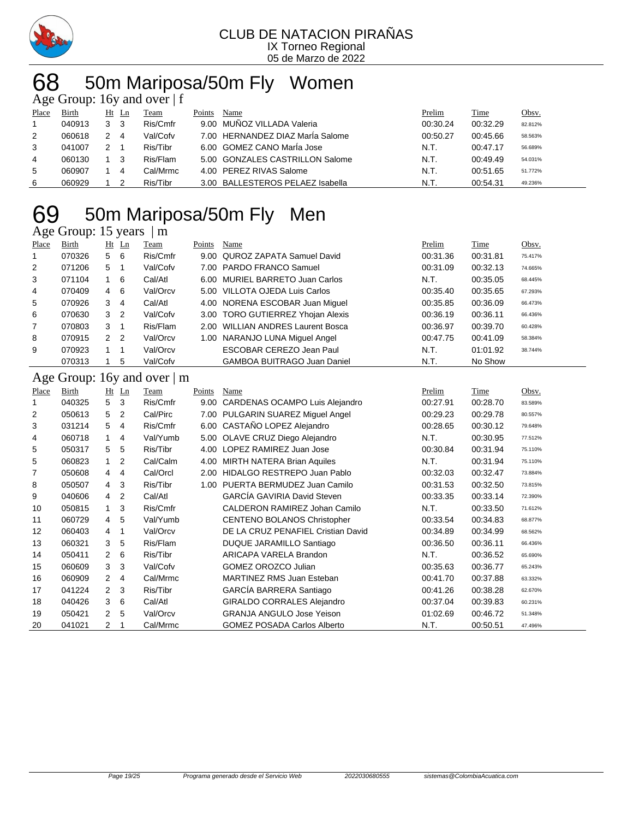

#### CLUB DE NATACION PIRAÑAS IX Torneo Regional 05 de Marzo de 2022

# 50m Mariposa/50m Fly Women

| Age Group: 16y and over $ f $ |        |                |       |          |        |                                  |          |          |         |  |  |  |
|-------------------------------|--------|----------------|-------|----------|--------|----------------------------------|----------|----------|---------|--|--|--|
| Place                         | Birth  |                | Ht Ln | Team     | Points | Name                             | Prelim   | Time     | Obsv.   |  |  |  |
|                               | 040913 | 3 <sub>3</sub> |       | Ris/Cmfr |        | 9.00 MUÑOZ VILLADA Valeria       | 00:30.24 | 00:32.29 | 82.812% |  |  |  |
| 2                             | 060618 |                | -4    | Val/Cofv |        | 7.00 HERNANDEZ DIAZ MarÍa Salome | 00:50.27 | 00:45.66 | 58.563% |  |  |  |
| 3                             | 041007 |                |       | Ris/Tibr |        | 6.00 GOMEZ CANO María Jose       | N.T.     | 00:47.17 | 56.689% |  |  |  |
| 4                             | 060130 |                | - 3   | Ris/Flam |        | 5.00 GONZALES CASTRILLON Salome  | N.T.     | 00:49.49 | 54.031% |  |  |  |
| 5                             | 060907 |                | 4     | Cal/Mrmc |        | 4.00 PEREZ RIVAS Salome          | N.T.     | 00:51.65 | 51.772% |  |  |  |
| 6                             | 060929 |                |       | Ris/Tibr |        | 3.00 BALLESTEROS PELAEZ Isabella | N.T.     | 00:54.31 | 49.236% |  |  |  |

# 69 50m Mariposa/50m Fly Men

#### Age Group: 15 years | m

| Place          | Birth  |                | $Ht$ Ln        | Team     | Points | Name                               | Prelim   | <b>Time</b> | Obsv.   |
|----------------|--------|----------------|----------------|----------|--------|------------------------------------|----------|-------------|---------|
|                | 070326 | 5              | - 6            | Ris/Cmfr |        | 9.00 QUROZ ZAPATA Samuel David     | 00:31.36 | 00:31.81    | 75.417% |
| 2              | 071206 | 5              |                | Val/Cofv |        | 7.00 PARDO FRANCO Samuel           | 00:31.09 | 00:32.13    | 74.665% |
| 3              | 071104 |                | - 6            | Cal/Atl  |        | 6.00 MURIEL BARRETO Juan Carlos    | N.T.     | 00:35.05    | 68.445% |
| 4              | 070409 | 4              | - 6            | Val/Orcv |        | 5.00 VILLOTA OJEDA Luis Carlos     | 00:35.40 | 00:35.65    | 67.293% |
| 5              | 070926 | 3              | 4              | Cal/Atl  |        | 4.00 NORENA ESCOBAR Juan Miguel    | 00:35.85 | 00:36.09    | 66.473% |
| 6              | 070630 | 3              | $\overline{2}$ | Val/Cofv |        | 3.00 TORO GUTIERREZ Yhojan Alexis  | 00:36.19 | 00:36.11    | 66.436% |
| $\overline{7}$ | 070803 | 3              |                | Ris/Flam |        | 2.00 WILLIAN ANDRES Laurent Bosca  | 00:36.97 | 00:39.70    | 60.428% |
| 8              | 070915 | 2 <sub>2</sub> |                | Val/Orcv |        | 1.00 NARANJO LUNA Miquel Angel     | 00:47.75 | 00:41.09    | 58.384% |
| 9              | 070923 |                |                | Val/Orcv |        | ESCOBAR CEREZO Jean Paul           | N.T.     | 01:01.92    | 38.744% |
|                | 070313 |                | 5              | Val/Cofv |        | <b>GAMBOA BUITRAGO Juan Daniel</b> | N.T.     | No Show     |         |

#### Age Group: 16y and over | m

|       | $\sim$ $\sim$ $\sim$ $\sim$ $\sim$ $\sim$ $\sim$ |                |         |             |               |                                    |          |             |         |
|-------|--------------------------------------------------|----------------|---------|-------------|---------------|------------------------------------|----------|-------------|---------|
| Place | <b>Birth</b>                                     |                | $Ht$ Ln | <b>Team</b> | <b>Points</b> | <b>Name</b>                        | Prelim   | <b>Time</b> | Obsv.   |
| 1     | 040325                                           | 5              | 3       | Ris/Cmfr    | 9.00          | CARDENAS OCAMPO Luis Alejandro     | 00:27.91 | 00:28.70    | 83.589% |
| 2     | 050613                                           | 5              | 2       | Cal/Pirc    | 7.00          | PULGARIN SUAREZ Miguel Angel       | 00:29.23 | 00:29.78    | 80.557% |
| 3     | 031214                                           | 5              | 4       | Ris/Cmfr    |               | 6.00 CASTAÑO LOPEZ Alejandro       | 00:28.65 | 00:30.12    | 79.648% |
| 4     | 060718                                           | 1              | 4       | Val/Yumb    |               | 5.00 OLAVE CRUZ Diego Alejandro    | N.T.     | 00:30.95    | 77.512% |
| 5     | 050317                                           | 5              | 5       | Ris/Tibr    | 4.00          | LOPEZ RAMIREZ Juan Jose            | 00:30.84 | 00:31.94    | 75.110% |
| 5     | 060823                                           | $\overline{1}$ | 2       | Cal/Calm    | 4.00          | <b>MIRTH NATERA Brian Aquiles</b>  | N.T.     | 00:31.94    | 75.110% |
| 7     | 050608                                           | $\overline{4}$ | 4       | Cal/Orcl    | 2.00          | HIDALGO RESTREPO Juan Pablo        | 00:32.03 | 00:32.47    | 73.884% |
| 8     | 050507                                           | 4              | 3       | Ris/Tibr    | 1.00          | PUERTA BERMUDEZ Juan Camilo        | 00:31.53 | 00:32.50    | 73.815% |
| 9     | 040606                                           | 4              | 2       | Cal/Atl     |               | <b>GARCÍA GAVIRIA David Steven</b> | 00:33.35 | 00:33.14    | 72.390% |
| 10    | 050815                                           | $\overline{1}$ | 3       | Ris/Cmfr    |               | CALDERON RAMIREZ Johan Camilo      | N.T.     | 00:33.50    | 71.612% |
| 11    | 060729                                           | $\overline{4}$ | 5       | Val/Yumb    |               | <b>CENTENO BOLANOS Christopher</b> | 00:33.54 | 00:34.83    | 68.877% |
| 12    | 060403                                           | 4              |         | Val/Orcv    |               | DE LA CRUZ PENAFIEL Cristian David | 00:34.89 | 00:34.99    | 68.562% |
| 13    | 060321                                           | 3              | 5       | Ris/Flam    |               | DUQUE JARAMILLO Santiago           | 00:36.50 | 00:36.11    | 66.436% |
| 14    | 050411                                           | 2              | 6       | Ris/Tibr    |               | ARICAPA VARELA Brandon             | N.T.     | 00:36.52    | 65.690% |
| 15    | 060609                                           | 3              | 3       | Val/Cofv    |               | <b>GOMEZ OROZCO Julian</b>         | 00:35.63 | 00:36.77    | 65.243% |
| 16    | 060909                                           | $\overline{2}$ | 4       | Cal/Mrmc    |               | <b>MARTINEZ RMS Juan Esteban</b>   | 00:41.70 | 00:37.88    | 63.332% |
| 17    | 041224                                           | $\overline{2}$ | 3       | Ris/Tibr    |               | GARCÍA BARRERA Santiago            | 00:41.26 | 00:38.28    | 62.670% |
| 18    | 040426                                           | 3              | 6       | Cal/Atl     |               | <b>GIRALDO CORRALES Alejandro</b>  | 00:37.04 | 00:39.83    | 60.231% |
| 19    | 050421                                           | $\overline{2}$ | 5       | Val/Orcv    |               | <b>GRANJA ANGULO Jose Yeison</b>   | 01:02.69 | 00:46.72    | 51.348% |
| 20    | 041021                                           | 2              |         | Cal/Mrmc    |               | <b>GOMEZ POSADA Carlos Alberto</b> | N.T.     | 00:50.51    | 47.496% |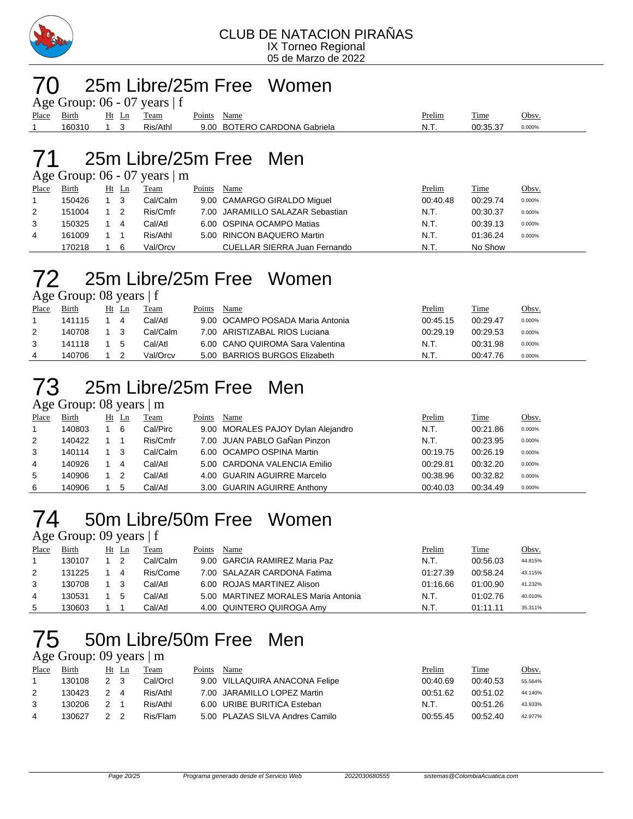

### 25m Libre/25m Free Women

Age Group:  $06 - 07$  years  $| f |$ 

| Place | $\sim$ $\cdot$<br>Bırth | <u>H1</u><br>ப | eam              | Points<br>Name                                 | Prelim | m.<br>l'ime        | Obsv. |
|-------|-------------------------|----------------|------------------|------------------------------------------------|--------|--------------------|-------|
|       | 1002<br>"ხ∪ა            |                | Ris/Athl<br>∍، پ | CARDONA<br>$\sigma$<br>9.00<br>Gabriela<br>RC. | 'N. L  | 00.25.27<br>0.000% |       |
|       |                         |                |                  |                                                |        |                    |       |

### 25m Libre/25m Free Men

Age Group: 06 - 07 years | m

| Place | Birth  | Ht Ln | Team     | Points | Name                             | Prelim   | Time     | <u>Obsv.</u> |
|-------|--------|-------|----------|--------|----------------------------------|----------|----------|--------------|
|       | 150426 |       | Cal/Calm |        | 9.00 CAMARGO GIRALDO Miguel      | 00:40.48 | 00:29.74 | 0.000%       |
| 2     | 151004 |       | Ris/Cmfr |        | 7.00 JARAMILLO SALAZAR Sebastian | N.T.     | 00:30.37 | 0.000%       |
| 3     | 150325 | 4     | Cal/Atl  |        | 6.00 OSPINA OCAMPO Matias        | N.T.     | 00:39.13 | 0.000%       |
| 4     | 161009 |       | Ris/Athl |        | 5.00 RINCON BAQUERO Martin       | N.T.     | 01:36.24 | 0.000%       |
|       | 170218 | 6     | Val/Orcv |        | CUELLAR SIERRA Juan Fernando     | N.T.     | No Show  |              |

# 25m Libre/25m Free Women

Age Group: 08 years | f

| Place | Birth  | Ht | Ln           | Team     | Points | Name                             | <u>Prelim</u> | Time     | Obsv.  |
|-------|--------|----|--------------|----------|--------|----------------------------------|---------------|----------|--------|
|       | 141115 |    | 4            | Cal/Atl  |        | 9.00 OCAMPO POSADA Maria Antonia | 00:45.15      | 00:29.47 | 0.000% |
| 2     | 140708 |    |              | Cal/Calm |        | 7.00 ARISTIZABAL RIOS Luciana    | 00:29.19      | 00:29.53 | 0.000% |
|       | 141118 |    | $\mathbf{b}$ | Cal/Atl  |        | 6.00 CANO QUIROMA Sara Valentina | N.T.          | 00:31.98 | 0.000% |
| 4     | 140706 |    |              | Val/Orcv |        | 5.00 BARRIOS BURGOS Elizabeth    | N.T.          | 00:47.76 | 0.000% |

## 25m Libre/25m Free Men

Age Group: 08 years | m

| Place | <b>Birth</b> | $Ht$ Ln | Team     | Points | Name                               | Prelim   | <b>Time</b> | <u>Obsv.</u> |
|-------|--------------|---------|----------|--------|------------------------------------|----------|-------------|--------------|
|       | 140803       | 6       | Cal/Pirc |        | 9.00 MORALES PAJOY Dylan Alejandro | N.T.     | 00:21.86    | 0.000%       |
| 2     | 140422       |         | Ris/Cmfr |        | 7.00 JUAN PABLO GaÑan Pinzon       | N.T.     | 00:23.95    | 0.000%       |
| 3     | 140114       | -3      | Cal/Calm |        | 6.00 OCAMPO OSPINA Martin          | 00:19.75 | 00:26.19    | 0.000%       |
| 4     | 140926       | 4       | Cal/Atl  |        | 5.00 CARDONA VALENCIA Emilio       | 00:29.81 | 00:32.20    | 0.000%       |
| 5     | 140906       |         | Cal/Atl  |        | 4.00 GUARIN AGUIRRE Marcelo        | 00:38.96 | 00:32.82    | 0.000%       |
| 6     | 140906       | 5       | Cal/Atl  |        | 3.00 GUARIN AGUIRRE Anthony        | 00:40.03 | 00:34.49    | 0.000%       |

# 50m Libre/50m Free Women

Age Group: 09 years | f

| Place | Birth  | Ht | Ln | Team     | Points | Name                                | <b>Prelim</b> | <b>Time</b> | Obsv.   |
|-------|--------|----|----|----------|--------|-------------------------------------|---------------|-------------|---------|
|       | 130107 |    |    | Cal/Calm |        | 9.00 GARCIA RAMIREZ Maria Paz       | N.T.          | 00:56.03    | 44.815% |
| 2     | 131225 |    | 4  | Ris/Come |        | 7.00 SALAZAR CARDONA Fatima         | 01:27.39      | 00:58.24    | 43.115% |
| 3     | 130708 |    |    | Cal/Atl  |        | 6.00 ROJAS MARTINEZ Alison          | 01:16.66      | 01:00.90    | 41.232% |
| 4     | 130531 |    |    | Cal/AtI  |        | 5.00 MARTINEZ MORALES Maria Antonia | N.T.          | 01:02.76    | 40.010% |
| 5     | 30603  |    |    | Cal/Atl  |        | 4.00 QUINTERO QUIROGA Amy           | N.T.          | 01:11.11    | 35.311% |

## 50m Libre/50m Free Men

### Age Group: 09 years | m

| Place | <b>Birth</b> |               | Ht Ln | Team     | Points | Name                            | Prelim   | Time     | Obsv.   |
|-------|--------------|---------------|-------|----------|--------|---------------------------------|----------|----------|---------|
|       | 130108       | 2 3           |       | Cal/Orcl |        | 9.00 VILLAQUIRA ANACONA Felipe  | 00:40.69 | 00:40.53 | 55.564% |
|       | 130423       | $\mathcal{P}$ | 4     | Ris/Athl |        | 7.00 JARAMILLO LOPEZ Martin     | 00:51.62 | 00:51.02 | 44.140% |
|       | 130206       | $\mathcal{P}$ |       | Ris/Athl |        | 6.00 URIBE BURITICA Esteban     | N.T.     | 00:51.26 | 43.933% |
| 4     | 130627       | $\mathcal{P}$ |       | Ris/Flam |        | 5.00 PLAZAS SILVA Andres Camilo | 00:55.45 | 00:52.40 | 42.977% |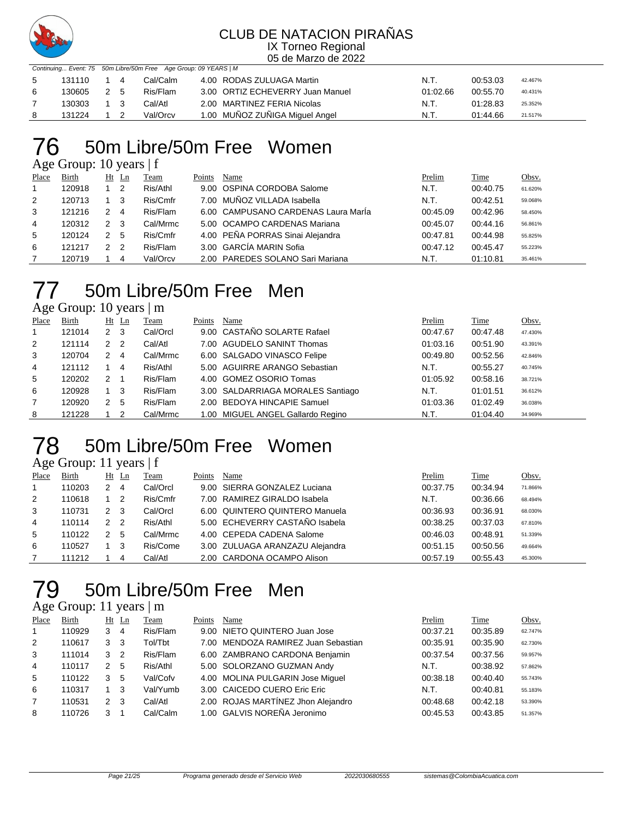

05 de Marzo de 2022

|    |        | Continuing Event: 75 50m Libre/50m Free Age Group: 09 YEARS   M |          |                                  |          |          |         |  |  |
|----|--------|-----------------------------------------------------------------|----------|----------------------------------|----------|----------|---------|--|--|
| -5 | 131110 | 14                                                              | Cal/Calm | 4.00 RODAS ZULUAGA Martin        | N.T.     | 00:53.03 | 42.467% |  |  |
| 6  | 130605 | 2 5                                                             | Ris/Flam | 3.00 ORTIZ ECHEVERRY Juan Manuel | 01:02.66 | 00:55.70 | 40.431% |  |  |
|    | 130303 | 1 3                                                             | Cal/Atl  | 2.00 MARTINEZ FERIA Nicolas      | N.T.     | 01:28.83 | 25.352% |  |  |
|    | 131224 |                                                                 | Val/Orcv | 1.00 MUÑOZ ZUÑIGA Miquel Angel   | N.T.     | 01:44.66 | 21.517% |  |  |

### 50m Libre/50m Free Women

Age Group: 10 years | f

| Place | <b>Birth</b> | Ht | Ln | Team     | Points | Name                                | Prelim   | <u>Time</u> | Obsv.   |
|-------|--------------|----|----|----------|--------|-------------------------------------|----------|-------------|---------|
|       | 120918       |    | -2 | Ris/Athl |        | 9.00 OSPINA CORDOBA Salome          | N.T.     | 00:40.75    | 61.620% |
| 2     | 120713       |    | -3 | Ris/Cmfr |        | 7.00 MUÑOZ VILLADA Isabella         | N.T.     | 00:42.51    | 59.068% |
| 3     | 121216       | 2  | 4  | Ris/Flam |        | 6.00 CAMPUSANO CARDENAS Laura Maria | 00:45.09 | 00:42.96    | 58.450% |
| 4     | 120312       | 2  | -3 | Cal/Mrmc |        | 5.00 OCAMPO CARDENAS Mariana        | 00:45.07 | 00:44.16    | 56.861% |
| 5     | 120124       | 2  | -5 | Ris/Cmfr |        | 4.00 PEÑA PORRAS Sinai Alejandra    | 00:47.81 | 00:44.98    | 55.825% |
| 6     | 121217       | 2  | -2 | Ris/Flam |        | 3.00 GARCÍA MARIN Sofia             | 00:47.12 | 00:45.47    | 55.223% |
|       | 120719       |    | 4  | Val/Orcv |        | 2.00 PAREDES SOLANO Sari Mariana    | N.T.     | 01:10.81    | 35.461% |

## 50m Libre/50m Free Men

Age Group: 10 years | m

| Place          | Birth  |               | $Ht$ Ln | Team     | Points | Name                              | Prelim   | Time     | Obsv.   |
|----------------|--------|---------------|---------|----------|--------|-----------------------------------|----------|----------|---------|
| $\overline{1}$ | 121014 | 2             | -3      | Cal/Orcl |        | 9.00 CASTAÑO SOLARTE Rafael       | 00:47.67 | 00:47.48 | 47.430% |
| 2              | 121114 | $\mathcal{P}$ | -2      | Cal/Atl  |        | 7.00 AGUDELO SANINT Thomas        | 01:03.16 | 00:51.90 | 43.391% |
| 3              | 120704 | 2             | 4       | Cal/Mrmc |        | 6.00 SALGADO VINASCO Felipe       | 00:49.80 | 00:52.56 | 42.846% |
| 4              | 121112 |               | 4       | Ris/Athl |        | 5.00 AGUIRRE ARANGO Sebastian     | N.T.     | 00:55.27 | 40.745% |
| 5              | 120202 | 2             |         | Ris/Flam |        | 4.00 GOMEZ OSORIO Tomas           | 01:05.92 | 00:58.16 | 38.721% |
| 6              | 120928 |               | -3      | Ris/Flam |        | 3.00 SALDARRIAGA MORALES Santiago | N.T.     | 01:01.51 | 36.612% |
|                | 120920 | 2             | -5      | Ris/Flam |        | 2.00 BEDOYA HINCAPIE Samuel       | 01:03.36 | 01:02.49 | 36.038% |
| 8              | 121228 |               | 2       | Cal/Mrmc |        | 1.00 MIGUEL ANGEL Gallardo Regino | N.T.     | 01:04.40 | 34.969% |

# 50m Libre/50m Free Women

Age Group: 11 years | f

| Place | Birth  |     | $Ht$ Ln | Team     | Points | Name                            | Prelim   | Time     | Obsv.   |
|-------|--------|-----|---------|----------|--------|---------------------------------|----------|----------|---------|
|       | 110203 |     | 4       | Cal/Orcl |        | 9.00 SIERRA GONZALEZ Luciana    | 00:37.75 | 00:34.94 | 71.866% |
| 2     | 110618 |     | - 2     | Ris/Cmfr |        | 7.00 RAMIREZ GIRALDO Isabela    | N.T.     | 00:36.66 | 68.494% |
| 3     | 110731 | 2 3 |         | Cal/Orcl |        | 6.00 QUINTERO QUINTERO Manuela  | 00:36.93 | 00:36.91 | 68.030% |
| 4     | 110114 | 2 2 |         | Ris/Athl |        | 5.00 ECHEVERRY CASTAÑO Isabela  | 00:38.25 | 00:37.03 | 67.810% |
| 5     | 110122 | 2   | -5      | Cal/Mrmc |        | 4.00 CEPEDA CADENA Salome       | 00:46.03 | 00:48.91 | 51.339% |
| 6     | 110527 |     | - 3     | Ris/Come |        | 3.00 ZULUAGA ARANZAZU Alejandra | 00:51.15 | 00:50.56 | 49.664% |
|       | 111212 |     | 4       | Cal/Atl  |        | 2.00 CARDONA OCAMPO Alison      | 00:57.19 | 00:55.43 | 45.300% |

## 50m Libre/50m Free Men

### Age Group: 11 years | m

| Place          | Birth  |   | $Ht$ Ln        | Team     | Points | Name                                | Prelim   | Time     | Obsv.   |
|----------------|--------|---|----------------|----------|--------|-------------------------------------|----------|----------|---------|
| 1              | 110929 | 3 | $\overline{4}$ | Ris/Flam |        | 9.00 NIETO QUINTERO Juan Jose       | 00:37.21 | 00:35.89 | 62.747% |
| 2              | 110617 | 3 | -3             | Tol/Tbt  |        | 7.00 MENDOZA RAMIREZ Juan Sebastian | 00:35.91 | 00:35.90 | 62.730% |
| 3              | 111014 | 3 | -2             | Ris/Flam |        | 6.00 ZAMBRANO CARDONA Benjamin      | 00:37.54 | 00:37.56 | 59.957% |
| $\overline{4}$ | 110117 | 2 | -5             | Ris/Athl |        | 5.00 SOLORZANO GUZMAN Andy          | N.T.     | 00:38.92 | 57.862% |
| 5              | 110122 | 3 | 5              | Val/Cofv |        | 4.00 MOLINA PULGARIN Jose Miquel    | 00:38.18 | 00:40.40 | 55.743% |
| 6              | 110317 |   | 3              | Val/Yumb |        | 3.00 CAICEDO CUERO Eric Eric        | N.T.     | 00:40.81 | 55.183% |
| $\overline{7}$ | 110531 | 2 | -3             | Cal/Atl  |        | 2.00 ROJAS MARTÍNEZ Jhon Alejandro  | 00:48.68 | 00:42.18 | 53.390% |
| 8              | 110726 |   |                | Cal/Calm |        | 1.00 GALVIS NOREÑA Jeronimo         | 00:45.53 | 00:43.85 | 51.357% |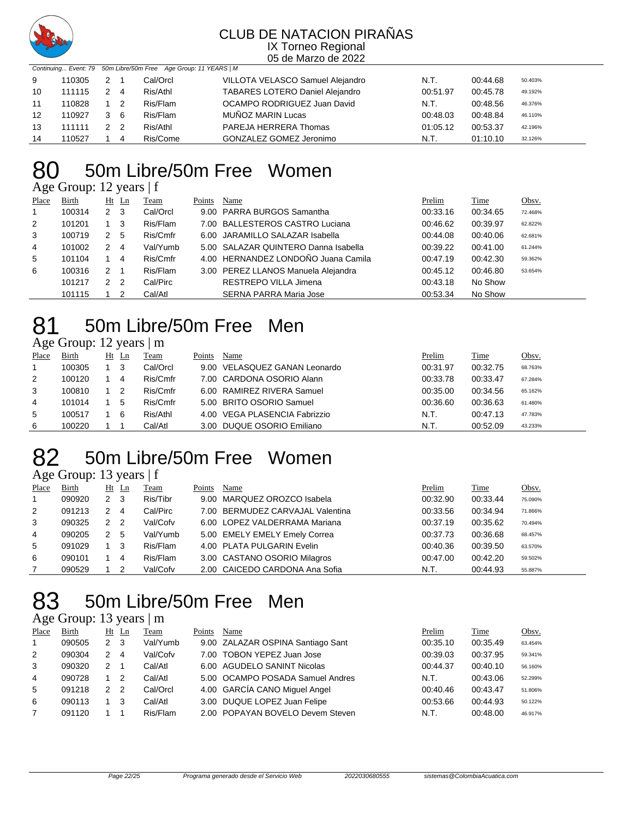

05 de Marzo de 2022

|    | Continuing Event: 79 50m Libre/50m Free Age Group: 11 YEARS   M |     |                            |          |                                        |          |          |         |  |  |  |  |
|----|-----------------------------------------------------------------|-----|----------------------------|----------|----------------------------------------|----------|----------|---------|--|--|--|--|
| 9  | 110305                                                          | 2 1 |                            | Cal/Orcl | VILLOTA VELASCO Samuel Alejandro       | N.T.     | 00:44.68 | 50.403% |  |  |  |  |
| 10 | 111115                                                          | 2 4 |                            | Ris/Athl | <b>TABARES LOTERO Daniel Alejandro</b> | 00:51.97 | 00:45.78 | 49.192% |  |  |  |  |
| 11 | 110828                                                          |     | $\overline{\phantom{0}}^2$ | Ris/Flam | OCAMPO RODRIGUEZ Juan David            | N.T.     | 00:48.56 | 46.376% |  |  |  |  |
| 12 | 110927                                                          |     | 3 6                        | Ris/Flam | MUÑOZ MARIN Lucas                      | 00:48.03 | 00:48.84 | 46.110% |  |  |  |  |
| 13 | 111111                                                          | 2 2 |                            | Ris/Athl | PAREJA HERRERA Thomas                  | 01:05.12 | 00:53.37 | 42.196% |  |  |  |  |
| 14 | 110527                                                          |     | 4                          | Ris/Come | GONZALEZ GOMEZ Jeronimo                | N.T.     | 01:10.10 | 32.126% |  |  |  |  |

# 50m Libre/50m Free Women

Age Group: 12 years | f

| Place | Birth  |                | $Ht$ Ln | Team     | Points | Name                                 | Prelim   | Time     | Obsv.   |
|-------|--------|----------------|---------|----------|--------|--------------------------------------|----------|----------|---------|
|       | 100314 | 2 <sub>3</sub> |         | Cal/Orcl |        | 9.00 PARRA BURGOS Samantha           | 00:33.16 | 00:34.65 | 72.468% |
| 2     | 101201 |                | - 3     | Ris/Flam |        | 7.00 BALLESTEROS CASTRO Luciana      | 00:46.62 | 00:39.97 | 62.822% |
| 3     | 100719 | 2              | 5       | Ris/Cmfr |        | 6.00 JARAMILLO SALAZAR Isabella      | 00:44.08 | 00:40.06 | 62.681% |
| 4     | 101002 | 2              | -4      | Val/Yumb |        | 5.00 SALAZAR QUINTERO Danna Isabella | 00:39.22 | 00:41.00 | 61.244% |
| 5     | 101104 |                | 4       | Ris/Cmfr |        | 4.00 HERNANDEZ LONDOÑO Juana Camila  | 00:47.19 | 00:42.30 | 59.362% |
| 6     | 100316 | 2              |         | Ris/Flam |        | 3.00 PEREZ LLANOS Manuela Alejandra  | 00:45.12 | 00:46.80 | 53.654% |
|       | 101217 | 2              | - 2     | Cal/Pirc |        | RESTREPO VILLA Jimena                | 00:43.18 | No Show  |         |
|       | 101115 |                |         | Cal/Atl  |        | <b>SERNA PARRA Maria Jose</b>        | 00:53.34 | No Show  |         |

# 50m Libre/50m Free Men

| Age Group: 12 years   m |
|-------------------------|
|-------------------------|

| Place | <b>Birth</b> | Ht | Ln | Team     | Points | Name                          | Prelim   | <b>Time</b> | <u>Obsv.</u> |
|-------|--------------|----|----|----------|--------|-------------------------------|----------|-------------|--------------|
|       | 100305       |    | 3  | Cal/Orcl |        | 9.00 VELASQUEZ GANAN Leonardo | 00:31.97 | 00:32.75    | 68.763%      |
| 2     | 100120       |    | 4  | Ris/Cmfr |        | 7.00 CARDONA OSORIO Alann     | 00:33.78 | 00:33.47    | 67.284%      |
| 3     | 100810       |    |    | Ris/Cmfr |        | 6.00 RAMIREZ RIVERA Samuel    | 00:35.00 | 00:34.56    | 65.162%      |
| 4     | 101014       |    | 5  | Ris/Cmfr |        | 5.00 BRITO OSORIO Samuel      | 00:36.60 | 00:36.63    | 61.480%      |
| 5     | 100517       |    | 6  | Ris/Athl |        | 4.00 VEGA PLASENCIA Fabrizzio | N.T.     | 00:47.13    | 47.783%      |
| 6     | 100220       |    |    | Cal/Atl  |        | 3.00 DUQUE OSORIO Emiliano    | N.T.     | 00:52.09    | 43.233%      |

# 50m Libre/50m Free Women

Age Group: 13 years | f

| Place          | Birth  |   | $Ht$ Ln | Team     | Points | Name                             | Prelim   | Time     | Obsv.   |
|----------------|--------|---|---------|----------|--------|----------------------------------|----------|----------|---------|
| $\overline{1}$ | 090920 | 2 | -3      | Ris/Tibr |        | 9.00 MARQUEZ OROZCO Isabela      | 00:32.90 | 00:33.44 | 75.090% |
| 2              | 091213 | 2 | 4       | Cal/Pirc |        | 7.00 BERMUDEZ CARVAJAL Valentina | 00:33.56 | 00:34.94 | 71.866% |
| 3              | 090325 | 2 | -2      | Val/Cofv |        | 6.00 LOPEZ VALDERRAMA Mariana    | 00:37.19 | 00:35.62 | 70.494% |
| 4              | 090205 | 2 | -5      | Val/Yumb |        | 5.00 EMELY EMELY Emely Correa    | 00:37.73 | 00:36.68 | 68.457% |
| 5              | 091029 |   | 3       | Ris/Flam |        | 4.00 PLATA PULGARIN Evelin       | 00:40.36 | 00:39.50 | 63.570% |
| 6              | 090101 |   | 4       | Ris/Flam |        | 3.00 CASTANO OSORIO Milagros     | 00:47.00 | 00:42.20 | 59.502% |
|                | 090529 |   | 2       | Val/Cofv |        | 2.00 CAICEDO CARDONA Ana Sofia   | N.T.     | 00:44.93 | 55.887% |

# 50m Libre/50m Free Men

### Age Group: 13 years | m

| Place | Birth  |                | Ht Ln | Team     | Points | Name                              | Prelim   | Time     | Obsv.   |
|-------|--------|----------------|-------|----------|--------|-----------------------------------|----------|----------|---------|
|       | 090505 | 2 <sub>3</sub> |       | Val/Yumb |        | 9.00 ZALAZAR OSPINA Santiago Sant | 00:35.10 | 00:35.49 | 63.454% |
| 2     | 090304 | $\mathcal{P}$  | 4     | Val/Cofv |        | 7.00 TOBON YEPEZ Juan Jose        | 00:39.03 | 00:37.95 | 59.341% |
| 3     | 090320 | $\mathcal{P}$  |       | Cal/Atl  |        | 6.00 AGUDELO SANINT Nicolas       | 00:44.37 | 00:40.10 | 56.160% |
| 4     | 090728 |                |       | Cal/Atl  |        | 5.00 OCAMPO POSADA Samuel Andres  | N.T.     | 00:43.06 | 52.299% |
| 5     | 091218 | $\mathcal{P}$  | 2     | Cal/Orcl |        | 4.00 GARCÍA CANO Miquel Angel     | 00:40.46 | 00:43.47 | 51.806% |
| 6     | 090113 |                | 3     | Cal/Atl  |        | 3.00 DUQUE LOPEZ Juan Felipe      | 00:53.66 | 00:44.93 | 50.122% |
|       | 091120 |                |       | Ris/Flam |        | 2.00 POPAYAN BOVELO Devem Steven  | N.T.     | 00:48.00 | 46.917% |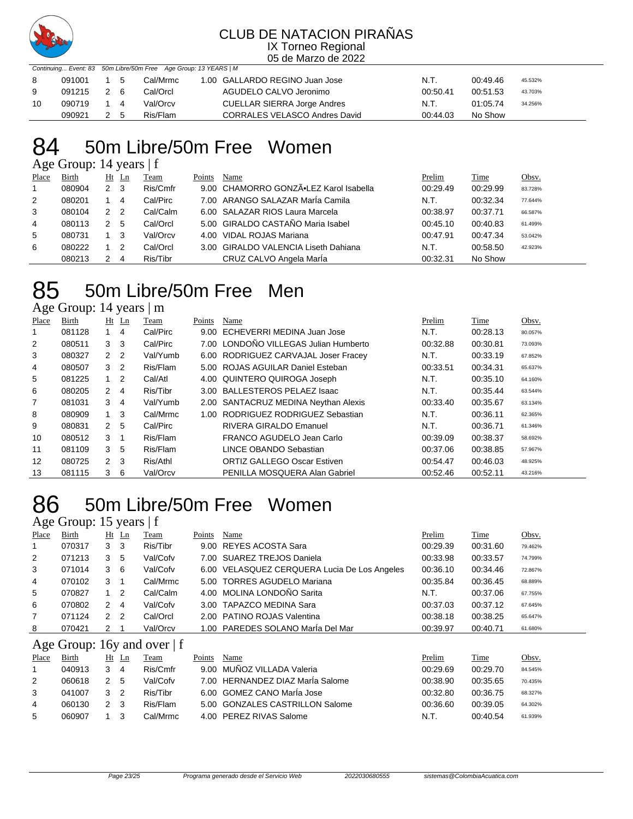

05 de Marzo de 2022

|    |            | Continuing Event: 83 50m Libre/50m Free Age Group: 13 YEARS   M |  |          |  |                                      |          |          |         |
|----|------------|-----------------------------------------------------------------|--|----------|--|--------------------------------------|----------|----------|---------|
| -8 | 091001     | $1\quad 5$                                                      |  | Cal/Mrmc |  | 1.00 GALLARDO REGINO Juan Jose       | N.T.     | 00:49.46 | 45.532% |
| -9 | 091215 2 6 |                                                                 |  | Cal/Orcl |  | AGUDELO CALVO Jeronimo               | 00:50.41 | 00:51.53 | 43.703% |
| 10 | 090719 1 4 |                                                                 |  | Val/Orcv |  | CUELLAR SIERRA Jorge Andres          | N.T.     | 01:05.74 | 34.256% |
|    | 090921     | 2 5                                                             |  | Ris/Flam |  | <b>CORRALES VELASCO Andres David</b> | 00:44.03 | No Show  |         |

### 50m Libre/50m Free Women

Age Group: 14 years | f

| Place | Birth  |                | $Ht$ Ln        | Team     | Points | Name                                   | Prelim   | <b>Time</b> | <u>Obsv.</u> |
|-------|--------|----------------|----------------|----------|--------|----------------------------------------|----------|-------------|--------------|
|       | 080904 | 2 <sub>3</sub> |                | Ris/Cmfr |        | 9.00 CHAMORRO GONZÃ.LEZ Karol Isabella | 00:29.49 | 00:29.99    | 83.728%      |
| 2     | 080201 |                | 4              | Cal/Pirc |        | 7.00 ARANGO SALAZAR MarÍa Camila       | N.T.     | 00:32.34    | 77.644%      |
| 3     | 080104 | 2              | $\overline{2}$ | Cal/Calm |        | 6.00 SALAZAR RIOS Laura Marcela        | 00:38.97 | 00:37.71    | 66.587%      |
| 4     | 080113 |                | 5              | Cal/Orcl |        | 5.00 GIRALDO CASTAÑO Maria Isabel      | 00:45.10 | 00:40.83    | 61.499%      |
| 5     | 080731 |                | - 3            | Val/Orcv |        | 4.00 VIDAL ROJAS Mariana               | 00:47.91 | 00:47.34    | 53.042%      |
| 6     | 080222 |                | -2             | Cal/Orcl |        | 3.00 GIRALDO VALENCIA Liseth Dahiana   | N.T.     | 00:58.50    | 42.923%      |
|       | 080213 |                | 4              | Ris/Tibr |        | CRUZ CALVO Angela MarÍa                | 00:32.31 | No Show     |              |

# 50m Libre/50m Free Men

Age Group: 14 years | m

| Place | Birth  |                | $Ht$ Ln        | Team     | Points | Name                                  | Prelim   | Time     | Obsv.   |
|-------|--------|----------------|----------------|----------|--------|---------------------------------------|----------|----------|---------|
|       | 081128 |                | 4              | Cal/Pirc | 9.00   | ECHEVERRI MEDINA Juan Jose            | N.T.     | 00:28.13 | 80.057% |
| 2     | 080511 | 3              | -3             | Cal/Pirc |        | 7.00 LONDOÑO VILLEGAS Julian Humberto | 00:32.88 | 00:30.81 | 73.093% |
| 3     | 080327 | 2              | $\overline{2}$ | Val/Yumb |        | 6.00 RODRIGUEZ CARVAJAL Joser Fracey  | N.T.     | 00:33.19 | 67.852% |
| 4     | 080507 | 3 <sub>2</sub> |                | Ris/Flam |        | 5.00 ROJAS AGUILAR Daniel Esteban     | 00:33.51 | 00:34.31 | 65.637% |
| 5     | 081225 |                | $\overline{2}$ | Cal/Atl  |        | 4.00 QUINTERO QUIROGA Joseph          | N.T.     | 00:35.10 | 64.160% |
| 6     | 080205 | $\mathbf{2}$   | 4              | Ris/Tibr |        | 3.00 BALLESTEROS PELAEZ Isaac         | N.T.     | 00:35.44 | 63.544% |
| 7     | 081031 | 3              | -4             | Val/Yumb |        | 2.00 SANTACRUZ MEDINA Neythan Alexis  | 00:33.40 | 00:35.67 | 63.134% |
| 8     | 080909 | $\mathbf{1}$   | -3             | Cal/Mrmc |        | 1.00 RODRIGUEZ RODRIGUEZ Sebastian    | N.T.     | 00:36.11 | 62.365% |
| 9     | 080831 | 2              | -5             | Cal/Pirc |        | RIVERA GIRALDO Emanuel                | N.T.     | 00:36.71 | 61.346% |
| 10    | 080512 | 3              |                | Ris/Flam |        | FRANCO AGUDELO Jean Carlo             | 00:39.09 | 00:38.37 | 58.692% |
| 11    | 081109 | 3              | 5              | Ris/Flam |        | LINCE OBANDO Sebastian                | 00:37.06 | 00:38.85 | 57.967% |
| 12    | 080725 | 2 <sub>3</sub> |                | Ris/Athl |        | <b>ORTIZ GALLEGO Oscar Estiven</b>    | 00:54.47 | 00:46.03 | 48.925% |
| 13    | 081115 | 3              | 6              | Val/Orcv |        | PENILLA MOSQUERA Alan Gabriel         | 00:52.46 | 00:52.11 | 43.216% |

### 50m Libre/50m Free Women

### Age Group: 15 years | f

| Place          | Birth  |   | $Ht$ Ln | Team     | Points | Name                                         | Prelim   | Time     | Obsv.   |
|----------------|--------|---|---------|----------|--------|----------------------------------------------|----------|----------|---------|
| $\overline{1}$ | 070317 | 3 | -3      | Ris/Tibr |        | 9.00 REYES ACOSTA Sara                       | 00:29.39 | 00:31.60 | 79.462% |
| 2              | 071213 | 3 | 5       | Val/Cofv |        | 7.00 SUAREZ TREJOS Daniela                   | 00:33.98 | 00:33.57 | 74.799% |
| 3              | 071014 | 3 | -6      | Val/Cofv |        | 6.00 VELASQUEZ CERQUERA Lucia De Los Angeles | 00:36.10 | 00:34.46 | 72.867% |
| 4              | 070102 | 3 |         | Cal/Mrmc |        | 5.00 TORRES AGUDELO Mariana                  | 00:35.84 | 00:36.45 | 68.889% |
| 5              | 070827 |   | 2       | Cal/Calm |        | 4.00 MOLINA LONDOÑO Sarita                   | N.T.     | 00:37.06 | 67.755% |
| 6              | 070802 | 2 | 4       | Val/Cofv |        | 3.00 TAPAZCO MEDINA Sara                     | 00:37.03 | 00:37.12 | 67.645% |
| 7              | 071124 | 2 | -2      | Cal/Orcl |        | 2.00 PATINO ROJAS Valentina                  | 00:38.18 | 00:38.25 | 65.647% |
| 8              | 070421 | 2 |         | Val/Orcv |        | 1.00 PAREDES SOLANO MarÍa Del Mar            | 00:39.97 | 00:40.71 | 61.680% |

### Age Group: 16y and over | f

| Place | Birth  | Ht<br>Ln | Team     | Points | Name                             | Prelim   | Time     | Obsv.   |
|-------|--------|----------|----------|--------|----------------------------------|----------|----------|---------|
|       | 040913 |          | Ris/Cmfr |        | 9.00 MUÑOZ VILLADA Valeria       | 00:29.69 | 00:29.70 | 84.545% |
| 2     | 060618 | 5        | Val/Cofv |        | 7.00 HERNANDEZ DIAZ MarÍa Salome | 00:38.90 | 00:35.65 | 70.435% |
| 3     | 041007 |          | Ris/Tibr |        | 6.00 GOMEZ CANO Marla Jose       | 00:32.80 | 00:36.75 | 68.327% |
| 4     | 060130 |          | Ris/Flam |        | 5.00 GONZALES CASTRILLON Salome  | 00:36.60 | 00:39.05 | 64.302% |
| 5     | 060907 |          | Cal/Mrmc |        | 4.00 PEREZ RIVAS Salome          | N.T.     | 00:40.54 | 61.939% |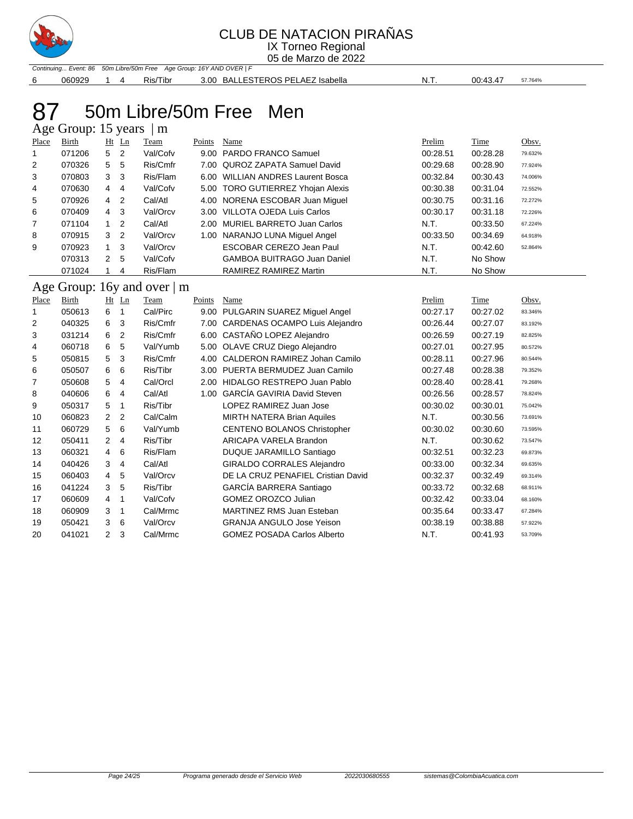

### CLUB DE NATACION PIRAÑAS

IX Torneo Regional 05 de Marzo de 2022

Continuing... Event: 86 50m Libre/50m Free Age Group: 16Y AND OVER | F 060929 1 4 Ris/Tibr 3.00 BALLESTEROS PELAEZ Isabella N.T. 00:43.47 57.764%

# 87 50m Libre/50m Free Men

|                | Age Group: 15 years |                |    | m        |        |                                    |          |          |         |
|----------------|---------------------|----------------|----|----------|--------|------------------------------------|----------|----------|---------|
| Place          | Birth               | Ht             | Ln | Team     | Points | Name                               | Prelim   | Time     | Obsv.   |
| 1.             | 071206              | 5              | -2 | Val/Cofv |        | 9.00 PARDO FRANCO Samuel           | 00:28.51 | 00:28.28 | 79.632% |
| $\overline{2}$ | 070326              | 5              | 5  | Ris/Cmfr |        | 7.00 QUROZ ZAPATA Samuel David     | 00:29.68 | 00:28.90 | 77.924% |
| 3              | 070803              | 3              | -3 | Ris/Flam |        | 6.00 WILLIAN ANDRES Laurent Bosca  | 00:32.84 | 00:30.43 | 74.006% |
| 4              | 070630              | $\overline{4}$ | -4 | Val/Cofv |        | 5.00 TORO GUTIERREZ Yhojan Alexis  | 00:30.38 | 00:31.04 | 72.552% |
| 5              | 070926              | 4              | -2 | Cal/Atl  |        | 4.00 NORENA ESCOBAR Juan Miguel    | 00:30.75 | 00:31.16 | 72.272% |
| 6              | 070409              | $4 \quad 3$    |    | Val/Orcv |        | 3.00 VILLOTA OJEDA Luis Carlos     | 00:30.17 | 00:31.18 | 72.226% |
| 7              | 071104              | 1              | 2  | Cal/Atl  |        | 2.00 MURIEL BARRETO Juan Carlos    | N.T.     | 00:33.50 | 67.224% |
| 8              | 070915              | 3              | 2  | Val/Orcv |        | 1.00 NARANJO LUNA Miguel Angel     | 00:33.50 | 00:34.69 | 64.918% |
| 9              | 070923              | 1.             | 3  | Val/Orcv |        | ESCOBAR CEREZO Jean Paul           | N.T.     | 00:42.60 | 52.864% |
|                | 070313              | $\mathbf{2}$   | 5  | Val/Cofv |        | <b>GAMBOA BUITRAGO Juan Daniel</b> | N.T.     | No Show  |         |
|                | 071024              |                | 4  | Ris/Flam |        | RAMIREZ RAMIREZ Martin             | N.T.     | No Show  |         |

Age Group: 16y and over | m

| Place | Birth  |                | $Ht$ Ln        | Team     | Points | Name                               | Prelim   | Time     | Obsv.   |
|-------|--------|----------------|----------------|----------|--------|------------------------------------|----------|----------|---------|
|       | 050613 | 6              | -1             | Cal/Pirc | 9.00   | PULGARIN SUAREZ Miguel Angel       | 00:27.17 | 00:27.02 | 83.346% |
| 2     | 040325 | 6              | 3              | Ris/Cmfr | 7.00   | CARDENAS OCAMPO Luis Alejandro     | 00:26.44 | 00:27.07 | 83.192% |
| 3     | 031214 | 6              | 2              | Ris/Cmfr | 6.00   | CASTAÑO LOPEZ Alejandro            | 00:26.59 | 00:27.19 | 82.825% |
| 4     | 060718 | 6              | 5              | Val/Yumb | 5.00   | OLAVE CRUZ Diego Alejandro         | 00:27.01 | 00:27.95 | 80.572% |
| 5     | 050815 | 5              | 3              | Ris/Cmfr | 4.00   | CALDERON RAMIREZ Johan Camilo      | 00:28.11 | 00:27.96 | 80.544% |
| 6     | 050507 | 6              | 6              | Ris/Tibr | 3.00   | PUERTA BERMUDEZ Juan Camilo        | 00:27.48 | 00:28.38 | 79.352% |
| 7     | 050608 | 5              | 4              | Cal/Orcl | 2.00   | HIDALGO RESTREPO Juan Pablo        | 00:28.40 | 00:28.41 | 79.268% |
| 8     | 040606 | 6              | 4              | Cal/Atl  | 1.00   | GARCÍA GAVIRIA David Steven        | 00:26.56 | 00:28.57 | 78.824% |
| 9     | 050317 | 5              | -1             | Ris/Tibr |        | LOPEZ RAMIREZ Juan Jose            | 00:30.02 | 00:30.01 | 75.042% |
| 10    | 060823 | 2 <sub>2</sub> |                | Cal/Calm |        | <b>MIRTH NATERA Brian Aquiles</b>  | N.T.     | 00:30.56 | 73.691% |
| 11    | 060729 | 5              | 6              | Val/Yumb |        | CENTENO BOLANOS Christopher        | 00:30.02 | 00:30.60 | 73.595% |
| 12    | 050411 | $\overline{2}$ | $\overline{4}$ | Ris/Tibr |        | ARICAPA VARELA Brandon             | N.T.     | 00:30.62 | 73.547% |
| 13    | 060321 | 4              | 6              | Ris/Flam |        | DUQUE JARAMILLO Santiago           | 00:32.51 | 00:32.23 | 69.873% |
| 14    | 040426 | 3              | 4              | Cal/Atl  |        | <b>GIRALDO CORRALES Alejandro</b>  | 00:33.00 | 00:32.34 | 69.635% |
| 15    | 060403 | $\overline{4}$ | -5             | Val/Orcv |        | DE LA CRUZ PENAFIEL Cristian David | 00:32.37 | 00:32.49 | 69.314% |
| 16    | 041224 | 3              | 5              | Ris/Tibr |        | GARCÍA BARRERA Santiago            | 00:33.72 | 00:32.68 | 68.911% |
| 17    | 060609 | 4              | -1             | Val/Cofv |        | <b>GOMEZ OROZCO Julian</b>         | 00:32.42 | 00:33.04 | 68.160% |
| 18    | 060909 | 3              | -1             | Cal/Mrmc |        | <b>MARTINEZ RMS Juan Esteban</b>   | 00:35.64 | 00:33.47 | 67.284% |
| 19    | 050421 | 3              | -6             | Val/Orcv |        | <b>GRANJA ANGULO Jose Yeison</b>   | 00:38.19 | 00:38.88 | 57.922% |
| 20    | 041021 | $\overline{2}$ | 3              | Cal/Mrmc |        | <b>GOMEZ POSADA Carlos Alberto</b> | N.T.     | 00:41.93 | 53.709% |